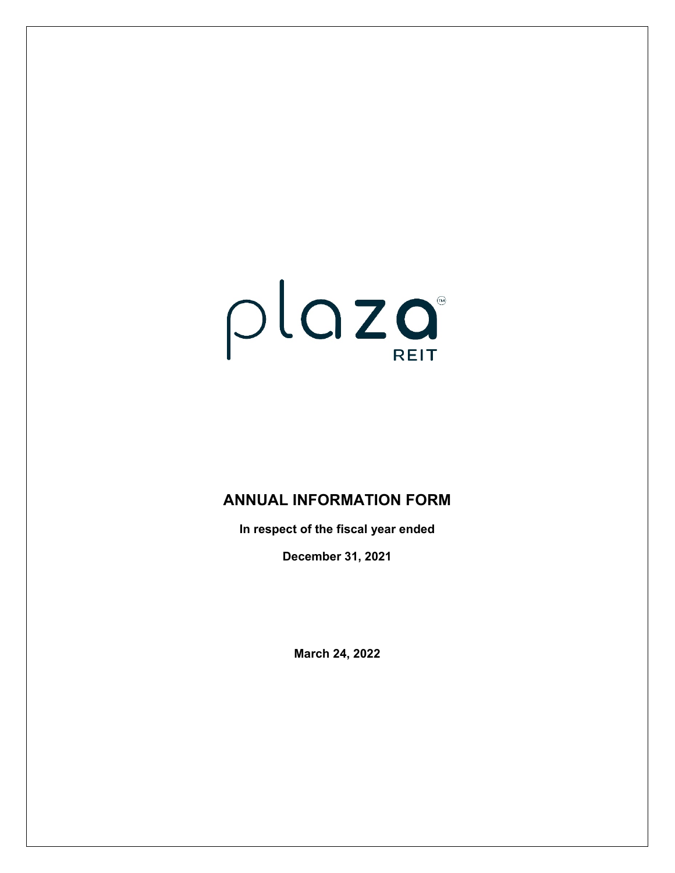# $plog$

# **ANNUAL INFORMATION FORM**

**In respect of the fiscal year ended** 

**December 31, 2021**

**March 24, 2022**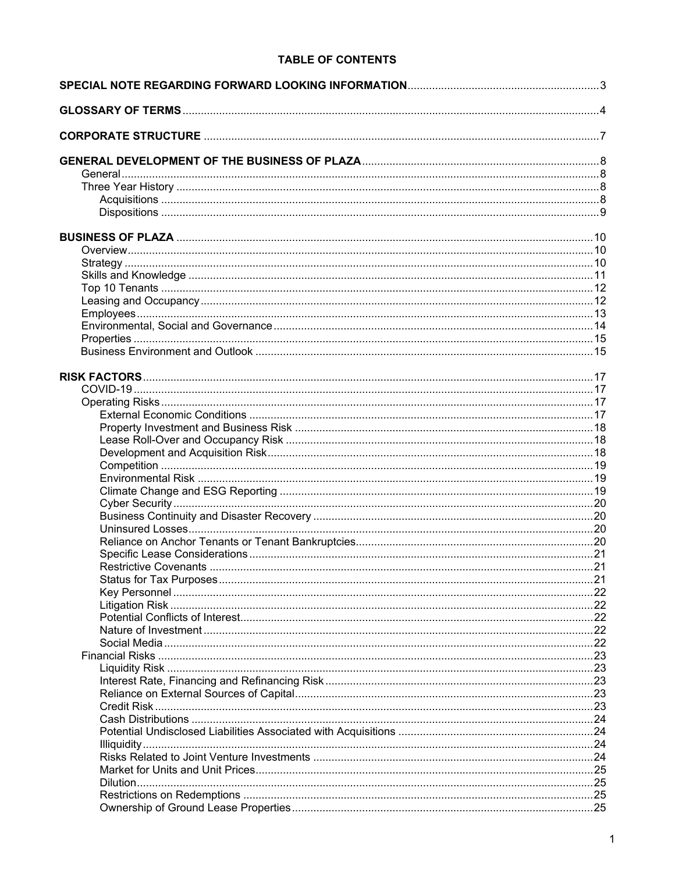# **TABLE OF CONTENTS**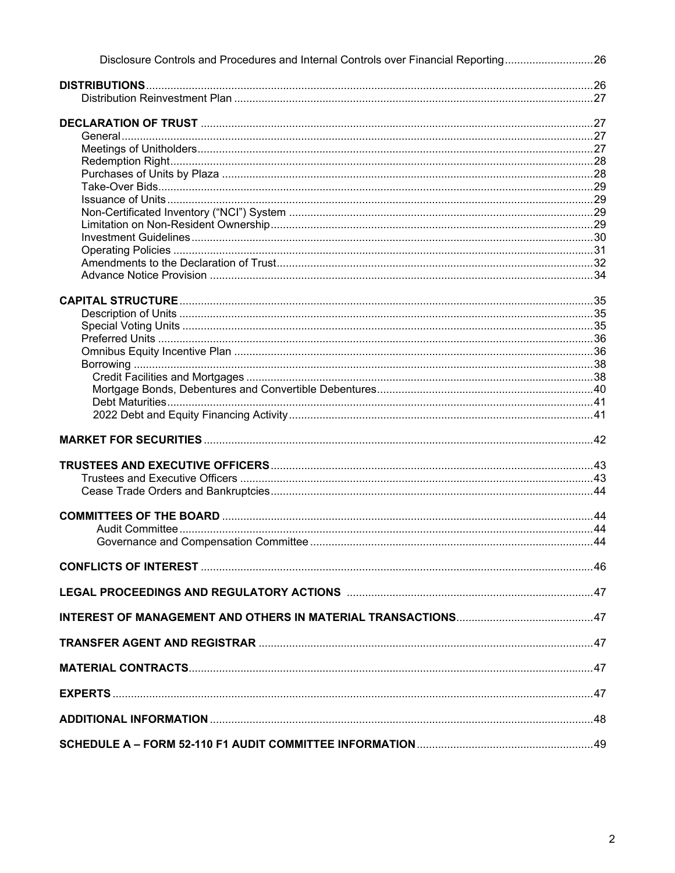| Disclosure Controls and Procedures and Internal Controls over Financial Reporting26 |  |
|-------------------------------------------------------------------------------------|--|
|                                                                                     |  |
|                                                                                     |  |
|                                                                                     |  |
|                                                                                     |  |
|                                                                                     |  |
|                                                                                     |  |
|                                                                                     |  |
|                                                                                     |  |
|                                                                                     |  |
|                                                                                     |  |
|                                                                                     |  |
|                                                                                     |  |
|                                                                                     |  |
|                                                                                     |  |
|                                                                                     |  |
|                                                                                     |  |
|                                                                                     |  |
|                                                                                     |  |
|                                                                                     |  |
|                                                                                     |  |
|                                                                                     |  |
|                                                                                     |  |
|                                                                                     |  |
|                                                                                     |  |
|                                                                                     |  |
|                                                                                     |  |
|                                                                                     |  |
|                                                                                     |  |
|                                                                                     |  |
|                                                                                     |  |
|                                                                                     |  |
|                                                                                     |  |
|                                                                                     |  |
|                                                                                     |  |
|                                                                                     |  |
|                                                                                     |  |
|                                                                                     |  |
|                                                                                     |  |
|                                                                                     |  |
|                                                                                     |  |
|                                                                                     |  |
|                                                                                     |  |
|                                                                                     |  |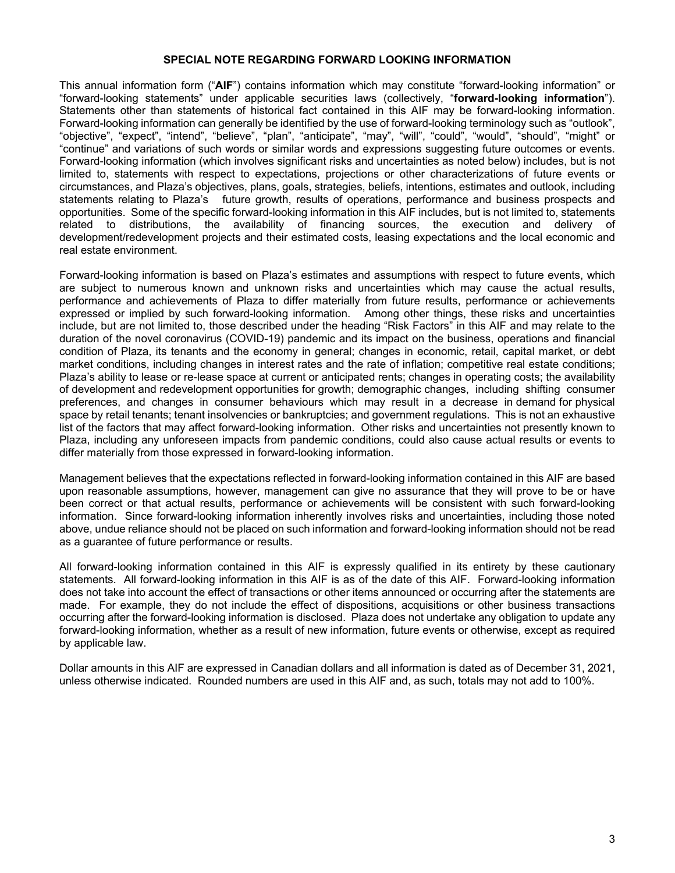### **SPECIAL NOTE REGARDING FORWARD LOOKING INFORMATION**

This annual information form ("**AIF**") contains information which may constitute "forward-looking information" or "forward-looking statements" under applicable securities laws (collectively, "**forward-looking information**"). Statements other than statements of historical fact contained in this AIF may be forward-looking information. Forward-looking information can generally be identified by the use of forward-looking terminology such as "outlook", "objective", "expect", "intend", "believe", "plan", "anticipate", "may", "will", "could", "would", "should", "might" or "continue" and variations of such words or similar words and expressions suggesting future outcomes or events. Forward-looking information (which involves significant risks and uncertainties as noted below) includes, but is not limited to, statements with respect to expectations, projections or other characterizations of future events or circumstances, and Plaza's objectives, plans, goals, strategies, beliefs, intentions, estimates and outlook, including statements relating to Plaza's future growth, results of operations, performance and business prospects and opportunities. Some of the specific forward-looking information in this AIF includes, but is not limited to, statements related to distributions, the availability of financing sources, the execution and delivery of development/redevelopment projects and their estimated costs, leasing expectations and the local economic and real estate environment.

Forward-looking information is based on Plaza's estimates and assumptions with respect to future events, which are subject to numerous known and unknown risks and uncertainties which may cause the actual results, performance and achievements of Plaza to differ materially from future results, performance or achievements expressed or implied by such forward-looking information. Among other things, these risks and uncertainties include, but are not limited to, those described under the heading "Risk Factors" in this AIF and may relate to the duration of the novel coronavirus (COVID-19) pandemic and its impact on the business, operations and financial condition of Plaza, its tenants and the economy in general; changes in economic, retail, capital market, or debt market conditions, including changes in interest rates and the rate of inflation; competitive real estate conditions; Plaza's ability to lease or re-lease space at current or anticipated rents; changes in operating costs; the availability of development and redevelopment opportunities for growth; demographic changes, including shifting consumer preferences, and changes in consumer behaviours which may result in a decrease in demand for physical space by retail tenants; tenant insolvencies or bankruptcies; and government regulations. This is not an exhaustive list of the factors that may affect forward-looking information. Other risks and uncertainties not presently known to Plaza, including any unforeseen impacts from pandemic conditions, could also cause actual results or events to differ materially from those expressed in forward-looking information.

Management believes that the expectations reflected in forward-looking information contained in this AIF are based upon reasonable assumptions, however, management can give no assurance that they will prove to be or have been correct or that actual results, performance or achievements will be consistent with such forward-looking information. Since forward-looking information inherently involves risks and uncertainties, including those noted above, undue reliance should not be placed on such information and forward-looking information should not be read as a guarantee of future performance or results.

All forward-looking information contained in this AIF is expressly qualified in its entirety by these cautionary statements. All forward-looking information in this AIF is as of the date of this AIF. Forward-looking information does not take into account the effect of transactions or other items announced or occurring after the statements are made. For example, they do not include the effect of dispositions, acquisitions or other business transactions occurring after the forward-looking information is disclosed. Plaza does not undertake any obligation to update any forward-looking information, whether as a result of new information, future events or otherwise, except as required by applicable law.

Dollar amounts in this AIF are expressed in Canadian dollars and all information is dated as of December 31, 2021, unless otherwise indicated. Rounded numbers are used in this AIF and, as such, totals may not add to 100%.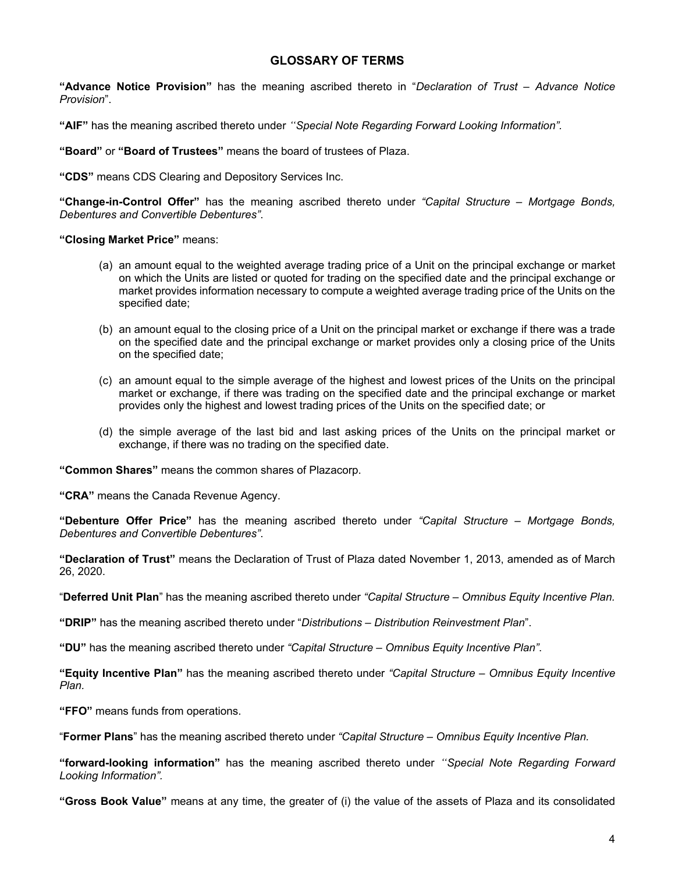# **GLOSSARY OF TERMS**

**"Advance Notice Provision"** has the meaning ascribed thereto in "*Declaration of Trust – Advance Notice Provision*".

**"AIF"** has the meaning ascribed thereto under *"Special Note Regarding Forward Looking Information".*

**"Board"** or **"Board of Trustees"** means the board of trustees of Plaza.

**"CDS"** means CDS Clearing and Depository Services Inc.

**"Change-in-Control Offer"** has the meaning ascribed thereto under *"Capital Structure – Mortgage Bonds, Debentures and Convertible Debentures"*.

**"Closing Market Price"** means:

- (a) an amount equal to the weighted average trading price of a Unit on the principal exchange or market on which the Units are listed or quoted for trading on the specified date and the principal exchange or market provides information necessary to compute a weighted average trading price of the Units on the specified date;
- (b) an amount equal to the closing price of a Unit on the principal market or exchange if there was a trade on the specified date and the principal exchange or market provides only a closing price of the Units on the specified date;
- (c) an amount equal to the simple average of the highest and lowest prices of the Units on the principal market or exchange, if there was trading on the specified date and the principal exchange or market provides only the highest and lowest trading prices of the Units on the specified date; or
- (d) the simple average of the last bid and last asking prices of the Units on the principal market or exchange, if there was no trading on the specified date.

**"Common Shares"** means the common shares of Plazacorp.

**"CRA"** means the Canada Revenue Agency.

**"Debenture Offer Price"** has the meaning ascribed thereto under *"Capital Structure – Mortgage Bonds, Debentures and Convertible Debentures"*.

**"Declaration of Trust"** means the Declaration of Trust of Plaza dated November 1, 2013, amended as of March 26, 2020.

"**Deferred Unit Plan**" has the meaning ascribed thereto under *"Capital Structure – Omnibus Equity Incentive Plan.*

**"DRIP"** has the meaning ascribed thereto under "*Distributions – Distribution Reinvestment Plan*".

**"DU"** has the meaning ascribed thereto under *"Capital Structure – Omnibus Equity Incentive Plan"*.

**"Equity Incentive Plan"** has the meaning ascribed thereto under *"Capital Structure – Omnibus Equity Incentive Plan.*

**"FFO"** means funds from operations.

"**Former Plans**" has the meaning ascribed thereto under *"Capital Structure – Omnibus Equity Incentive Plan.*

**"forward-looking information"** has the meaning ascribed thereto under *"Special Note Regarding Forward Looking Information".*

**"Gross Book Value"** means at any time, the greater of (i) the value of the assets of Plaza and its consolidated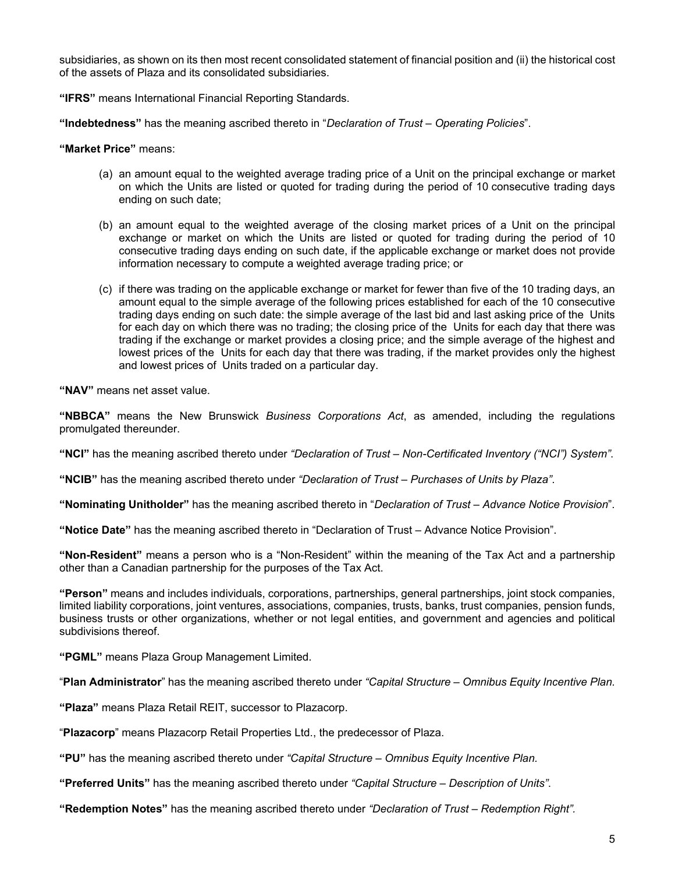subsidiaries, as shown on its then most recent consolidated statement of financial position and (ii) the historical cost of the assets of Plaza and its consolidated subsidiaries.

**"IFRS"** means International Financial Reporting Standards.

**"Indebtedness"** has the meaning ascribed thereto in "*Declaration of Trust – Operating Policies*".

**"Market Price"** means:

- (a) an amount equal to the weighted average trading price of a Unit on the principal exchange or market on which the Units are listed or quoted for trading during the period of 10 consecutive trading days ending on such date;
- (b) an amount equal to the weighted average of the closing market prices of a Unit on the principal exchange or market on which the Units are listed or quoted for trading during the period of 10 consecutive trading days ending on such date, if the applicable exchange or market does not provide information necessary to compute a weighted average trading price; or
- (c) if there was trading on the applicable exchange or market for fewer than five of the 10 trading days, an amount equal to the simple average of the following prices established for each of the 10 consecutive trading days ending on such date: the simple average of the last bid and last asking price of the Units for each day on which there was no trading; the closing price of the Units for each day that there was trading if the exchange or market provides a closing price; and the simple average of the highest and lowest prices of the Units for each day that there was trading, if the market provides only the highest and lowest prices of Units traded on a particular day.

**"NAV"** means net asset value.

**"NBBCA"** means the New Brunswick *Business Corporations Act*, as amended, including the regulations promulgated thereunder.

**"NCI"** has the meaning ascribed thereto under *"Declaration of Trust – Non-Certificated Inventory ("NCI") System"*.

**"NCIB"** has the meaning ascribed thereto under *"Declaration of Trust – Purchases of Units by Plaza"*.

**"Nominating Unitholder"** has the meaning ascribed thereto in "*Declaration of Trust – Advance Notice Provision*".

**"Notice Date"** has the meaning ascribed thereto in "Declaration of Trust – Advance Notice Provision".

**"Non-Resident"** means a person who is a "Non-Resident" within the meaning of the Tax Act and a partnership other than a Canadian partnership for the purposes of the Tax Act.

**"Person"** means and includes individuals, corporations, partnerships, general partnerships, joint stock companies, limited liability corporations, joint ventures, associations, companies, trusts, banks, trust companies, pension funds, business trusts or other organizations, whether or not legal entities, and government and agencies and political subdivisions thereof.

**"PGML"** means Plaza Group Management Limited.

"**Plan Administrator**" has the meaning ascribed thereto under *"Capital Structure – Omnibus Equity Incentive Plan.*

**"Plaza"** means Plaza Retail REIT, successor to Plazacorp.

"**Plazacorp**" means Plazacorp Retail Properties Ltd., the predecessor of Plaza.

**"PU"** has the meaning ascribed thereto under *"Capital Structure – Omnibus Equity Incentive Plan.* 

**"Preferred Units"** has the meaning ascribed thereto under *"Capital Structure – Description of Units"*.

**"Redemption Notes"** has the meaning ascribed thereto under *"Declaration of Trust – Redemption Right".*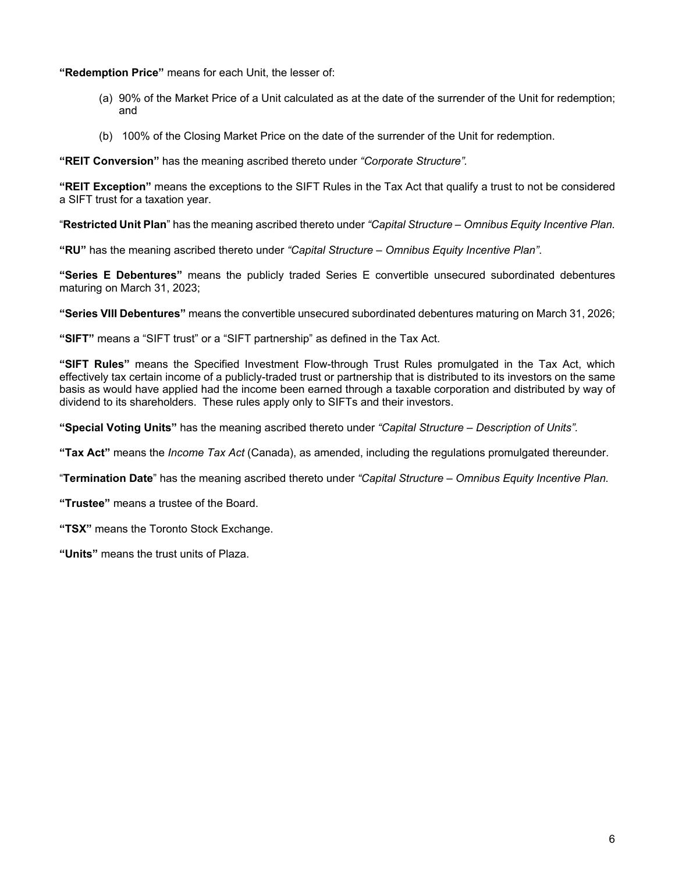**"Redemption Price"** means for each Unit, the lesser of:

- (a) 90% of the Market Price of a Unit calculated as at the date of the surrender of the Unit for redemption; and
- (b) 100% of the Closing Market Price on the date of the surrender of the Unit for redemption.

**"REIT Conversion"** has the meaning ascribed thereto under *"Corporate Structure".* 

**"REIT Exception"** means the exceptions to the SIFT Rules in the Tax Act that qualify a trust to not be considered a SIFT trust for a taxation year.

"**Restricted Unit Plan**" has the meaning ascribed thereto under *"Capital Structure – Omnibus Equity Incentive Plan.*

**"RU"** has the meaning ascribed thereto under *"Capital Structure – Omnibus Equity Incentive Plan"*.

**"Series E Debentures"** means the publicly traded Series E convertible unsecured subordinated debentures maturing on March 31, 2023;

**"Series VIII Debentures"** means the convertible unsecured subordinated debentures maturing on March 31, 2026;

**"SIFT"** means a "SIFT trust" or a "SIFT partnership" as defined in the Tax Act.

**"SIFT Rules"** means the Specified Investment Flow-through Trust Rules promulgated in the Tax Act, which effectively tax certain income of a publicly-traded trust or partnership that is distributed to its investors on the same basis as would have applied had the income been earned through a taxable corporation and distributed by way of dividend to its shareholders. These rules apply only to SIFTs and their investors.

**"Special Voting Units"** has the meaning ascribed thereto under *"Capital Structure – Description of Units".*

**"Tax Act"** means the *Income Tax Act* (Canada), as amended, including the regulations promulgated thereunder.

"**Termination Date**" has the meaning ascribed thereto under *"Capital Structure – Omnibus Equity Incentive Plan.*

**"Trustee"** means a trustee of the Board.

**"TSX"** means the Toronto Stock Exchange.

**"Units"** means the trust units of Plaza.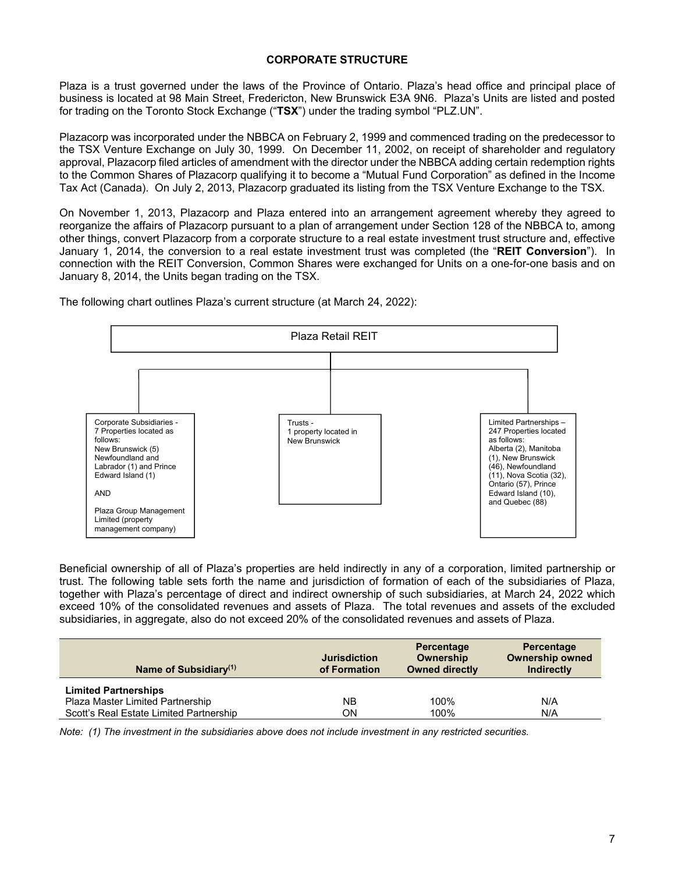# **CORPORATE STRUCTURE**

Plaza is a trust governed under the laws of the Province of Ontario. Plaza's head office and principal place of business is located at 98 Main Street, Fredericton, New Brunswick E3A 9N6. Plaza's Units are listed and posted for trading on the Toronto Stock Exchange ("**TSX**") under the trading symbol "PLZ.UN".

Plazacorp was incorporated under the NBBCA on February 2, 1999 and commenced trading on the predecessor to the TSX Venture Exchange on July 30, 1999. On December 11, 2002, on receipt of shareholder and regulatory approval, Plazacorp filed articles of amendment with the director under the NBBCA adding certain redemption rights to the Common Shares of Plazacorp qualifying it to become a "Mutual Fund Corporation" as defined in the Income Tax Act (Canada). On July 2, 2013, Plazacorp graduated its listing from the TSX Venture Exchange to the TSX.

On November 1, 2013, Plazacorp and Plaza entered into an arrangement agreement whereby they agreed to reorganize the affairs of Plazacorp pursuant to a plan of arrangement under Section 128 of the NBBCA to, among other things, convert Plazacorp from a corporate structure to a real estate investment trust structure and, effective January 1, 2014, the conversion to a real estate investment trust was completed (the "**REIT Conversion**"). In connection with the REIT Conversion, Common Shares were exchanged for Units on a one-for-one basis and on January 8, 2014, the Units began trading on the TSX.



The following chart outlines Plaza's current structure (at March 24, 2022):

Beneficial ownership of all of Plaza's properties are held indirectly in any of a corporation, limited partnership or trust. The following table sets forth the name and jurisdiction of formation of each of the subsidiaries of Plaza, together with Plaza's percentage of direct and indirect ownership of such subsidiaries, at March 24, 2022 which exceed 10% of the consolidated revenues and assets of Plaza. The total revenues and assets of the excluded subsidiaries, in aggregate, also do not exceed 20% of the consolidated revenues and assets of Plaza.

| Name of Subsidiary $(1)$                                        | <b>Jurisdiction</b><br>of Formation | Percentage<br>Ownership<br><b>Owned directly</b> | Percentage<br><b>Ownership owned</b><br>Indirectly |
|-----------------------------------------------------------------|-------------------------------------|--------------------------------------------------|----------------------------------------------------|
| <b>Limited Partnerships</b><br>Plaza Master Limited Partnership | NΒ                                  | 100%                                             | N/A                                                |
| Scott's Real Estate Limited Partnership                         | ΟN                                  | 100%                                             | N/A                                                |

*Note: (1) The investment in the subsidiaries above does not include investment in any restricted securities.*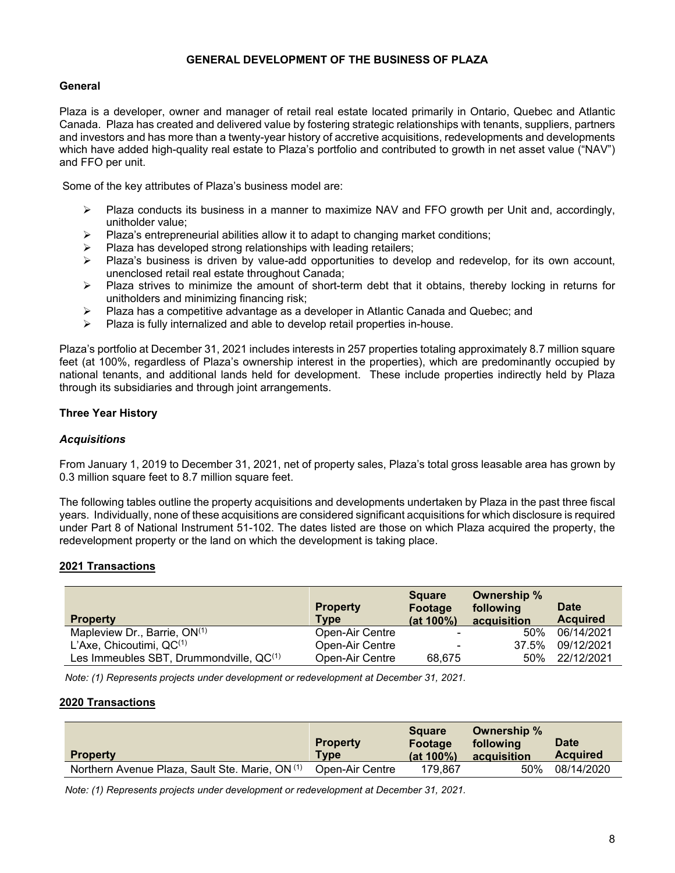# **GENERAL DEVELOPMENT OF THE BUSINESS OF PLAZA**

# **General**

Plaza is a developer, owner and manager of retail real estate located primarily in Ontario, Quebec and Atlantic Canada. Plaza has created and delivered value by fostering strategic relationships with tenants, suppliers, partners and investors and has more than a twenty-year history of accretive acquisitions, redevelopments and developments which have added high-quality real estate to Plaza's portfolio and contributed to growth in net asset value ("NAV") and FFO per unit.

Some of the key attributes of Plaza's business model are:

- $\triangleright$  Plaza conducts its business in a manner to maximize NAV and FFO growth per Unit and, accordingly, unitholder value;
- $\triangleright$  Plaza's entrepreneurial abilities allow it to adapt to changing market conditions;
- $\triangleright$  Plaza has developed strong relationships with leading retailers;
- $\triangleright$  Plaza's business is driven by value-add opportunities to develop and redevelop, for its own account, unenclosed retail real estate throughout Canada;
- $\triangleright$  Plaza strives to minimize the amount of short-term debt that it obtains, thereby locking in returns for unitholders and minimizing financing risk;
- $\triangleright$  Plaza has a competitive advantage as a developer in Atlantic Canada and Quebec; and
- $\triangleright$  Plaza is fully internalized and able to develop retail properties in-house.

Plaza's portfolio at December 31, 2021 includes interests in 257 properties totaling approximately 8.7 million square feet (at 100%, regardless of Plaza's ownership interest in the properties), which are predominantly occupied by national tenants, and additional lands held for development. These include properties indirectly held by Plaza through its subsidiaries and through joint arrangements.

# **Three Year History**

### *Acquisitions*

From January 1, 2019 to December 31, 2021, net of property sales, Plaza's total gross leasable area has grown by 0.3 million square feet to 8.7 million square feet.

The following tables outline the property acquisitions and developments undertaken by Plaza in the past three fiscal years. Individually, none of these acquisitions are considered significant acquisitions for which disclosure is required under Part 8 of National Instrument 51-102. The dates listed are those on which Plaza acquired the property, the redevelopment property or the land on which the development is taking place.

# **2021 Transactions**

| <b>Property</b>                              | <b>Property</b><br><b>Type</b> | <b>Square</b><br>Footage<br>(at 100%) | Ownership %<br>following<br>acquisition | <b>Date</b><br><b>Acquired</b> |
|----------------------------------------------|--------------------------------|---------------------------------------|-----------------------------------------|--------------------------------|
| Mapleview Dr., Barrie, $ON^{(1)}$            | Open-Air Centre                | $\blacksquare$                        | 50%                                     | 06/14/2021                     |
| L'Axe, Chicoutimi, $QC^{(1)}$                | Open-Air Centre                | -                                     | 37.5%                                   | 09/12/2021                     |
| Les Immeubles SBT, Drummondville, $QC^{(1)}$ | Open-Air Centre                | 68.675                                | 50%                                     | 22/12/2021                     |

 *Note: (1) Represents projects under development or redevelopment at December 31, 2021.* 

# **2020 Transactions**

|                                                            | <b>Property</b> | <b>Square</b><br>Footage | Ownership %<br>following | <b>Date</b>     |
|------------------------------------------------------------|-----------------|--------------------------|--------------------------|-----------------|
| <b>Property</b>                                            | <b>Type</b>     | $(at 100\%)$             | acquisition              | <b>Acquired</b> |
| Northern Avenue Plaza, Sault Ste. Marie, ON <sup>(1)</sup> | Open-Air Centre | 179.867                  | 50%                      | 08/14/2020      |

 *Note: (1) Represents projects under development or redevelopment at December 31, 2021.*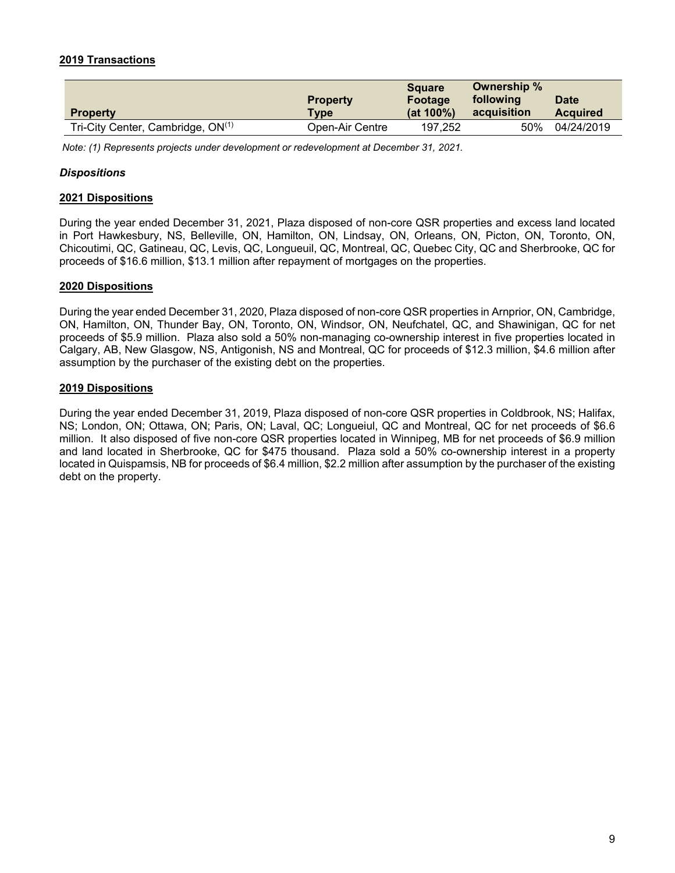# **2019 Transactions**

|                                        |                 | <b>Square</b> | Ownership % |                 |
|----------------------------------------|-----------------|---------------|-------------|-----------------|
|                                        | <b>Property</b> | Footage       | following   | <b>Date</b>     |
| <b>Property</b>                        | Type            | $(at 100\%)$  | acquisition | <b>Acquired</b> |
| Tri-City Center, Cambridge, $ON^{(1)}$ | Open-Air Centre | 197.252       | 50%         | 04/24/2019      |

 *Note: (1) Represents projects under development or redevelopment at December 31, 2021.* 

### *Dispositions*

### **2021 Dispositions**

During the year ended December 31, 2021, Plaza disposed of non-core QSR properties and excess land located in Port Hawkesbury, NS, Belleville, ON, Hamilton, ON, Lindsay, ON, Orleans, ON, Picton, ON, Toronto, ON, Chicoutimi, QC, Gatineau, QC, Levis, QC, Longueuil, QC, Montreal, QC, Quebec City, QC and Sherbrooke, QC for proceeds of \$16.6 million, \$13.1 million after repayment of mortgages on the properties.

### **2020 Dispositions**

During the year ended December 31, 2020, Plaza disposed of non-core QSR properties in Arnprior, ON, Cambridge, ON, Hamilton, ON, Thunder Bay, ON, Toronto, ON, Windsor, ON, Neufchatel, QC, and Shawinigan, QC for net proceeds of \$5.9 million. Plaza also sold a 50% non-managing co-ownership interest in five properties located in Calgary, AB, New Glasgow, NS, Antigonish, NS and Montreal, QC for proceeds of \$12.3 million, \$4.6 million after assumption by the purchaser of the existing debt on the properties.

### **2019 Dispositions**

During the year ended December 31, 2019, Plaza disposed of non-core QSR properties in Coldbrook, NS; Halifax, NS; London, ON; Ottawa, ON; Paris, ON; Laval, QC; Longueiul, QC and Montreal, QC for net proceeds of \$6.6 million. It also disposed of five non-core QSR properties located in Winnipeg, MB for net proceeds of \$6.9 million and land located in Sherbrooke, QC for \$475 thousand. Plaza sold a 50% co-ownership interest in a property located in Quispamsis, NB for proceeds of \$6.4 million, \$2.2 million after assumption by the purchaser of the existing debt on the property.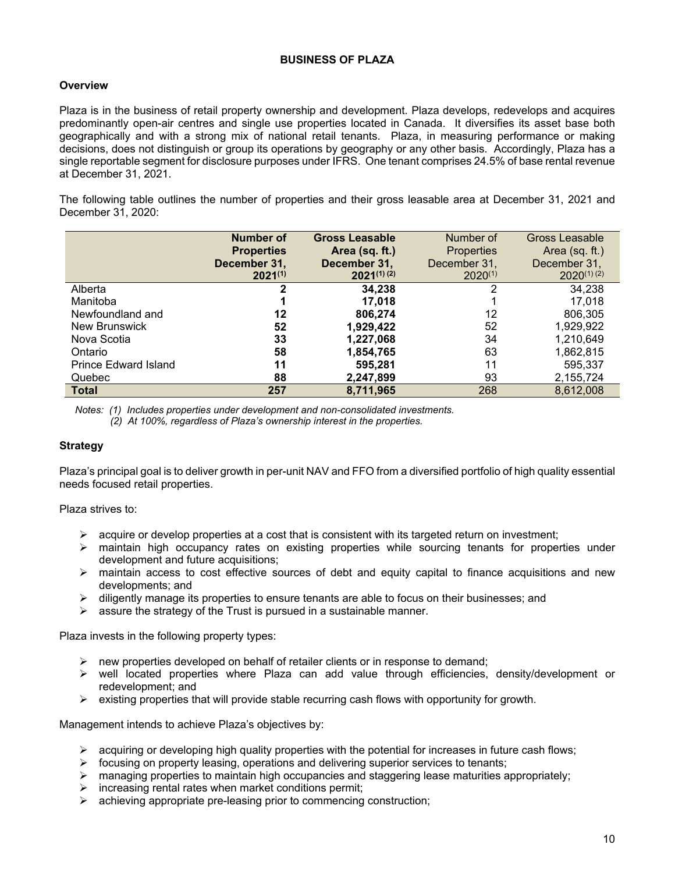# **BUSINESS OF PLAZA**

# **Overview**

Plaza is in the business of retail property ownership and development. Plaza develops, redevelops and acquires predominantly open-air centres and single use properties located in Canada. It diversifies its asset base both geographically and with a strong mix of national retail tenants. Plaza, in measuring performance or making decisions, does not distinguish or group its operations by geography or any other basis. Accordingly, Plaza has a single reportable segment for disclosure purposes under IFRS. One tenant comprises 24.5% of base rental revenue at December 31, 2021.

The following table outlines the number of properties and their gross leasable area at December 31, 2021 and December 31, 2020:

|                             | <b>Number of</b>  | <b>Gross Leasable</b> | Number of         | Gross Leasable  |
|-----------------------------|-------------------|-----------------------|-------------------|-----------------|
|                             | <b>Properties</b> | Area (sq. ft.)        | <b>Properties</b> | Area (sq. ft.)  |
|                             | December 31,      | December 31,          | December 31,      | December 31,    |
|                             | $2021^{(1)}$      | $2021^{(1)(2)}$       | $2020^{(1)}$      | $2020^{(1)(2)}$ |
| Alberta                     | 2                 | 34,238                | 2                 | 34,238          |
| Manitoba                    |                   | 17.018                |                   | 17.018          |
| Newfoundland and            | 12                | 806,274               | 12                | 806,305         |
| New Brunswick               | 52                | 1,929,422             | 52                | 1,929,922       |
| Nova Scotia                 | 33                | 1,227,068             | 34                | 1,210,649       |
| Ontario                     | 58                | 1,854,765             | 63                | 1,862,815       |
| <b>Prince Edward Island</b> | 11                | 595,281               | 11                | 595,337         |
| Quebec                      | 88                | 2,247,899             | 93                | 2,155,724       |
| <b>Total</b>                | 257               | 8,711,965             | 268               | 8,612,008       |

*Notes: (1) Includes properties under development and non-consolidated investments. (2) At 100%, regardless of Plaza's ownership interest in the properties.*

# **Strategy**

Plaza's principal goal is to deliver growth in per-unit NAV and FFO from a diversified portfolio of high quality essential needs focused retail properties.

Plaza strives to:

- $\triangleright$  acquire or develop properties at a cost that is consistent with its targeted return on investment;
- $\triangleright$  maintain high occupancy rates on existing properties while sourcing tenants for properties under development and future acquisitions;
- $\triangleright$  maintain access to cost effective sources of debt and equity capital to finance acquisitions and new developments; and
- $\triangleright$  diligently manage its properties to ensure tenants are able to focus on their businesses; and
- $\triangleright$  assure the strategy of the Trust is pursued in a sustainable manner.

Plaza invests in the following property types:

- $\triangleright$  new properties developed on behalf of retailer clients or in response to demand;
- $\triangleright$  well located properties where Plaza can add value through efficiencies, density/development or redevelopment; and
- $\triangleright$  existing properties that will provide stable recurring cash flows with opportunity for growth.

Management intends to achieve Plaza's objectives by:

- $\triangleright$  acquiring or developing high quality properties with the potential for increases in future cash flows;
- $\triangleright$  focusing on property leasing, operations and delivering superior services to tenants;
- $\triangleright$  managing properties to maintain high occupancies and staggering lease maturities appropriately;
- $\triangleright$  increasing rental rates when market conditions permit;
- $\triangleright$  achieving appropriate pre-leasing prior to commencing construction;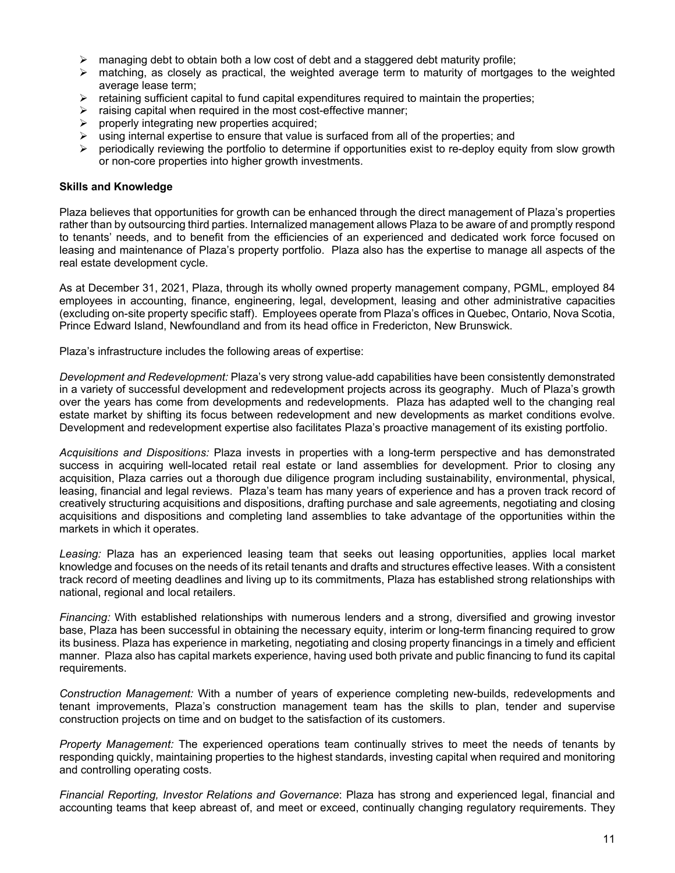- $\triangleright$  managing debt to obtain both a low cost of debt and a staggered debt maturity profile;
- $\triangleright$  matching, as closely as practical, the weighted average term to maturity of mortgages to the weighted average lease term;
- $\triangleright$  retaining sufficient capital to fund capital expenditures required to maintain the properties;
- $\triangleright$  raising capital when required in the most cost-effective manner;
- $\triangleright$  properly integrating new properties acquired;
- $\triangleright$  using internal expertise to ensure that value is surfaced from all of the properties; and
- periodically reviewing the portfolio to determine if opportunities exist to re-deploy equity from slow growth or non-core properties into higher growth investments.

### **Skills and Knowledge**

Plaza believes that opportunities for growth can be enhanced through the direct management of Plaza's properties rather than by outsourcing third parties. Internalized management allows Plaza to be aware of and promptly respond to tenants' needs, and to benefit from the efficiencies of an experienced and dedicated work force focused on leasing and maintenance of Plaza's property portfolio. Plaza also has the expertise to manage all aspects of the real estate development cycle.

As at December 31, 2021, Plaza, through its wholly owned property management company, PGML, employed 84 employees in accounting, finance, engineering, legal, development, leasing and other administrative capacities (excluding on-site property specific staff). Employees operate from Plaza's offices in Quebec, Ontario, Nova Scotia, Prince Edward Island, Newfoundland and from its head office in Fredericton, New Brunswick.

Plaza's infrastructure includes the following areas of expertise:

*Development and Redevelopment:* Plaza's very strong value-add capabilities have been consistently demonstrated in a variety of successful development and redevelopment projects across its geography. Much of Plaza's growth over the years has come from developments and redevelopments. Plaza has adapted well to the changing real estate market by shifting its focus between redevelopment and new developments as market conditions evolve. Development and redevelopment expertise also facilitates Plaza's proactive management of its existing portfolio.

*Acquisitions and Dispositions:* Plaza invests in properties with a long-term perspective and has demonstrated success in acquiring well-located retail real estate or land assemblies for development. Prior to closing any acquisition, Plaza carries out a thorough due diligence program including sustainability, environmental, physical, leasing, financial and legal reviews. Plaza's team has many years of experience and has a proven track record of creatively structuring acquisitions and dispositions, drafting purchase and sale agreements, negotiating and closing acquisitions and dispositions and completing land assemblies to take advantage of the opportunities within the markets in which it operates.

*Leasing:* Plaza has an experienced leasing team that seeks out leasing opportunities, applies local market knowledge and focuses on the needs of its retail tenants and drafts and structures effective leases. With a consistent track record of meeting deadlines and living up to its commitments, Plaza has established strong relationships with national, regional and local retailers.

*Financing:* With established relationships with numerous lenders and a strong, diversified and growing investor base, Plaza has been successful in obtaining the necessary equity, interim or long-term financing required to grow its business. Plaza has experience in marketing, negotiating and closing property financings in a timely and efficient manner. Plaza also has capital markets experience, having used both private and public financing to fund its capital requirements.

*Construction Management:* With a number of years of experience completing new-builds, redevelopments and tenant improvements, Plaza's construction management team has the skills to plan, tender and supervise construction projects on time and on budget to the satisfaction of its customers.

*Property Management:* The experienced operations team continually strives to meet the needs of tenants by responding quickly, maintaining properties to the highest standards, investing capital when required and monitoring and controlling operating costs.

*Financial Reporting, Investor Relations and Governance*: Plaza has strong and experienced legal, financial and accounting teams that keep abreast of, and meet or exceed, continually changing regulatory requirements. They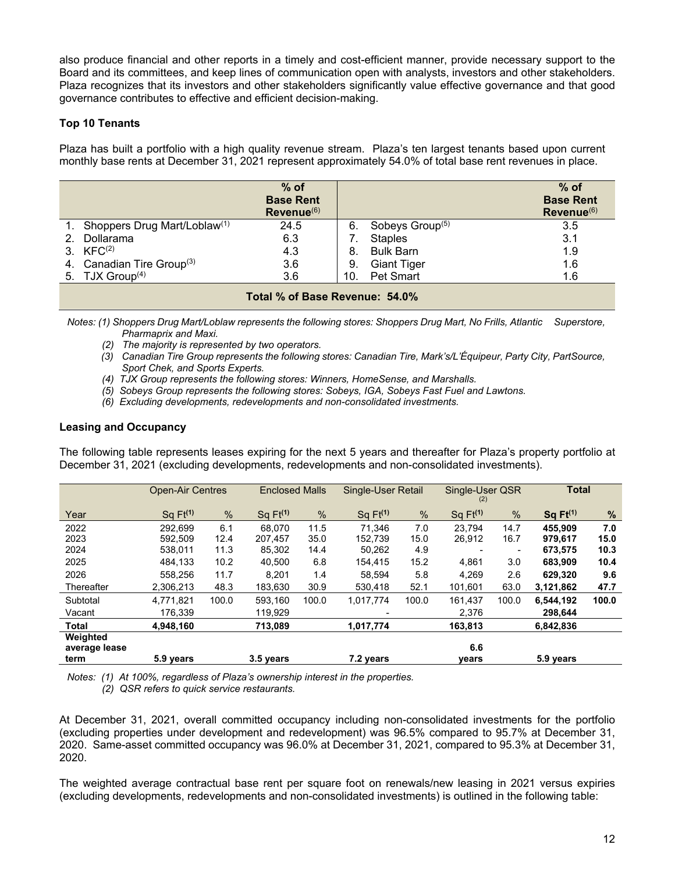also produce financial and other reports in a timely and cost-efficient manner, provide necessary support to the Board and its committees, and keep lines of communication open with analysts, investors and other stakeholders. Plaza recognizes that its investors and other stakeholders significantly value effective governance and that good governance contributes to effective and efficient decision-making.

# **Top 10 Tenants**

Plaza has built a portfolio with a high quality revenue stream. Plaza's ten largest tenants based upon current monthly base rents at December 31, 2021 represent approximately 54.0% of total base rent revenues in place.

|                                             | $%$ of<br><b>Base Rent</b><br>Revenue <sup>(6)</sup> |     |                             | $%$ of<br><b>Base Rent</b><br>$Revenue^{(6)}$ |  |  |  |  |
|---------------------------------------------|------------------------------------------------------|-----|-----------------------------|-----------------------------------------------|--|--|--|--|
| 1. Shoppers Drug Mart/Loblaw <sup>(1)</sup> | 24.5                                                 | 6.  | Sobeys Group <sup>(5)</sup> | 3.5                                           |  |  |  |  |
| Dollarama                                   | 6.3                                                  |     | <b>Staples</b>              | 3.1                                           |  |  |  |  |
| 3. $KFC^{(2)}$                              | 4.3                                                  | 8.  | <b>Bulk Barn</b>            | 1.9                                           |  |  |  |  |
| 4. Canadian Tire Group <sup>(3)</sup>       | 3.6                                                  | 9.  | <b>Giant Tiger</b>          | 1.6                                           |  |  |  |  |
| 5. TJX Group <sup>(4)</sup>                 | 3.6                                                  | 10. | Pet Smart                   | 1.6                                           |  |  |  |  |
| $T - 10$ $\ell$ $R - 10$                    |                                                      |     |                             |                                               |  |  |  |  |

**Total % of Base Revenue: 54.0%** 

*Notes: (1) Shoppers Drug Mart/Loblaw represents the following stores: Shoppers Drug Mart, No Frills, Atlantic Superstore, Pharmaprix and Maxi.* 

- *(2) The majority is represented by two operators.*
- *(3) Canadian Tire Group represents the following stores: Canadian Tire, Mark's/L'Équipeur, Party City, PartSource, Sport Chek, and Sports Experts.*
- *(4) TJX Group represents the following stores: Winners, HomeSense, and Marshalls.*
- *(5) Sobeys Group represents the following stores: Sobeys, IGA, Sobeys Fast Fuel and Lawtons.*
- *(6) Excluding developments, redevelopments and non-consolidated investments.*

### **Leasing and Occupancy**

The following table represents leases expiring for the next 5 years and thereafter for Plaza's property portfolio at December 31, 2021 (excluding developments, redevelopments and non-consolidated investments).

|                                   | Open-Air Centres      |               | <b>Enclosed Malls</b> |       | Single-User Retail    |       | Single-User QSR<br>(2) |               | <b>Total</b>        |       |
|-----------------------------------|-----------------------|---------------|-----------------------|-------|-----------------------|-------|------------------------|---------------|---------------------|-------|
| Year                              | Sa F <sub>t</sub> (1) | $\frac{0}{0}$ | Sa F <sub>t</sub> (1) | $\%$  | Sa F <sub>t</sub> (1) | %     | Sa F <sub>t</sub> (1)  | $\frac{9}{6}$ | Sq F <sup>(1)</sup> | %     |
| 2022                              | 292.699               | 6.1           | 68.070                | 11.5  | 71.346                | 7.0   | 23.794                 | 14.7          | 455.909             | 7.0   |
| 2023                              | 592.509               | 12.4          | 207.457               | 35.0  | 152.739               | 15.0  | 26.912                 | 16.7          | 979.617             | 15.0  |
| 2024                              | 538,011               | 11.3          | 85,302                | 14.4  | 50,262                | 4.9   |                        | -             | 673,575             | 10.3  |
| 2025                              | 484.133               | 10.2          | 40.500                | 6.8   | 154,415               | 15.2  | 4,861                  | 3.0           | 683,909             | 10.4  |
| 2026                              | 558.256               | 11.7          | 8.201                 | 1.4   | 58.594                | 5.8   | 4.269                  | 2.6           | 629,320             | 9.6   |
| Thereafter                        | 2.306.213             | 48.3          | 183.630               | 30.9  | 530.418               | 52.1  | 101.601                | 63.0          | 3,121,862           | 47.7  |
| Subtotal                          | 4,771,821             | 100.0         | 593,160               | 100.0 | 1,017,774             | 100.0 | 161,437                | 100.0         | 6,544,192           | 100.0 |
| Vacant                            | 176,339               |               | 119,929               |       |                       |       | 2,376                  |               | 298,644             |       |
| <b>Total</b>                      | 4.948.160             |               | 713.089               |       | 1,017,774             |       | 163,813                |               | 6,842,836           |       |
| Weighted<br>average lease<br>term | 5.9 years             |               | 3.5 years             |       | 7.2 years             |       | 6.6<br>vears           |               | 5.9 years           |       |

*Notes: (1) At 100%, regardless of Plaza's ownership interest in the properties. (2) QSR refers to quick service restaurants.*

At December 31, 2021, overall committed occupancy including non-consolidated investments for the portfolio (excluding properties under development and redevelopment) was 96.5% compared to 95.7% at December 31, 2020. Same-asset committed occupancy was 96.0% at December 31, 2021, compared to 95.3% at December 31, 2020.

The weighted average contractual base rent per square foot on renewals/new leasing in 2021 versus expiries (excluding developments, redevelopments and non-consolidated investments) is outlined in the following table: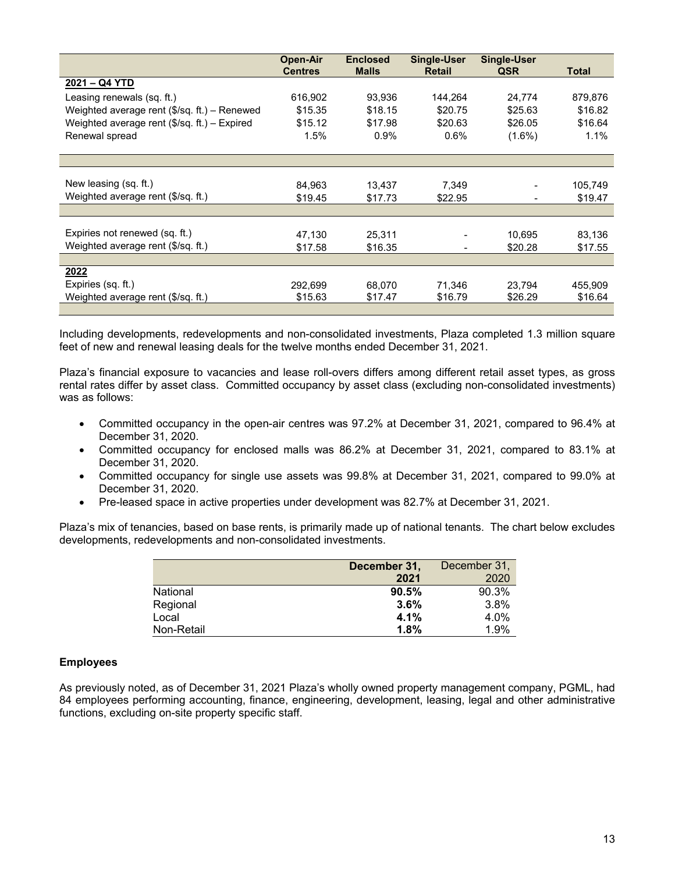|                                              | <b>Open-Air</b><br><b>Centres</b> | <b>Enclosed</b><br><b>Malls</b> | <b>Single-User</b><br><b>Retail</b> | <b>Single-User</b><br><b>QSR</b> | <b>Total</b> |
|----------------------------------------------|-----------------------------------|---------------------------------|-------------------------------------|----------------------------------|--------------|
| 2021 - Q4 YTD                                |                                   |                                 |                                     |                                  |              |
| Leasing renewals (sq. ft.)                   | 616,902                           | 93,936                          | 144,264                             | 24,774                           | 879,876      |
| Weighted average rent (\$/sq. ft.) - Renewed | \$15.35                           | \$18.15                         | \$20.75                             | \$25.63                          | \$16.82      |
| Weighted average rent (\$/sq. ft.) - Expired | \$15.12                           | \$17.98                         | \$20.63                             | \$26.05                          | \$16.64      |
| Renewal spread                               | 1.5%                              | 0.9%                            | 0.6%                                | $(1.6\%)$                        | 1.1%         |
|                                              |                                   |                                 |                                     |                                  |              |
|                                              |                                   |                                 |                                     |                                  |              |
| New leasing (sq. ft.)                        | 84.963                            | 13,437                          | 7,349                               |                                  | 105,749      |
| Weighted average rent (\$/sq. ft.)           | \$19.45                           | \$17.73                         | \$22.95                             |                                  | \$19.47      |
|                                              |                                   |                                 |                                     |                                  |              |
|                                              |                                   |                                 |                                     |                                  |              |
| Expiries not renewed (sq. ft.)               | 47,130                            | 25,311                          |                                     | 10,695                           | 83,136       |
| Weighted average rent (\$/sg. ft.)           | \$17.58                           | \$16.35                         |                                     | \$20.28                          | \$17.55      |
|                                              |                                   |                                 |                                     |                                  |              |
| 2022                                         |                                   |                                 |                                     |                                  |              |
| Expiries (sq. ft.)                           | 292,699                           | 68,070                          | 71,346                              | 23,794                           | 455,909      |
| Weighted average rent (\$/sq. ft.)           | \$15.63                           | \$17.47                         | \$16.79                             | \$26.29                          | \$16.64      |
|                                              |                                   |                                 |                                     |                                  |              |

Including developments, redevelopments and non-consolidated investments, Plaza completed 1.3 million square feet of new and renewal leasing deals for the twelve months ended December 31, 2021.

Plaza's financial exposure to vacancies and lease roll-overs differs among different retail asset types, as gross rental rates differ by asset class. Committed occupancy by asset class (excluding non-consolidated investments) was as follows:

- Committed occupancy in the open-air centres was 97.2% at December 31, 2021, compared to 96.4% at December 31, 2020.
- Committed occupancy for enclosed malls was 86.2% at December 31, 2021, compared to 83.1% at December 31, 2020.
- Committed occupancy for single use assets was 99.8% at December 31, 2021, compared to 99.0% at December 31, 2020.
- Pre-leased space in active properties under development was 82.7% at December 31, 2021.

Plaza's mix of tenancies, based on base rents, is primarily made up of national tenants. The chart below excludes developments, redevelopments and non-consolidated investments.

|            | December 31, | December 31, |
|------------|--------------|--------------|
|            | 2021         | 2020         |
| National   | 90.5%        | 90.3%        |
| Regional   | 3.6%         | 3.8%         |
| Local      | 4.1%         | 4.0%         |
| Non-Retail | 1.8%         | 1.9%         |

### **Employees**

As previously noted, as of December 31, 2021 Plaza's wholly owned property management company, PGML, had 84 employees performing accounting, finance, engineering, development, leasing, legal and other administrative functions, excluding on-site property specific staff.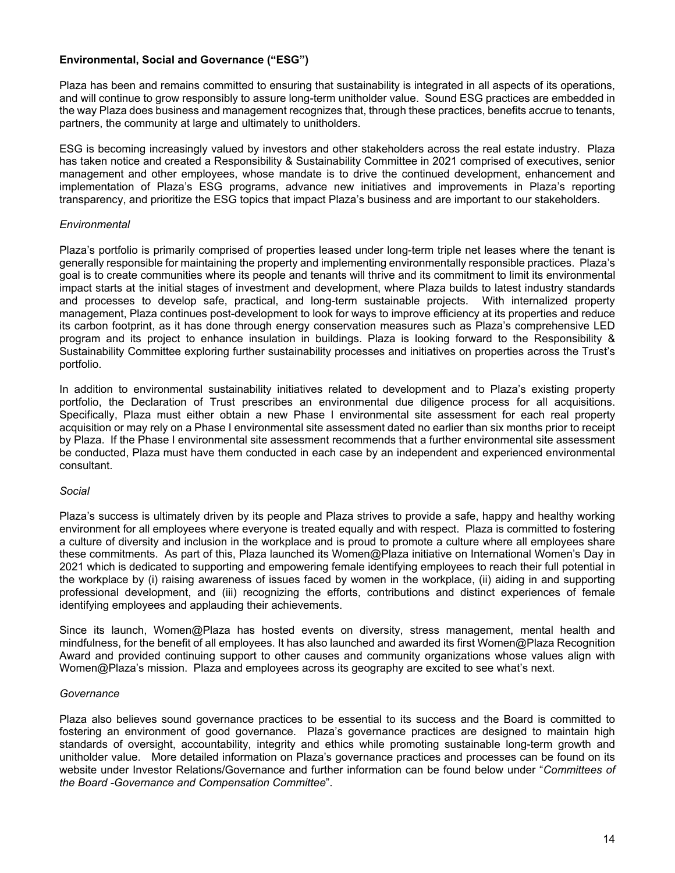# **Environmental, Social and Governance ("ESG")**

Plaza has been and remains committed to ensuring that sustainability is integrated in all aspects of its operations, and will continue to grow responsibly to assure long-term unitholder value. Sound ESG practices are embedded in the way Plaza does business and management recognizes that, through these practices, benefits accrue to tenants, partners, the community at large and ultimately to unitholders.

ESG is becoming increasingly valued by investors and other stakeholders across the real estate industry. Plaza has taken notice and created a Responsibility & Sustainability Committee in 2021 comprised of executives, senior management and other employees, whose mandate is to drive the continued development, enhancement and implementation of Plaza's ESG programs, advance new initiatives and improvements in Plaza's reporting transparency, and prioritize the ESG topics that impact Plaza's business and are important to our stakeholders.

# *Environmental*

Plaza's portfolio is primarily comprised of properties leased under long-term triple net leases where the tenant is generally responsible for maintaining the property and implementing environmentally responsible practices. Plaza's goal is to create communities where its people and tenants will thrive and its commitment to limit its environmental impact starts at the initial stages of investment and development, where Plaza builds to latest industry standards and processes to develop safe, practical, and long-term sustainable projects. With internalized property management, Plaza continues post-development to look for ways to improve efficiency at its properties and reduce its carbon footprint, as it has done through energy conservation measures such as Plaza's comprehensive LED program and its project to enhance insulation in buildings. Plaza is looking forward to the Responsibility & Sustainability Committee exploring further sustainability processes and initiatives on properties across the Trust's portfolio.

In addition to environmental sustainability initiatives related to development and to Plaza's existing property portfolio, the Declaration of Trust prescribes an environmental due diligence process for all acquisitions. Specifically, Plaza must either obtain a new Phase I environmental site assessment for each real property acquisition or may rely on a Phase I environmental site assessment dated no earlier than six months prior to receipt by Plaza. If the Phase I environmental site assessment recommends that a further environmental site assessment be conducted, Plaza must have them conducted in each case by an independent and experienced environmental consultant.

### *Social*

Plaza's success is ultimately driven by its people and Plaza strives to provide a safe, happy and healthy working environment for all employees where everyone is treated equally and with respect. Plaza is committed to fostering a culture of diversity and inclusion in the workplace and is proud to promote a culture where all employees share these commitments. As part of this, Plaza launched its Women@Plaza initiative on International Women's Day in 2021 which is dedicated to supporting and empowering female identifying employees to reach their full potential in the workplace by (i) raising awareness of issues faced by women in the workplace, (ii) aiding in and supporting professional development, and (iii) recognizing the efforts, contributions and distinct experiences of female identifying employees and applauding their achievements.

Since its launch, Women@Plaza has hosted events on diversity, stress management, mental health and mindfulness, for the benefit of all employees. It has also launched and awarded its first Women@Plaza Recognition Award and provided continuing support to other causes and community organizations whose values align with Women@Plaza's mission. Plaza and employees across its geography are excited to see what's next.

### *Governance*

Plaza also believes sound governance practices to be essential to its success and the Board is committed to fostering an environment of good governance. Plaza's governance practices are designed to maintain high standards of oversight, accountability, integrity and ethics while promoting sustainable long-term growth and unitholder value. More detailed information on Plaza's governance practices and processes can be found on its website under Investor Relations/Governance and further information can be found below under "*Committees of the Board -Governance and Compensation Committee*".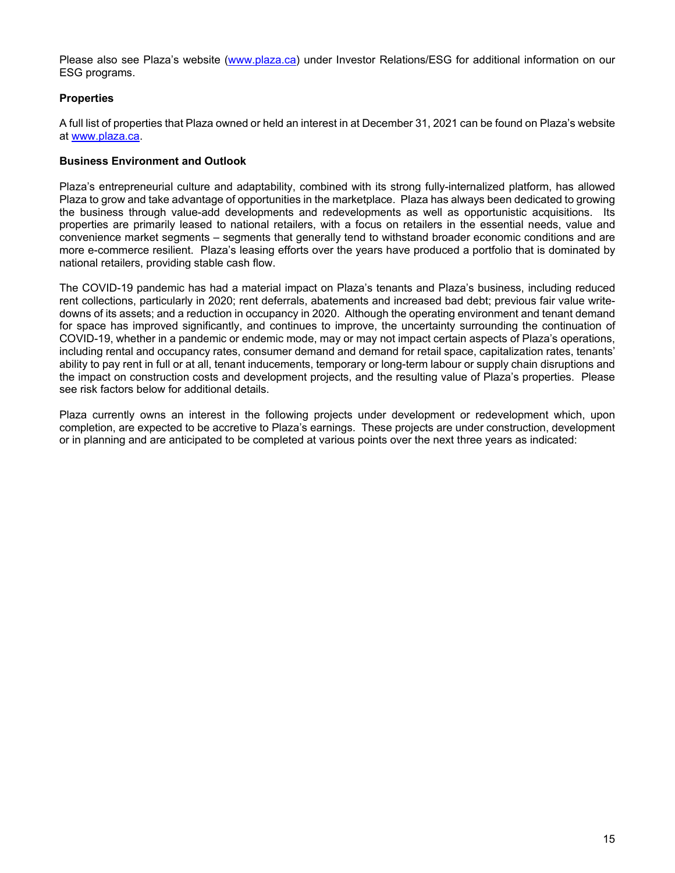Please also see Plaza's website (www.plaza.ca) under Investor Relations/ESG for additional information on our ESG programs.

# **Properties**

A full list of properties that Plaza owned or held an interest in at December 31, 2021 can be found on Plaza's website at www.plaza.ca.

### **Business Environment and Outlook**

Plaza's entrepreneurial culture and adaptability, combined with its strong fully-internalized platform, has allowed Plaza to grow and take advantage of opportunities in the marketplace. Plaza has always been dedicated to growing the business through value-add developments and redevelopments as well as opportunistic acquisitions. Its properties are primarily leased to national retailers, with a focus on retailers in the essential needs, value and convenience market segments – segments that generally tend to withstand broader economic conditions and are more e-commerce resilient. Plaza's leasing efforts over the years have produced a portfolio that is dominated by national retailers, providing stable cash flow.

The COVID-19 pandemic has had a material impact on Plaza's tenants and Plaza's business, including reduced rent collections, particularly in 2020; rent deferrals, abatements and increased bad debt; previous fair value writedowns of its assets; and a reduction in occupancy in 2020. Although the operating environment and tenant demand for space has improved significantly, and continues to improve, the uncertainty surrounding the continuation of COVID-19, whether in a pandemic or endemic mode, may or may not impact certain aspects of Plaza's operations, including rental and occupancy rates, consumer demand and demand for retail space, capitalization rates, tenants' ability to pay rent in full or at all, tenant inducements, temporary or long-term labour or supply chain disruptions and the impact on construction costs and development projects, and the resulting value of Plaza's properties. Please see risk factors below for additional details.

Plaza currently owns an interest in the following projects under development or redevelopment which, upon completion, are expected to be accretive to Plaza's earnings. These projects are under construction, development or in planning and are anticipated to be completed at various points over the next three years as indicated: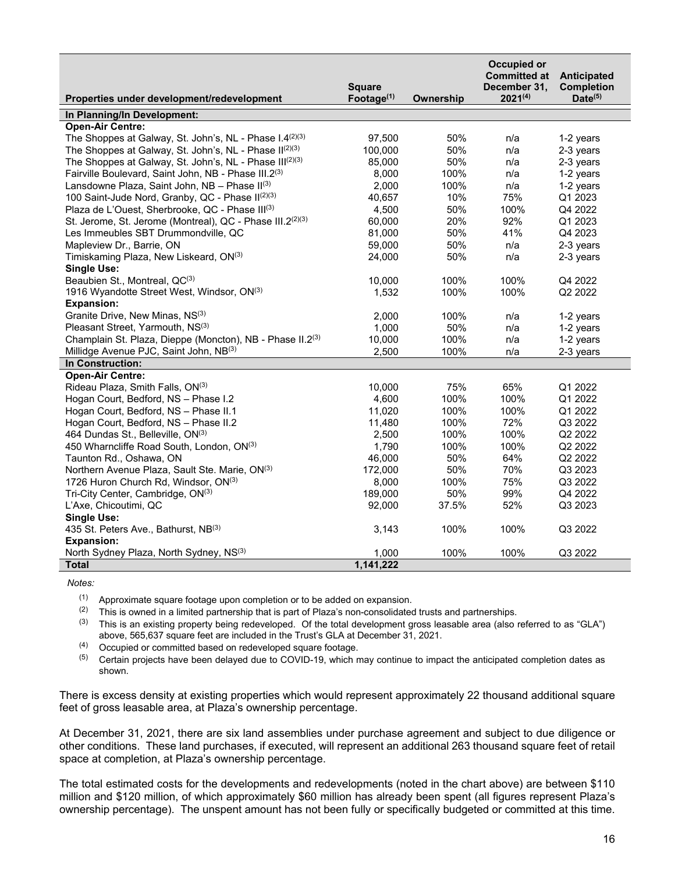|                                                           | <b>Square</b> |           | Occupied or<br><b>Committed at</b><br>December 31, | Anticipated<br><b>Completion</b> |
|-----------------------------------------------------------|---------------|-----------|----------------------------------------------------|----------------------------------|
| Properties under development/redevelopment                | Footage $(1)$ | Ownership | $2021^{(4)}$                                       | $Date^{(5)}$                     |
| In Planning/In Development:                               |               |           |                                                    |                                  |
| <b>Open-Air Centre:</b>                                   |               |           |                                                    |                                  |
| The Shoppes at Galway, St. John's, NL - Phase I.4(2)(3)   | 97,500        | 50%       | n/a                                                | 1-2 years                        |
| The Shoppes at Galway, St. John's, NL - Phase II(2)(3)    | 100,000       | 50%       | n/a                                                | 2-3 years                        |
| The Shoppes at Galway, St. John's, NL - Phase III(2)(3)   | 85,000        | 50%       | n/a                                                | 2-3 years                        |
| Fairville Boulevard, Saint John, NB - Phase III.2(3)      | 8,000         | 100%      | n/a                                                | 1-2 years                        |
| Lansdowne Plaza, Saint John, NB - Phase II(3)             | 2,000         | 100%      | n/a                                                | 1-2 years                        |
| 100 Saint-Jude Nord, Granby, QC - Phase II(2)(3)          | 40,657        | 10%       | 75%                                                | Q1 2023                          |
| Plaza de L'Ouest, Sherbrooke, QC - Phase III(3)           | 4,500         | 50%       | 100%                                               | Q4 2022                          |
| St. Jerome, St. Jerome (Montreal), QC - Phase III.2(2)(3) | 60,000        | 20%       | 92%                                                | Q1 2023                          |
| Les Immeubles SBT Drummondville, QC                       | 81,000        | 50%       | 41%                                                | Q4 2023                          |
| Mapleview Dr., Barrie, ON                                 | 59,000        | 50%       | n/a                                                | 2-3 years                        |
| Timiskaming Plaza, New Liskeard, ON(3)                    | 24,000        | 50%       | n/a                                                | 2-3 years                        |
| Single Use:                                               |               |           |                                                    |                                  |
| Beaubien St., Montreal, QC(3)                             | 10,000        | 100%      | 100%                                               | Q4 2022                          |
| 1916 Wyandotte Street West, Windsor, ON(3)                | 1,532         | 100%      | 100%                                               | Q2 2022                          |
| <b>Expansion:</b>                                         |               |           |                                                    |                                  |
| Granite Drive, New Minas, NS(3)                           | 2,000         | 100%      | n/a                                                | 1-2 years                        |
| Pleasant Street, Yarmouth, NS(3)                          | 1,000         | 50%       | n/a                                                | 1-2 years                        |
| Champlain St. Plaza, Dieppe (Moncton), NB - Phase II.2(3) | 10,000        | 100%      | n/a                                                | 1-2 years                        |
| Millidge Avenue PJC, Saint John, NB(3)                    | 2,500         | 100%      | n/a                                                | 2-3 years                        |
| In Construction:                                          |               |           |                                                    |                                  |
| <b>Open-Air Centre:</b>                                   |               |           |                                                    |                                  |
| Rideau Plaza, Smith Falls, ON(3)                          | 10,000        | 75%       | 65%                                                | Q1 2022                          |
| Hogan Court, Bedford, NS - Phase I.2                      | 4,600         | 100%      | 100%                                               | Q1 2022                          |
| Hogan Court, Bedford, NS - Phase II.1                     | 11,020        | 100%      | 100%                                               | Q1 2022                          |
| Hogan Court, Bedford, NS - Phase II.2                     | 11,480        | 100%      | 72%                                                | Q3 2022                          |
| 464 Dundas St., Belleville, ON(3)                         | 2,500         | 100%      | 100%                                               | Q2 2022                          |
| 450 Wharncliffe Road South, London, ON(3)                 | 1,790         | 100%      | 100%                                               | Q2 2022                          |
| Taunton Rd., Oshawa, ON                                   | 46,000        | 50%       | 64%                                                | Q2 2022                          |
| Northern Avenue Plaza, Sault Ste. Marie, ON(3)            | 172,000       | 50%       | 70%                                                | Q3 2023                          |
| 1726 Huron Church Rd, Windsor, ON(3)                      | 8,000         | 100%      | 75%                                                | Q3 2022                          |
| Tri-City Center, Cambridge, ON(3)                         | 189,000       | 50%       | 99%                                                | Q4 2022                          |
| L'Axe, Chicoutimi, QC                                     | 92,000        | 37.5%     | 52%                                                | Q3 2023                          |
| <b>Single Use:</b>                                        |               |           |                                                    |                                  |
| 435 St. Peters Ave., Bathurst, NB(3)                      | 3,143         | 100%      | 100%                                               | Q3 2022                          |
| <b>Expansion:</b>                                         |               |           |                                                    |                                  |
| North Sydney Plaza, North Sydney, NS(3)                   | 1.000         | 100%      | 100%                                               | Q3 2022                          |
| <b>Total</b>                                              | 1,141,222     |           |                                                    |                                  |
|                                                           |               |           |                                                    |                                  |

*Notes:* 

 $(1)$  Approximate square footage upon completion or to be added on expansion.

 $(2)$  This is owned in a limited partnership that is part of Plaza's non-consolidated trusts and partnerships.

 $(3)$  This is an existing property being redeveloped. Of the total development gross leasable area (also referred to as "GLA") above, 565,637 square feet are included in the Trust's GLA at December 31, 2021.

(4) Occupied or committed based on redeveloped square footage.

 $(5)$  Certain projects have been delayed due to COVID-19, which may continue to impact the anticipated completion dates as shown.

There is excess density at existing properties which would represent approximately 22 thousand additional square feet of gross leasable area, at Plaza's ownership percentage.

At December 31, 2021, there are six land assemblies under purchase agreement and subject to due diligence or other conditions. These land purchases, if executed, will represent an additional 263 thousand square feet of retail space at completion, at Plaza's ownership percentage.

The total estimated costs for the developments and redevelopments (noted in the chart above) are between \$110 million and \$120 million, of which approximately \$60 million has already been spent (all figures represent Plaza's ownership percentage). The unspent amount has not been fully or specifically budgeted or committed at this time.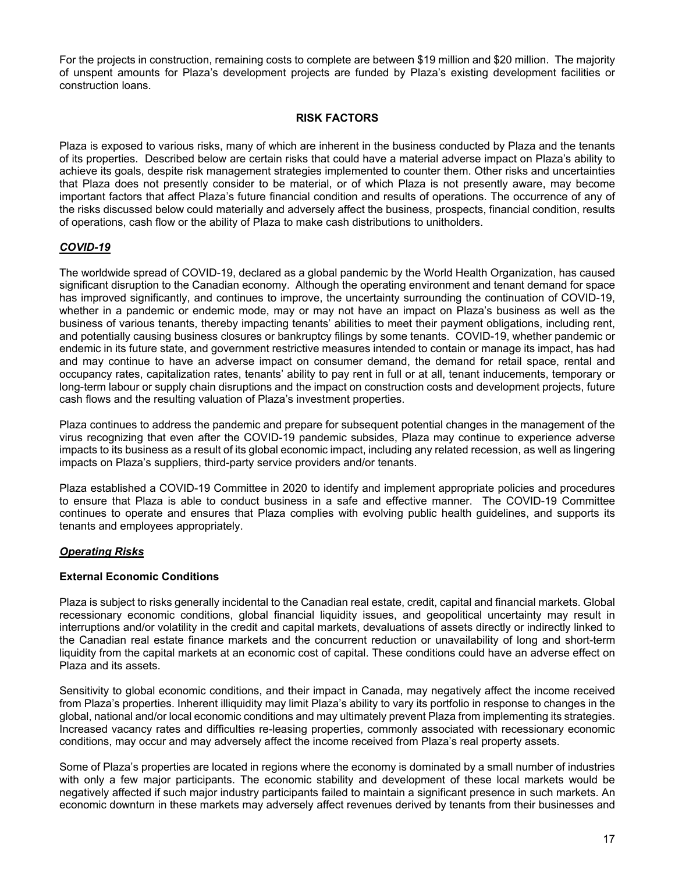For the projects in construction, remaining costs to complete are between \$19 million and \$20 million. The majority of unspent amounts for Plaza's development projects are funded by Plaza's existing development facilities or construction loans.

### **RISK FACTORS**

Plaza is exposed to various risks, many of which are inherent in the business conducted by Plaza and the tenants of its properties. Described below are certain risks that could have a material adverse impact on Plaza's ability to achieve its goals, despite risk management strategies implemented to counter them. Other risks and uncertainties that Plaza does not presently consider to be material, or of which Plaza is not presently aware, may become important factors that affect Plaza's future financial condition and results of operations. The occurrence of any of the risks discussed below could materially and adversely affect the business, prospects, financial condition, results of operations, cash flow or the ability of Plaza to make cash distributions to unitholders.

# *COVID-19*

The worldwide spread of COVID-19, declared as a global pandemic by the World Health Organization, has caused significant disruption to the Canadian economy. Although the operating environment and tenant demand for space has improved significantly, and continues to improve, the uncertainty surrounding the continuation of COVID-19, whether in a pandemic or endemic mode, may or may not have an impact on Plaza's business as well as the business of various tenants, thereby impacting tenants' abilities to meet their payment obligations, including rent, and potentially causing business closures or bankruptcy filings by some tenants. COVID-19, whether pandemic or endemic in its future state, and government restrictive measures intended to contain or manage its impact, has had and may continue to have an adverse impact on consumer demand, the demand for retail space, rental and occupancy rates, capitalization rates, tenants' ability to pay rent in full or at all, tenant inducements, temporary or long-term labour or supply chain disruptions and the impact on construction costs and development projects, future cash flows and the resulting valuation of Plaza's investment properties.

Plaza continues to address the pandemic and prepare for subsequent potential changes in the management of the virus recognizing that even after the COVID-19 pandemic subsides, Plaza may continue to experience adverse impacts to its business as a result of its global economic impact, including any related recession, as well as lingering impacts on Plaza's suppliers, third-party service providers and/or tenants.

Plaza established a COVID-19 Committee in 2020 to identify and implement appropriate policies and procedures to ensure that Plaza is able to conduct business in a safe and effective manner. The COVID-19 Committee continues to operate and ensures that Plaza complies with evolving public health guidelines, and supports its tenants and employees appropriately.

# *Operating Risks*

### **External Economic Conditions**

Plaza is subject to risks generally incidental to the Canadian real estate, credit, capital and financial markets. Global recessionary economic conditions, global financial liquidity issues, and geopolitical uncertainty may result in interruptions and/or volatility in the credit and capital markets, devaluations of assets directly or indirectly linked to the Canadian real estate finance markets and the concurrent reduction or unavailability of long and short-term liquidity from the capital markets at an economic cost of capital. These conditions could have an adverse effect on Plaza and its assets.

Sensitivity to global economic conditions, and their impact in Canada, may negatively affect the income received from Plaza's properties. Inherent illiquidity may limit Plaza's ability to vary its portfolio in response to changes in the global, national and/or local economic conditions and may ultimately prevent Plaza from implementing its strategies. Increased vacancy rates and difficulties re-leasing properties, commonly associated with recessionary economic conditions, may occur and may adversely affect the income received from Plaza's real property assets.

Some of Plaza's properties are located in regions where the economy is dominated by a small number of industries with only a few major participants. The economic stability and development of these local markets would be negatively affected if such major industry participants failed to maintain a significant presence in such markets. An economic downturn in these markets may adversely affect revenues derived by tenants from their businesses and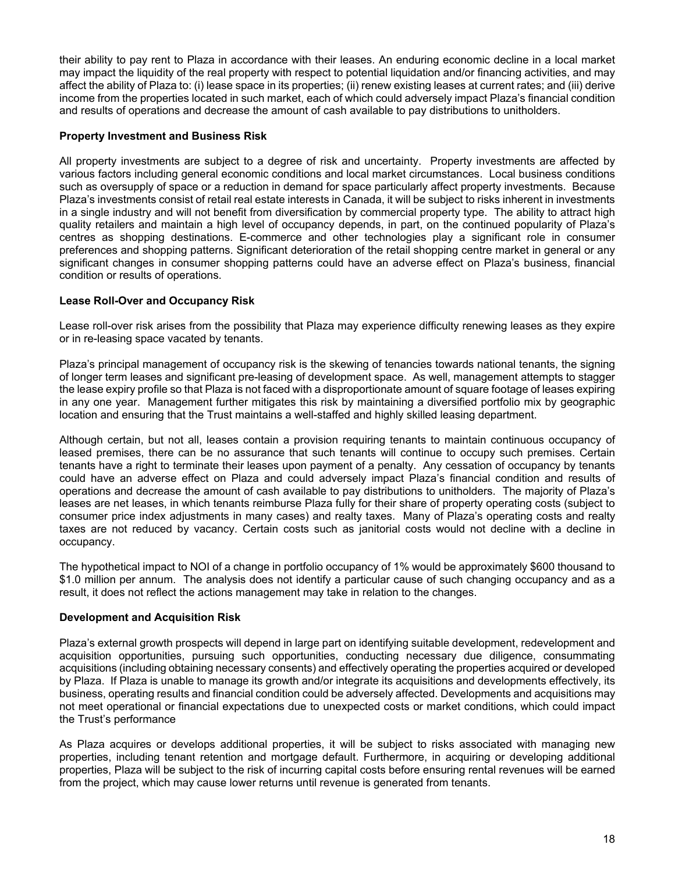their ability to pay rent to Plaza in accordance with their leases. An enduring economic decline in a local market may impact the liquidity of the real property with respect to potential liquidation and/or financing activities, and may affect the ability of Plaza to: (i) lease space in its properties; (ii) renew existing leases at current rates; and (iii) derive income from the properties located in such market, each of which could adversely impact Plaza's financial condition and results of operations and decrease the amount of cash available to pay distributions to unitholders.

# **Property Investment and Business Risk**

All property investments are subject to a degree of risk and uncertainty. Property investments are affected by various factors including general economic conditions and local market circumstances. Local business conditions such as oversupply of space or a reduction in demand for space particularly affect property investments. Because Plaza's investments consist of retail real estate interests in Canada, it will be subject to risks inherent in investments in a single industry and will not benefit from diversification by commercial property type. The ability to attract high quality retailers and maintain a high level of occupancy depends, in part, on the continued popularity of Plaza's centres as shopping destinations. E-commerce and other technologies play a significant role in consumer preferences and shopping patterns. Significant deterioration of the retail shopping centre market in general or any significant changes in consumer shopping patterns could have an adverse effect on Plaza's business, financial condition or results of operations.

### **Lease Roll-Over and Occupancy Risk**

Lease roll-over risk arises from the possibility that Plaza may experience difficulty renewing leases as they expire or in re-leasing space vacated by tenants.

Plaza's principal management of occupancy risk is the skewing of tenancies towards national tenants, the signing of longer term leases and significant pre-leasing of development space. As well, management attempts to stagger the lease expiry profile so that Plaza is not faced with a disproportionate amount of square footage of leases expiring in any one year. Management further mitigates this risk by maintaining a diversified portfolio mix by geographic location and ensuring that the Trust maintains a well-staffed and highly skilled leasing department.

Although certain, but not all, leases contain a provision requiring tenants to maintain continuous occupancy of leased premises, there can be no assurance that such tenants will continue to occupy such premises. Certain tenants have a right to terminate their leases upon payment of a penalty. Any cessation of occupancy by tenants could have an adverse effect on Plaza and could adversely impact Plaza's financial condition and results of operations and decrease the amount of cash available to pay distributions to unitholders. The majority of Plaza's leases are net leases, in which tenants reimburse Plaza fully for their share of property operating costs (subject to consumer price index adjustments in many cases) and realty taxes. Many of Plaza's operating costs and realty taxes are not reduced by vacancy. Certain costs such as janitorial costs would not decline with a decline in occupancy.

The hypothetical impact to NOI of a change in portfolio occupancy of 1% would be approximately \$600 thousand to \$1.0 million per annum. The analysis does not identify a particular cause of such changing occupancy and as a result, it does not reflect the actions management may take in relation to the changes.

### **Development and Acquisition Risk**

Plaza's external growth prospects will depend in large part on identifying suitable development, redevelopment and acquisition opportunities, pursuing such opportunities, conducting necessary due diligence, consummating acquisitions (including obtaining necessary consents) and effectively operating the properties acquired or developed by Plaza. If Plaza is unable to manage its growth and/or integrate its acquisitions and developments effectively, its business, operating results and financial condition could be adversely affected. Developments and acquisitions may not meet operational or financial expectations due to unexpected costs or market conditions, which could impact the Trust's performance

As Plaza acquires or develops additional properties, it will be subject to risks associated with managing new properties, including tenant retention and mortgage default. Furthermore, in acquiring or developing additional properties, Plaza will be subject to the risk of incurring capital costs before ensuring rental revenues will be earned from the project, which may cause lower returns until revenue is generated from tenants.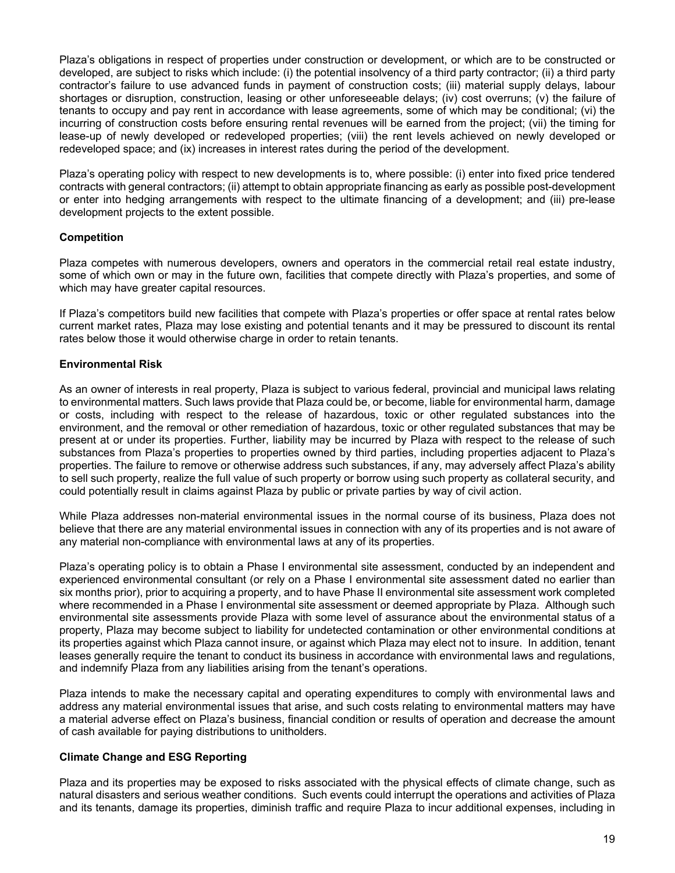Plaza's obligations in respect of properties under construction or development, or which are to be constructed or developed, are subject to risks which include: (i) the potential insolvency of a third party contractor; (ii) a third party contractor's failure to use advanced funds in payment of construction costs; (iii) material supply delays, labour shortages or disruption, construction, leasing or other unforeseeable delays; (iv) cost overruns; (v) the failure of tenants to occupy and pay rent in accordance with lease agreements, some of which may be conditional; (vi) the incurring of construction costs before ensuring rental revenues will be earned from the project; (vii) the timing for lease-up of newly developed or redeveloped properties; (viii) the rent levels achieved on newly developed or redeveloped space; and (ix) increases in interest rates during the period of the development.

Plaza's operating policy with respect to new developments is to, where possible: (i) enter into fixed price tendered contracts with general contractors; (ii) attempt to obtain appropriate financing as early as possible post-development or enter into hedging arrangements with respect to the ultimate financing of a development; and (iii) pre-lease development projects to the extent possible.

# **Competition**

Plaza competes with numerous developers, owners and operators in the commercial retail real estate industry, some of which own or may in the future own, facilities that compete directly with Plaza's properties, and some of which may have greater capital resources.

If Plaza's competitors build new facilities that compete with Plaza's properties or offer space at rental rates below current market rates, Plaza may lose existing and potential tenants and it may be pressured to discount its rental rates below those it would otherwise charge in order to retain tenants.

### **Environmental Risk**

As an owner of interests in real property, Plaza is subject to various federal, provincial and municipal laws relating to environmental matters. Such laws provide that Plaza could be, or become, liable for environmental harm, damage or costs, including with respect to the release of hazardous, toxic or other regulated substances into the environment, and the removal or other remediation of hazardous, toxic or other regulated substances that may be present at or under its properties. Further, liability may be incurred by Plaza with respect to the release of such substances from Plaza's properties to properties owned by third parties, including properties adjacent to Plaza's properties. The failure to remove or otherwise address such substances, if any, may adversely affect Plaza's ability to sell such property, realize the full value of such property or borrow using such property as collateral security, and could potentially result in claims against Plaza by public or private parties by way of civil action.

While Plaza addresses non-material environmental issues in the normal course of its business, Plaza does not believe that there are any material environmental issues in connection with any of its properties and is not aware of any material non-compliance with environmental laws at any of its properties.

Plaza's operating policy is to obtain a Phase I environmental site assessment, conducted by an independent and experienced environmental consultant (or rely on a Phase I environmental site assessment dated no earlier than six months prior), prior to acquiring a property, and to have Phase II environmental site assessment work completed where recommended in a Phase I environmental site assessment or deemed appropriate by Plaza. Although such environmental site assessments provide Plaza with some level of assurance about the environmental status of a property, Plaza may become subject to liability for undetected contamination or other environmental conditions at its properties against which Plaza cannot insure, or against which Plaza may elect not to insure. In addition, tenant leases generally require the tenant to conduct its business in accordance with environmental laws and regulations, and indemnify Plaza from any liabilities arising from the tenant's operations.

Plaza intends to make the necessary capital and operating expenditures to comply with environmental laws and address any material environmental issues that arise, and such costs relating to environmental matters may have a material adverse effect on Plaza's business, financial condition or results of operation and decrease the amount of cash available for paying distributions to unitholders.

### **Climate Change and ESG Reporting**

Plaza and its properties may be exposed to risks associated with the physical effects of climate change, such as natural disasters and serious weather conditions. Such events could interrupt the operations and activities of Plaza and its tenants, damage its properties, diminish traffic and require Plaza to incur additional expenses, including in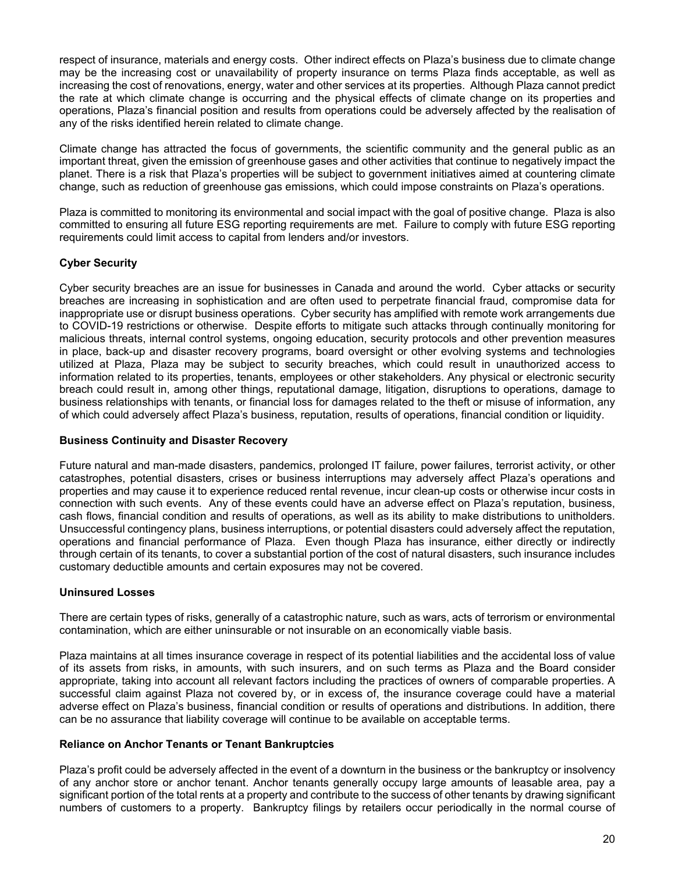respect of insurance, materials and energy costs. Other indirect effects on Plaza's business due to climate change may be the increasing cost or unavailability of property insurance on terms Plaza finds acceptable, as well as increasing the cost of renovations, energy, water and other services at its properties. Although Plaza cannot predict the rate at which climate change is occurring and the physical effects of climate change on its properties and operations, Plaza's financial position and results from operations could be adversely affected by the realisation of any of the risks identified herein related to climate change.

Climate change has attracted the focus of governments, the scientific community and the general public as an important threat, given the emission of greenhouse gases and other activities that continue to negatively impact the planet. There is a risk that Plaza's properties will be subject to government initiatives aimed at countering climate change, such as reduction of greenhouse gas emissions, which could impose constraints on Plaza's operations.

Plaza is committed to monitoring its environmental and social impact with the goal of positive change. Plaza is also committed to ensuring all future ESG reporting requirements are met. Failure to comply with future ESG reporting requirements could limit access to capital from lenders and/or investors.

# **Cyber Security**

Cyber security breaches are an issue for businesses in Canada and around the world. Cyber attacks or security breaches are increasing in sophistication and are often used to perpetrate financial fraud, compromise data for inappropriate use or disrupt business operations. Cyber security has amplified with remote work arrangements due to COVID-19 restrictions or otherwise. Despite efforts to mitigate such attacks through continually monitoring for malicious threats, internal control systems, ongoing education, security protocols and other prevention measures in place, back-up and disaster recovery programs, board oversight or other evolving systems and technologies utilized at Plaza, Plaza may be subject to security breaches, which could result in unauthorized access to information related to its properties, tenants, employees or other stakeholders. Any physical or electronic security breach could result in, among other things, reputational damage, litigation, disruptions to operations, damage to business relationships with tenants, or financial loss for damages related to the theft or misuse of information, any of which could adversely affect Plaza's business, reputation, results of operations, financial condition or liquidity.

# **Business Continuity and Disaster Recovery**

Future natural and man-made disasters, pandemics, prolonged IT failure, power failures, terrorist activity, or other catastrophes, potential disasters, crises or business interruptions may adversely affect Plaza's operations and properties and may cause it to experience reduced rental revenue, incur clean-up costs or otherwise incur costs in connection with such events. Any of these events could have an adverse effect on Plaza's reputation, business, cash flows, financial condition and results of operations, as well as its ability to make distributions to unitholders. Unsuccessful contingency plans, business interruptions, or potential disasters could adversely affect the reputation, operations and financial performance of Plaza. Even though Plaza has insurance, either directly or indirectly through certain of its tenants, to cover a substantial portion of the cost of natural disasters, such insurance includes customary deductible amounts and certain exposures may not be covered.

# **Uninsured Losses**

There are certain types of risks, generally of a catastrophic nature, such as wars, acts of terrorism or environmental contamination, which are either uninsurable or not insurable on an economically viable basis.

Plaza maintains at all times insurance coverage in respect of its potential liabilities and the accidental loss of value of its assets from risks, in amounts, with such insurers, and on such terms as Plaza and the Board consider appropriate, taking into account all relevant factors including the practices of owners of comparable properties. A successful claim against Plaza not covered by, or in excess of, the insurance coverage could have a material adverse effect on Plaza's business, financial condition or results of operations and distributions. In addition, there can be no assurance that liability coverage will continue to be available on acceptable terms.

### **Reliance on Anchor Tenants or Tenant Bankruptcies**

Plaza's profit could be adversely affected in the event of a downturn in the business or the bankruptcy or insolvency of any anchor store or anchor tenant. Anchor tenants generally occupy large amounts of leasable area, pay a significant portion of the total rents at a property and contribute to the success of other tenants by drawing significant numbers of customers to a property. Bankruptcy filings by retailers occur periodically in the normal course of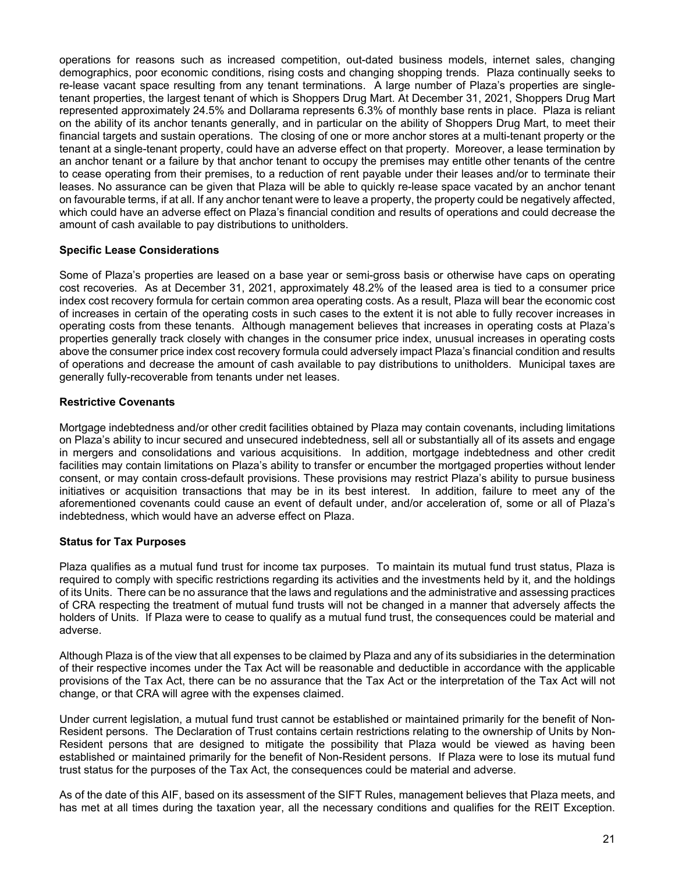operations for reasons such as increased competition, out-dated business models, internet sales, changing demographics, poor economic conditions, rising costs and changing shopping trends. Plaza continually seeks to re-lease vacant space resulting from any tenant terminations. A large number of Plaza's properties are singletenant properties, the largest tenant of which is Shoppers Drug Mart. At December 31, 2021, Shoppers Drug Mart represented approximately 24.5% and Dollarama represents 6.3% of monthly base rents in place. Plaza is reliant on the ability of its anchor tenants generally, and in particular on the ability of Shoppers Drug Mart, to meet their financial targets and sustain operations. The closing of one or more anchor stores at a multi-tenant property or the tenant at a single-tenant property, could have an adverse effect on that property. Moreover, a lease termination by an anchor tenant or a failure by that anchor tenant to occupy the premises may entitle other tenants of the centre to cease operating from their premises, to a reduction of rent payable under their leases and/or to terminate their leases. No assurance can be given that Plaza will be able to quickly re-lease space vacated by an anchor tenant on favourable terms, if at all. If any anchor tenant were to leave a property, the property could be negatively affected, which could have an adverse effect on Plaza's financial condition and results of operations and could decrease the amount of cash available to pay distributions to unitholders.

### **Specific Lease Considerations**

Some of Plaza's properties are leased on a base year or semi-gross basis or otherwise have caps on operating cost recoveries. As at December 31, 2021, approximately 48.2% of the leased area is tied to a consumer price index cost recovery formula for certain common area operating costs. As a result, Plaza will bear the economic cost of increases in certain of the operating costs in such cases to the extent it is not able to fully recover increases in operating costs from these tenants. Although management believes that increases in operating costs at Plaza's properties generally track closely with changes in the consumer price index, unusual increases in operating costs above the consumer price index cost recovery formula could adversely impact Plaza's financial condition and results of operations and decrease the amount of cash available to pay distributions to unitholders. Municipal taxes are generally fully-recoverable from tenants under net leases.

### **Restrictive Covenants**

Mortgage indebtedness and/or other credit facilities obtained by Plaza may contain covenants, including limitations on Plaza's ability to incur secured and unsecured indebtedness, sell all or substantially all of its assets and engage in mergers and consolidations and various acquisitions. In addition, mortgage indebtedness and other credit facilities may contain limitations on Plaza's ability to transfer or encumber the mortgaged properties without lender consent, or may contain cross-default provisions. These provisions may restrict Plaza's ability to pursue business initiatives or acquisition transactions that may be in its best interest. In addition, failure to meet any of the aforementioned covenants could cause an event of default under, and/or acceleration of, some or all of Plaza's indebtedness, which would have an adverse effect on Plaza.

### **Status for Tax Purposes**

Plaza qualifies as a mutual fund trust for income tax purposes. To maintain its mutual fund trust status, Plaza is required to comply with specific restrictions regarding its activities and the investments held by it, and the holdings of its Units. There can be no assurance that the laws and regulations and the administrative and assessing practices of CRA respecting the treatment of mutual fund trusts will not be changed in a manner that adversely affects the holders of Units. If Plaza were to cease to qualify as a mutual fund trust, the consequences could be material and adverse.

Although Plaza is of the view that all expenses to be claimed by Plaza and any of its subsidiaries in the determination of their respective incomes under the Tax Act will be reasonable and deductible in accordance with the applicable provisions of the Tax Act, there can be no assurance that the Tax Act or the interpretation of the Tax Act will not change, or that CRA will agree with the expenses claimed.

Under current legislation, a mutual fund trust cannot be established or maintained primarily for the benefit of Non-Resident persons. The Declaration of Trust contains certain restrictions relating to the ownership of Units by Non-Resident persons that are designed to mitigate the possibility that Plaza would be viewed as having been established or maintained primarily for the benefit of Non-Resident persons. If Plaza were to lose its mutual fund trust status for the purposes of the Tax Act, the consequences could be material and adverse.

As of the date of this AIF, based on its assessment of the SIFT Rules, management believes that Plaza meets, and has met at all times during the taxation year, all the necessary conditions and qualifies for the REIT Exception.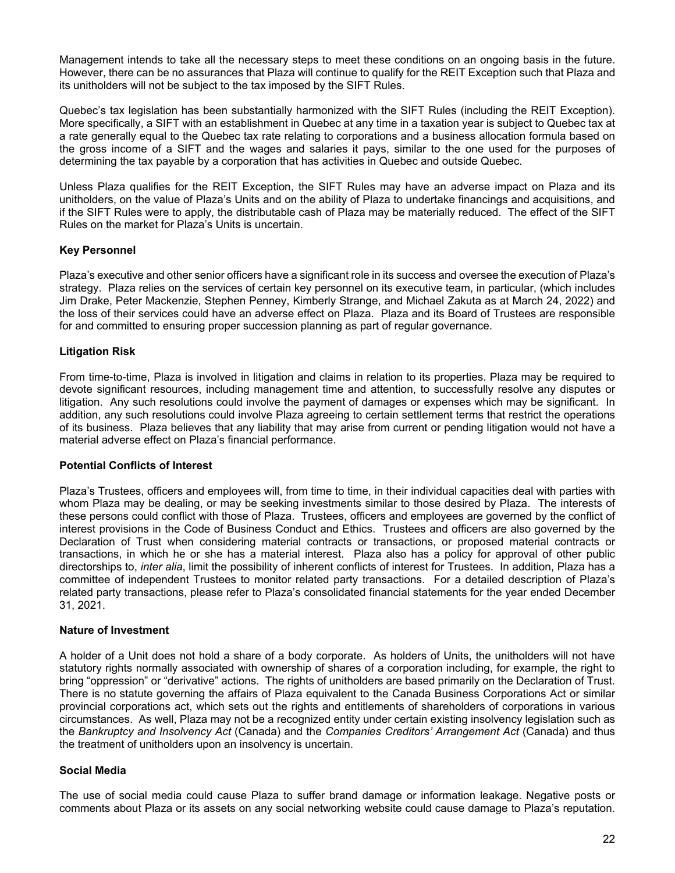Management intends to take all the necessary steps to meet these conditions on an ongoing basis in the future. However, there can be no assurances that Plaza will continue to qualify for the REIT Exception such that Plaza and its unitholders will not be subject to the tax imposed by the SIFT Rules.

Quebec's tax legislation has been substantially harmonized with the SIFT Rules (including the REIT Exception). More specifically, a SIFT with an establishment in Quebec at any time in a taxation year is subject to Quebec tax at a rate generally equal to the Quebec tax rate relating to corporations and a business allocation formula based on the gross income of a SIFT and the wages and salaries it pays, similar to the one used for the purposes of determining the tax payable by a corporation that has activities in Quebec and outside Quebec.

Unless Plaza qualifies for the REIT Exception, the SIFT Rules may have an adverse impact on Plaza and its unitholders, on the value of Plaza's Units and on the ability of Plaza to undertake financings and acquisitions, and if the SIFT Rules were to apply, the distributable cash of Plaza may be materially reduced. The effect of the SIFT Rules on the market for Plaza's Units is uncertain.

# **Key Personnel**

Plaza's executive and other senior officers have a significant role in its success and oversee the execution of Plaza's strategy. Plaza relies on the services of certain key personnel on its executive team, in particular, (which includes Jim Drake, Peter Mackenzie, Stephen Penney, Kimberly Strange, and Michael Zakuta as at March 24, 2022) and the loss of their services could have an adverse effect on Plaza. Plaza and its Board of Trustees are responsible for and committed to ensuring proper succession planning as part of regular governance.

### **Litigation Risk**

From time-to-time, Plaza is involved in litigation and claims in relation to its properties. Plaza may be required to devote significant resources, including management time and attention, to successfully resolve any disputes or litigation. Any such resolutions could involve the payment of damages or expenses which may be significant. In addition, any such resolutions could involve Plaza agreeing to certain settlement terms that restrict the operations of its business. Plaza believes that any liability that may arise from current or pending litigation would not have a material adverse effect on Plaza's financial performance.

### **Potential Conflicts of Interest**

Plaza's Trustees, officers and employees will, from time to time, in their individual capacities deal with parties with whom Plaza may be dealing, or may be seeking investments similar to those desired by Plaza. The interests of these persons could conflict with those of Plaza. Trustees, officers and employees are governed by the conflict of interest provisions in the Code of Business Conduct and Ethics. Trustees and officers are also governed by the Declaration of Trust when considering material contracts or transactions, or proposed material contracts or transactions, in which he or she has a material interest. Plaza also has a policy for approval of other public directorships to, *inter alia*, limit the possibility of inherent conflicts of interest for Trustees. In addition, Plaza has a committee of independent Trustees to monitor related party transactions. For a detailed description of Plaza's related party transactions, please refer to Plaza's consolidated financial statements for the year ended December 31, 2021.

### **Nature of Investment**

A holder of a Unit does not hold a share of a body corporate. As holders of Units, the unitholders will not have statutory rights normally associated with ownership of shares of a corporation including, for example, the right to bring "oppression" or "derivative" actions. The rights of unitholders are based primarily on the Declaration of Trust. There is no statute governing the affairs of Plaza equivalent to the Canada Business Corporations Act or similar provincial corporations act, which sets out the rights and entitlements of shareholders of corporations in various circumstances. As well, Plaza may not be a recognized entity under certain existing insolvency legislation such as the *Bankruptcy and Insolvency Act* (Canada) and the *Companies Creditors' Arrangement Act* (Canada) and thus the treatment of unitholders upon an insolvency is uncertain.

### **Social Media**

The use of social media could cause Plaza to suffer brand damage or information leakage. Negative posts or comments about Plaza or its assets on any social networking website could cause damage to Plaza's reputation.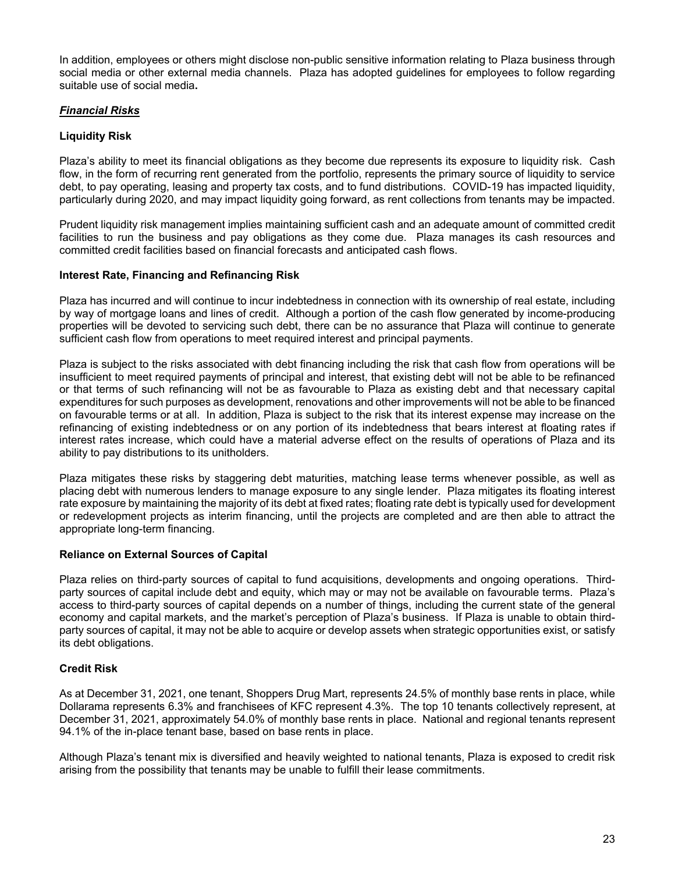In addition, employees or others might disclose non-public sensitive information relating to Plaza business through social media or other external media channels. Plaza has adopted guidelines for employees to follow regarding suitable use of social media**.**

# *Financial Risks*

# **Liquidity Risk**

Plaza's ability to meet its financial obligations as they become due represents its exposure to liquidity risk. Cash flow, in the form of recurring rent generated from the portfolio, represents the primary source of liquidity to service debt, to pay operating, leasing and property tax costs, and to fund distributions. COVID-19 has impacted liquidity, particularly during 2020, and may impact liquidity going forward, as rent collections from tenants may be impacted.

Prudent liquidity risk management implies maintaining sufficient cash and an adequate amount of committed credit facilities to run the business and pay obligations as they come due. Plaza manages its cash resources and committed credit facilities based on financial forecasts and anticipated cash flows.

# **Interest Rate, Financing and Refinancing Risk**

Plaza has incurred and will continue to incur indebtedness in connection with its ownership of real estate, including by way of mortgage loans and lines of credit. Although a portion of the cash flow generated by income-producing properties will be devoted to servicing such debt, there can be no assurance that Plaza will continue to generate sufficient cash flow from operations to meet required interest and principal payments.

Plaza is subject to the risks associated with debt financing including the risk that cash flow from operations will be insufficient to meet required payments of principal and interest, that existing debt will not be able to be refinanced or that terms of such refinancing will not be as favourable to Plaza as existing debt and that necessary capital expenditures for such purposes as development, renovations and other improvements will not be able to be financed on favourable terms or at all. In addition, Plaza is subject to the risk that its interest expense may increase on the refinancing of existing indebtedness or on any portion of its indebtedness that bears interest at floating rates if interest rates increase, which could have a material adverse effect on the results of operations of Plaza and its ability to pay distributions to its unitholders.

Plaza mitigates these risks by staggering debt maturities, matching lease terms whenever possible, as well as placing debt with numerous lenders to manage exposure to any single lender. Plaza mitigates its floating interest rate exposure by maintaining the majority of its debt at fixed rates; floating rate debt is typically used for development or redevelopment projects as interim financing, until the projects are completed and are then able to attract the appropriate long-term financing.

# **Reliance on External Sources of Capital**

Plaza relies on third-party sources of capital to fund acquisitions, developments and ongoing operations. Thirdparty sources of capital include debt and equity, which may or may not be available on favourable terms. Plaza's access to third-party sources of capital depends on a number of things, including the current state of the general economy and capital markets, and the market's perception of Plaza's business. If Plaza is unable to obtain thirdparty sources of capital, it may not be able to acquire or develop assets when strategic opportunities exist, or satisfy its debt obligations.

# **Credit Risk**

As at December 31, 2021, one tenant, Shoppers Drug Mart, represents 24.5% of monthly base rents in place, while Dollarama represents 6.3% and franchisees of KFC represent 4.3%. The top 10 tenants collectively represent, at December 31, 2021, approximately 54.0% of monthly base rents in place. National and regional tenants represent 94.1% of the in-place tenant base, based on base rents in place.

Although Plaza's tenant mix is diversified and heavily weighted to national tenants, Plaza is exposed to credit risk arising from the possibility that tenants may be unable to fulfill their lease commitments.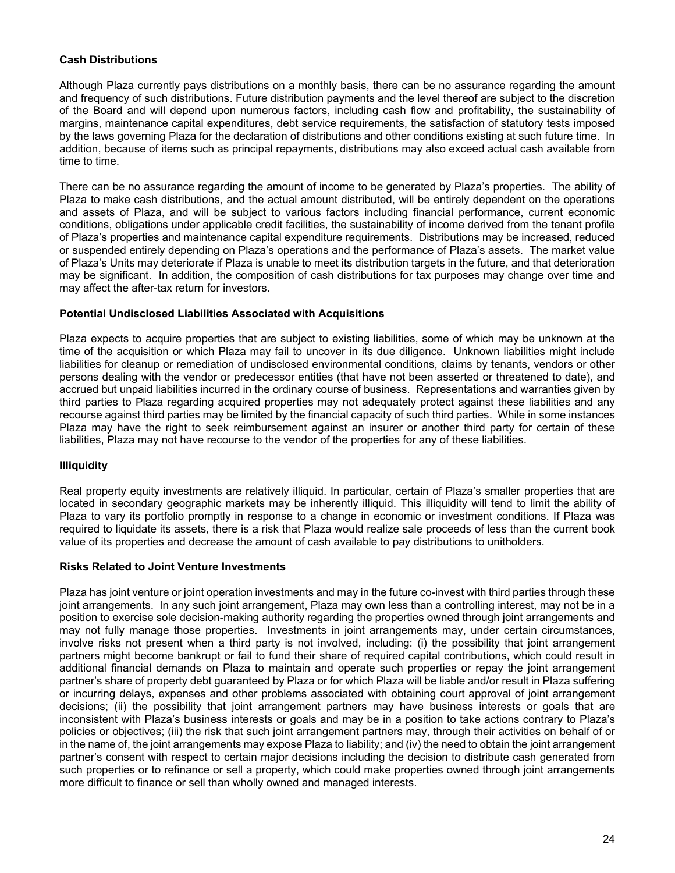# **Cash Distributions**

Although Plaza currently pays distributions on a monthly basis, there can be no assurance regarding the amount and frequency of such distributions. Future distribution payments and the level thereof are subject to the discretion of the Board and will depend upon numerous factors, including cash flow and profitability, the sustainability of margins, maintenance capital expenditures, debt service requirements, the satisfaction of statutory tests imposed by the laws governing Plaza for the declaration of distributions and other conditions existing at such future time. In addition, because of items such as principal repayments, distributions may also exceed actual cash available from time to time.

There can be no assurance regarding the amount of income to be generated by Plaza's properties. The ability of Plaza to make cash distributions, and the actual amount distributed, will be entirely dependent on the operations and assets of Plaza, and will be subject to various factors including financial performance, current economic conditions, obligations under applicable credit facilities, the sustainability of income derived from the tenant profile of Plaza's properties and maintenance capital expenditure requirements. Distributions may be increased, reduced or suspended entirely depending on Plaza's operations and the performance of Plaza's assets. The market value of Plaza's Units may deteriorate if Plaza is unable to meet its distribution targets in the future, and that deterioration may be significant. In addition, the composition of cash distributions for tax purposes may change over time and may affect the after-tax return for investors.

# **Potential Undisclosed Liabilities Associated with Acquisitions**

Plaza expects to acquire properties that are subject to existing liabilities, some of which may be unknown at the time of the acquisition or which Plaza may fail to uncover in its due diligence. Unknown liabilities might include liabilities for cleanup or remediation of undisclosed environmental conditions, claims by tenants, vendors or other persons dealing with the vendor or predecessor entities (that have not been asserted or threatened to date), and accrued but unpaid liabilities incurred in the ordinary course of business. Representations and warranties given by third parties to Plaza regarding acquired properties may not adequately protect against these liabilities and any recourse against third parties may be limited by the financial capacity of such third parties. While in some instances Plaza may have the right to seek reimbursement against an insurer or another third party for certain of these liabilities, Plaza may not have recourse to the vendor of the properties for any of these liabilities.

# **Illiquidity**

Real property equity investments are relatively illiquid. In particular, certain of Plaza's smaller properties that are located in secondary geographic markets may be inherently illiquid. This illiquidity will tend to limit the ability of Plaza to vary its portfolio promptly in response to a change in economic or investment conditions. If Plaza was required to liquidate its assets, there is a risk that Plaza would realize sale proceeds of less than the current book value of its properties and decrease the amount of cash available to pay distributions to unitholders.

### **Risks Related to Joint Venture Investments**

Plaza has joint venture or joint operation investments and may in the future co-invest with third parties through these joint arrangements. In any such joint arrangement, Plaza may own less than a controlling interest, may not be in a position to exercise sole decision-making authority regarding the properties owned through joint arrangements and may not fully manage those properties. Investments in joint arrangements may, under certain circumstances, involve risks not present when a third party is not involved, including: (i) the possibility that joint arrangement partners might become bankrupt or fail to fund their share of required capital contributions, which could result in additional financial demands on Plaza to maintain and operate such properties or repay the joint arrangement partner's share of property debt guaranteed by Plaza or for which Plaza will be liable and/or result in Plaza suffering or incurring delays, expenses and other problems associated with obtaining court approval of joint arrangement decisions; (ii) the possibility that joint arrangement partners may have business interests or goals that are inconsistent with Plaza's business interests or goals and may be in a position to take actions contrary to Plaza's policies or objectives; (iii) the risk that such joint arrangement partners may, through their activities on behalf of or in the name of, the joint arrangements may expose Plaza to liability; and (iv) the need to obtain the joint arrangement partner's consent with respect to certain major decisions including the decision to distribute cash generated from such properties or to refinance or sell a property, which could make properties owned through joint arrangements more difficult to finance or sell than wholly owned and managed interests.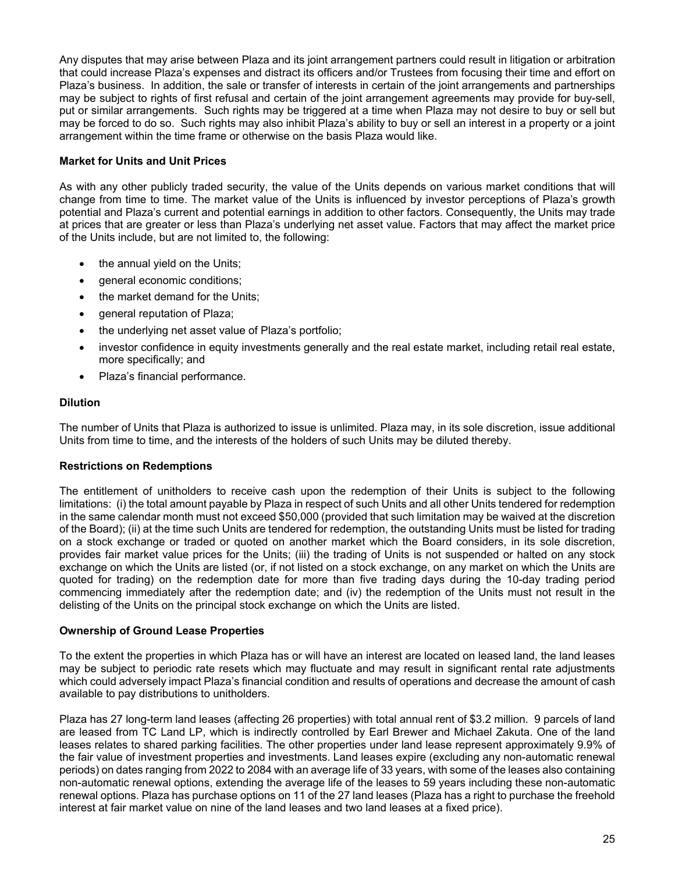Any disputes that may arise between Plaza and its joint arrangement partners could result in litigation or arbitration that could increase Plaza's expenses and distract its officers and/or Trustees from focusing their time and effort on Plaza's business. In addition, the sale or transfer of interests in certain of the joint arrangements and partnerships may be subject to rights of first refusal and certain of the joint arrangement agreements may provide for buy-sell, put or similar arrangements. Such rights may be triggered at a time when Plaza may not desire to buy or sell but may be forced to do so. Such rights may also inhibit Plaza's ability to buy or sell an interest in a property or a joint arrangement within the time frame or otherwise on the basis Plaza would like.

# **Market for Units and Unit Prices**

As with any other publicly traded security, the value of the Units depends on various market conditions that will change from time to time. The market value of the Units is influenced by investor perceptions of Plaza's growth potential and Plaza's current and potential earnings in addition to other factors. Consequently, the Units may trade at prices that are greater or less than Plaza's underlying net asset value. Factors that may affect the market price of the Units include, but are not limited to, the following:

- the annual yield on the Units;
- general economic conditions;
- the market demand for the Units;
- general reputation of Plaza;
- the underlying net asset value of Plaza's portfolio;
- investor confidence in equity investments generally and the real estate market, including retail real estate, more specifically; and
- Plaza's financial performance.

# **Dilution**

The number of Units that Plaza is authorized to issue is unlimited. Plaza may, in its sole discretion, issue additional Units from time to time, and the interests of the holders of such Units may be diluted thereby.

# **Restrictions on Redemptions**

The entitlement of unitholders to receive cash upon the redemption of their Units is subject to the following limitations: (i) the total amount payable by Plaza in respect of such Units and all other Units tendered for redemption in the same calendar month must not exceed \$50,000 (provided that such limitation may be waived at the discretion of the Board); (ii) at the time such Units are tendered for redemption, the outstanding Units must be listed for trading on a stock exchange or traded or quoted on another market which the Board considers, in its sole discretion, provides fair market value prices for the Units; (iii) the trading of Units is not suspended or halted on any stock exchange on which the Units are listed (or, if not listed on a stock exchange, on any market on which the Units are quoted for trading) on the redemption date for more than five trading days during the 10-day trading period commencing immediately after the redemption date; and (iv) the redemption of the Units must not result in the delisting of the Units on the principal stock exchange on which the Units are listed.

# **Ownership of Ground Lease Properties**

To the extent the properties in which Plaza has or will have an interest are located on leased land, the land leases may be subject to periodic rate resets which may fluctuate and may result in significant rental rate adjustments which could adversely impact Plaza's financial condition and results of operations and decrease the amount of cash available to pay distributions to unitholders.

Plaza has 27 long-term land leases (affecting 26 properties) with total annual rent of \$3.2 million. 9 parcels of land are leased from TC Land LP, which is indirectly controlled by Earl Brewer and Michael Zakuta. One of the land leases relates to shared parking facilities. The other properties under land lease represent approximately 9.9% of the fair value of investment properties and investments. Land leases expire (excluding any non-automatic renewal periods) on dates ranging from 2022 to 2084 with an average life of 33 years, with some of the leases also containing non-automatic renewal options, extending the average life of the leases to 59 years including these non-automatic renewal options. Plaza has purchase options on 11 of the 27 land leases (Plaza has a right to purchase the freehold interest at fair market value on nine of the land leases and two land leases at a fixed price).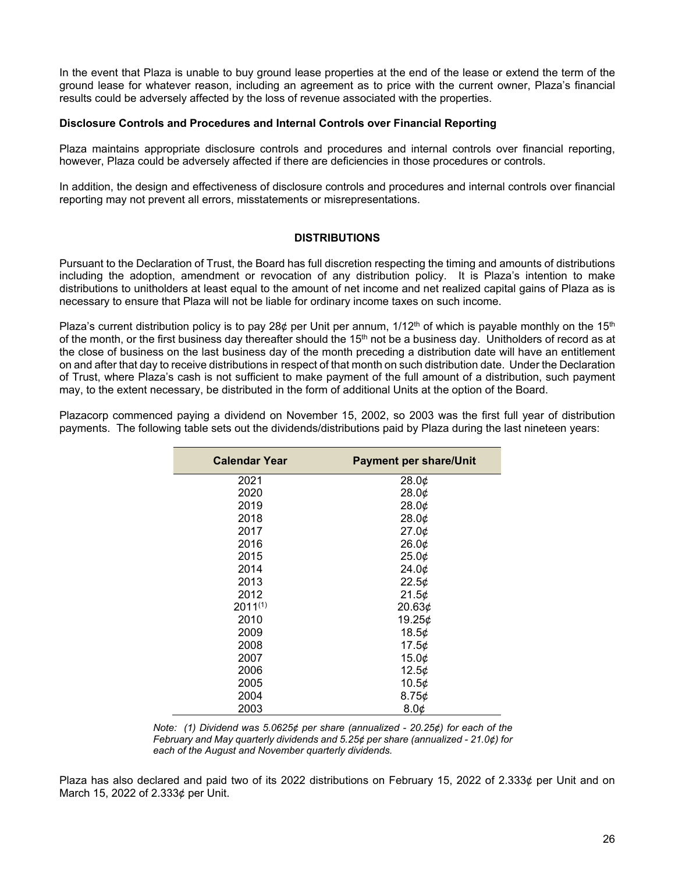In the event that Plaza is unable to buy ground lease properties at the end of the lease or extend the term of the ground lease for whatever reason, including an agreement as to price with the current owner, Plaza's financial results could be adversely affected by the loss of revenue associated with the properties.

### **Disclosure Controls and Procedures and Internal Controls over Financial Reporting**

Plaza maintains appropriate disclosure controls and procedures and internal controls over financial reporting, however, Plaza could be adversely affected if there are deficiencies in those procedures or controls.

In addition, the design and effectiveness of disclosure controls and procedures and internal controls over financial reporting may not prevent all errors, misstatements or misrepresentations.

### **DISTRIBUTIONS**

Pursuant to the Declaration of Trust, the Board has full discretion respecting the timing and amounts of distributions including the adoption, amendment or revocation of any distribution policy. It is Plaza's intention to make distributions to unitholders at least equal to the amount of net income and net realized capital gains of Plaza as is necessary to ensure that Plaza will not be liable for ordinary income taxes on such income.

Plaza's current distribution policy is to pay 28¢ per Unit per annum,  $1/12<sup>th</sup>$  of which is payable monthly on the 15<sup>th</sup> of the month, or the first business day thereafter should the 15<sup>th</sup> not be a business day. Unitholders of record as at the close of business on the last business day of the month preceding a distribution date will have an entitlement on and after that day to receive distributions in respect of that month on such distribution date. Under the Declaration of Trust, where Plaza's cash is not sufficient to make payment of the full amount of a distribution, such payment may, to the extent necessary, be distributed in the form of additional Units at the option of the Board.

Plazacorp commenced paying a dividend on November 15, 2002, so 2003 was the first full year of distribution payments. The following table sets out the dividends/distributions paid by Plaza during the last nineteen years:

| <b>Calendar Year</b> | <b>Payment per share/Unit</b> |
|----------------------|-------------------------------|
| 2021                 | 28.0¢                         |
| 2020                 | 28.0¢                         |
| 2019                 | 28.0¢                         |
| 2018                 | 28.0¢                         |
| 2017                 | 27.0¢                         |
| 2016                 | 26.0¢                         |
| 2015                 | 25.0¢                         |
| 2014                 | 24.0¢                         |
| 2013                 | 22.5¢                         |
| 2012                 | 21.5¢                         |
| $2011^{(1)}$         | 20.63¢                        |
| 2010                 | 19.25 $\phi$                  |
| 2009                 | 18.5¢                         |
| 2008                 | 17.5¢                         |
| 2007                 | 15.0¢                         |
| 2006                 | 12.5¢                         |
| 2005                 | 10.5¢                         |
| 2004                 | 8.75¢                         |
| 2003                 | 8.0¢                          |

*Note: (1) Dividend was 5.0625¢ per share (annualized - 20.25¢) for each of the February and May quarterly dividends and 5.25¢ per share (annualized - 21.0¢) for each of the August and November quarterly dividends.* 

Plaza has also declared and paid two of its 2022 distributions on February 15, 2022 of 2.333¢ per Unit and on March 15, 2022 of 2.333¢ per Unit.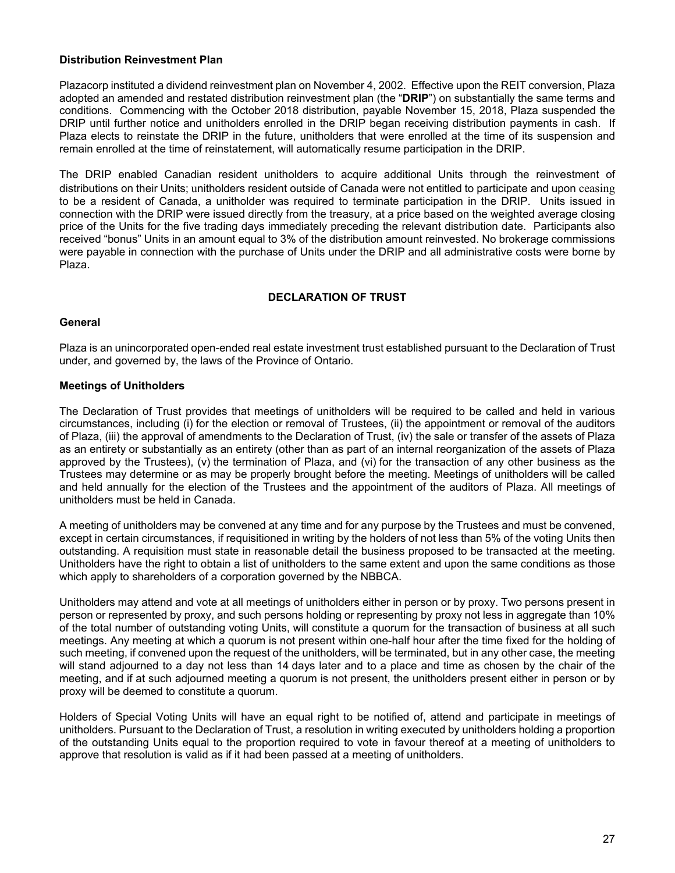### **Distribution Reinvestment Plan**

Plazacorp instituted a dividend reinvestment plan on November 4, 2002. Effective upon the REIT conversion, Plaza adopted an amended and restated distribution reinvestment plan (the "**DRIP**") on substantially the same terms and conditions. Commencing with the October 2018 distribution, payable November 15, 2018, Plaza suspended the DRIP until further notice and unitholders enrolled in the DRIP began receiving distribution payments in cash. If Plaza elects to reinstate the DRIP in the future, unitholders that were enrolled at the time of its suspension and remain enrolled at the time of reinstatement, will automatically resume participation in the DRIP.

The DRIP enabled Canadian resident unitholders to acquire additional Units through the reinvestment of distributions on their Units; unitholders resident outside of Canada were not entitled to participate and upon ceasing to be a resident of Canada, a unitholder was required to terminate participation in the DRIP. Units issued in connection with the DRIP were issued directly from the treasury, at a price based on the weighted average closing price of the Units for the five trading days immediately preceding the relevant distribution date. Participants also received "bonus" Units in an amount equal to 3% of the distribution amount reinvested. No brokerage commissions were payable in connection with the purchase of Units under the DRIP and all administrative costs were borne by Plaza.

# **DECLARATION OF TRUST**

### **General**

Plaza is an unincorporated open-ended real estate investment trust established pursuant to the Declaration of Trust under, and governed by, the laws of the Province of Ontario.

# **Meetings of Unitholders**

The Declaration of Trust provides that meetings of unitholders will be required to be called and held in various circumstances, including (i) for the election or removal of Trustees, (ii) the appointment or removal of the auditors of Plaza, (iii) the approval of amendments to the Declaration of Trust, (iv) the sale or transfer of the assets of Plaza as an entirety or substantially as an entirety (other than as part of an internal reorganization of the assets of Plaza approved by the Trustees), (v) the termination of Plaza, and (vi) for the transaction of any other business as the Trustees may determine or as may be properly brought before the meeting. Meetings of unitholders will be called and held annually for the election of the Trustees and the appointment of the auditors of Plaza. All meetings of unitholders must be held in Canada.

A meeting of unitholders may be convened at any time and for any purpose by the Trustees and must be convened, except in certain circumstances, if requisitioned in writing by the holders of not less than 5% of the voting Units then outstanding. A requisition must state in reasonable detail the business proposed to be transacted at the meeting. Unitholders have the right to obtain a list of unitholders to the same extent and upon the same conditions as those which apply to shareholders of a corporation governed by the NBBCA.

Unitholders may attend and vote at all meetings of unitholders either in person or by proxy. Two persons present in person or represented by proxy, and such persons holding or representing by proxy not less in aggregate than 10% of the total number of outstanding voting Units, will constitute a quorum for the transaction of business at all such meetings. Any meeting at which a quorum is not present within one-half hour after the time fixed for the holding of such meeting, if convened upon the request of the unitholders, will be terminated, but in any other case, the meeting will stand adjourned to a day not less than 14 days later and to a place and time as chosen by the chair of the meeting, and if at such adjourned meeting a quorum is not present, the unitholders present either in person or by proxy will be deemed to constitute a quorum.

Holders of Special Voting Units will have an equal right to be notified of, attend and participate in meetings of unitholders. Pursuant to the Declaration of Trust, a resolution in writing executed by unitholders holding a proportion of the outstanding Units equal to the proportion required to vote in favour thereof at a meeting of unitholders to approve that resolution is valid as if it had been passed at a meeting of unitholders.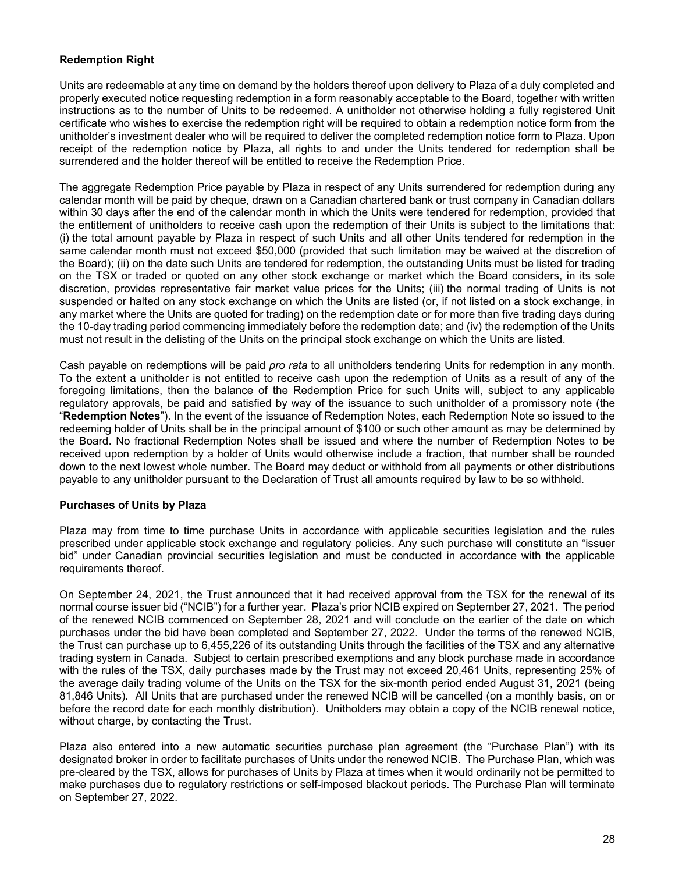# **Redemption Right**

Units are redeemable at any time on demand by the holders thereof upon delivery to Plaza of a duly completed and properly executed notice requesting redemption in a form reasonably acceptable to the Board, together with written instructions as to the number of Units to be redeemed. A unitholder not otherwise holding a fully registered Unit certificate who wishes to exercise the redemption right will be required to obtain a redemption notice form from the unitholder's investment dealer who will be required to deliver the completed redemption notice form to Plaza. Upon receipt of the redemption notice by Plaza, all rights to and under the Units tendered for redemption shall be surrendered and the holder thereof will be entitled to receive the Redemption Price.

The aggregate Redemption Price payable by Plaza in respect of any Units surrendered for redemption during any calendar month will be paid by cheque, drawn on a Canadian chartered bank or trust company in Canadian dollars within 30 days after the end of the calendar month in which the Units were tendered for redemption, provided that the entitlement of unitholders to receive cash upon the redemption of their Units is subject to the limitations that: (i) the total amount payable by Plaza in respect of such Units and all other Units tendered for redemption in the same calendar month must not exceed \$50,000 (provided that such limitation may be waived at the discretion of the Board); (ii) on the date such Units are tendered for redemption, the outstanding Units must be listed for trading on the TSX or traded or quoted on any other stock exchange or market which the Board considers, in its sole discretion, provides representative fair market value prices for the Units; (iii) the normal trading of Units is not suspended or halted on any stock exchange on which the Units are listed (or, if not listed on a stock exchange, in any market where the Units are quoted for trading) on the redemption date or for more than five trading days during the 10-day trading period commencing immediately before the redemption date; and (iv) the redemption of the Units must not result in the delisting of the Units on the principal stock exchange on which the Units are listed.

Cash payable on redemptions will be paid *pro rata* to all unitholders tendering Units for redemption in any month. To the extent a unitholder is not entitled to receive cash upon the redemption of Units as a result of any of the foregoing limitations, then the balance of the Redemption Price for such Units will, subject to any applicable regulatory approvals, be paid and satisfied by way of the issuance to such unitholder of a promissory note (the "**Redemption Notes**"). In the event of the issuance of Redemption Notes, each Redemption Note so issued to the redeeming holder of Units shall be in the principal amount of \$100 or such other amount as may be determined by the Board. No fractional Redemption Notes shall be issued and where the number of Redemption Notes to be received upon redemption by a holder of Units would otherwise include a fraction, that number shall be rounded down to the next lowest whole number. The Board may deduct or withhold from all payments or other distributions payable to any unitholder pursuant to the Declaration of Trust all amounts required by law to be so withheld.

# **Purchases of Units by Plaza**

Plaza may from time to time purchase Units in accordance with applicable securities legislation and the rules prescribed under applicable stock exchange and regulatory policies. Any such purchase will constitute an "issuer bid" under Canadian provincial securities legislation and must be conducted in accordance with the applicable requirements thereof.

On September 24, 2021, the Trust announced that it had received approval from the TSX for the renewal of its normal course issuer bid ("NCIB") for a further year. Plaza's prior NCIB expired on September 27, 2021. The period of the renewed NCIB commenced on September 28, 2021 and will conclude on the earlier of the date on which purchases under the bid have been completed and September 27, 2022. Under the terms of the renewed NCIB, the Trust can purchase up to 6,455,226 of its outstanding Units through the facilities of the TSX and any alternative trading system in Canada. Subject to certain prescribed exemptions and any block purchase made in accordance with the rules of the TSX, daily purchases made by the Trust may not exceed 20,461 Units, representing 25% of the average daily trading volume of the Units on the TSX for the six-month period ended August 31, 2021 (being 81,846 Units). All Units that are purchased under the renewed NCIB will be cancelled (on a monthly basis, on or before the record date for each monthly distribution). Unitholders may obtain a copy of the NCIB renewal notice, without charge, by contacting the Trust.

Plaza also entered into a new automatic securities purchase plan agreement (the "Purchase Plan") with its designated broker in order to facilitate purchases of Units under the renewed NCIB. The Purchase Plan, which was pre-cleared by the TSX, allows for purchases of Units by Plaza at times when it would ordinarily not be permitted to make purchases due to regulatory restrictions or self-imposed blackout periods. The Purchase Plan will terminate on September 27, 2022.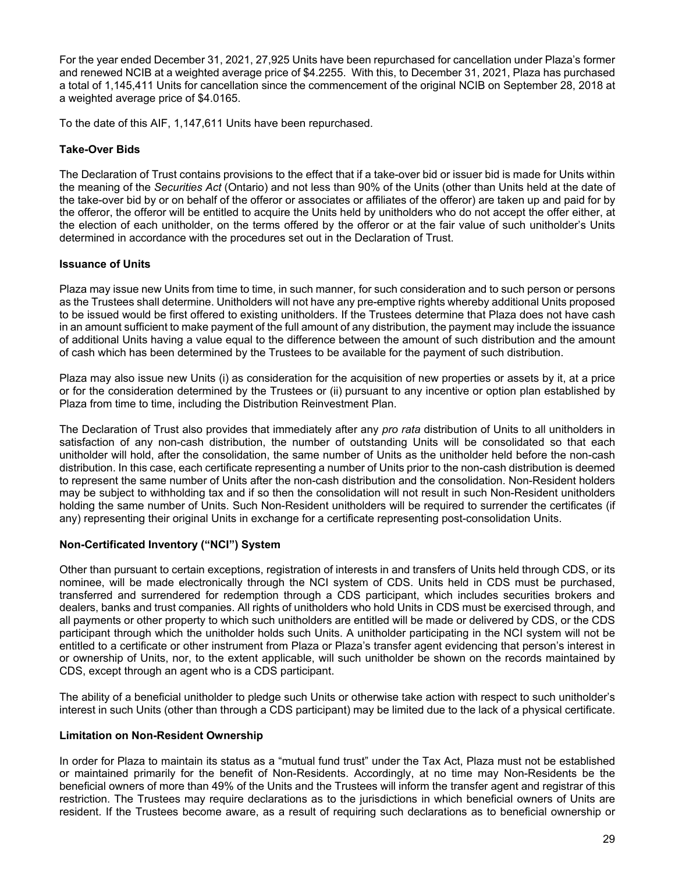For the year ended December 31, 2021, 27,925 Units have been repurchased for cancellation under Plaza's former and renewed NCIB at a weighted average price of \$4.2255. With this, to December 31, 2021, Plaza has purchased a total of 1,145,411 Units for cancellation since the commencement of the original NCIB on September 28, 2018 at a weighted average price of \$4.0165.

To the date of this AIF, 1,147,611 Units have been repurchased.

# **Take-Over Bids**

The Declaration of Trust contains provisions to the effect that if a take-over bid or issuer bid is made for Units within the meaning of the *Securities Act* (Ontario) and not less than 90% of the Units (other than Units held at the date of the take-over bid by or on behalf of the offeror or associates or affiliates of the offeror) are taken up and paid for by the offeror, the offeror will be entitled to acquire the Units held by unitholders who do not accept the offer either, at the election of each unitholder, on the terms offered by the offeror or at the fair value of such unitholder's Units determined in accordance with the procedures set out in the Declaration of Trust.

# **Issuance of Units**

Plaza may issue new Units from time to time, in such manner, for such consideration and to such person or persons as the Trustees shall determine. Unitholders will not have any pre-emptive rights whereby additional Units proposed to be issued would be first offered to existing unitholders. If the Trustees determine that Plaza does not have cash in an amount sufficient to make payment of the full amount of any distribution, the payment may include the issuance of additional Units having a value equal to the difference between the amount of such distribution and the amount of cash which has been determined by the Trustees to be available for the payment of such distribution.

Plaza may also issue new Units (i) as consideration for the acquisition of new properties or assets by it, at a price or for the consideration determined by the Trustees or (ii) pursuant to any incentive or option plan established by Plaza from time to time, including the Distribution Reinvestment Plan.

The Declaration of Trust also provides that immediately after any *pro rata* distribution of Units to all unitholders in satisfaction of any non-cash distribution, the number of outstanding Units will be consolidated so that each unitholder will hold, after the consolidation, the same number of Units as the unitholder held before the non-cash distribution. In this case, each certificate representing a number of Units prior to the non-cash distribution is deemed to represent the same number of Units after the non-cash distribution and the consolidation. Non-Resident holders may be subject to withholding tax and if so then the consolidation will not result in such Non-Resident unitholders holding the same number of Units. Such Non-Resident unitholders will be required to surrender the certificates (if any) representing their original Units in exchange for a certificate representing post-consolidation Units.

# **Non-Certificated Inventory ("NCI") System**

Other than pursuant to certain exceptions, registration of interests in and transfers of Units held through CDS, or its nominee, will be made electronically through the NCI system of CDS. Units held in CDS must be purchased, transferred and surrendered for redemption through a CDS participant, which includes securities brokers and dealers, banks and trust companies. All rights of unitholders who hold Units in CDS must be exercised through, and all payments or other property to which such unitholders are entitled will be made or delivered by CDS, or the CDS participant through which the unitholder holds such Units. A unitholder participating in the NCI system will not be entitled to a certificate or other instrument from Plaza or Plaza's transfer agent evidencing that person's interest in or ownership of Units, nor, to the extent applicable, will such unitholder be shown on the records maintained by CDS, except through an agent who is a CDS participant.

The ability of a beneficial unitholder to pledge such Units or otherwise take action with respect to such unitholder's interest in such Units (other than through a CDS participant) may be limited due to the lack of a physical certificate.

# **Limitation on Non-Resident Ownership**

In order for Plaza to maintain its status as a "mutual fund trust" under the Tax Act, Plaza must not be established or maintained primarily for the benefit of Non-Residents. Accordingly, at no time may Non-Residents be the beneficial owners of more than 49% of the Units and the Trustees will inform the transfer agent and registrar of this restriction. The Trustees may require declarations as to the jurisdictions in which beneficial owners of Units are resident. If the Trustees become aware, as a result of requiring such declarations as to beneficial ownership or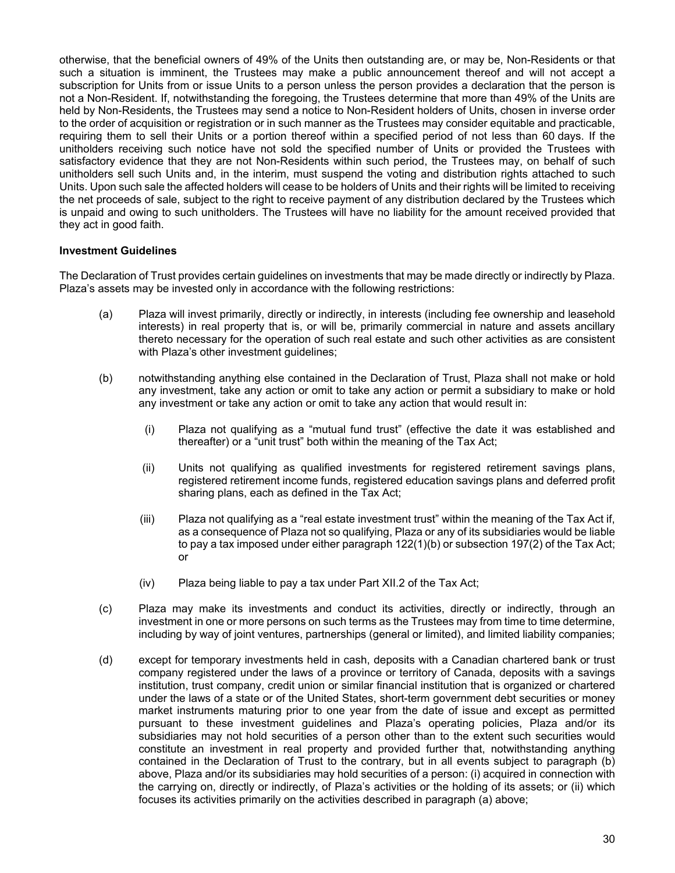otherwise, that the beneficial owners of 49% of the Units then outstanding are, or may be, Non-Residents or that such a situation is imminent, the Trustees may make a public announcement thereof and will not accept a subscription for Units from or issue Units to a person unless the person provides a declaration that the person is not a Non-Resident. If, notwithstanding the foregoing, the Trustees determine that more than 49% of the Units are held by Non-Residents, the Trustees may send a notice to Non-Resident holders of Units, chosen in inverse order to the order of acquisition or registration or in such manner as the Trustees may consider equitable and practicable, requiring them to sell their Units or a portion thereof within a specified period of not less than 60 days. If the unitholders receiving such notice have not sold the specified number of Units or provided the Trustees with satisfactory evidence that they are not Non-Residents within such period, the Trustees may, on behalf of such unitholders sell such Units and, in the interim, must suspend the voting and distribution rights attached to such Units. Upon such sale the affected holders will cease to be holders of Units and their rights will be limited to receiving the net proceeds of sale, subject to the right to receive payment of any distribution declared by the Trustees which is unpaid and owing to such unitholders. The Trustees will have no liability for the amount received provided that they act in good faith.

### **Investment Guidelines**

The Declaration of Trust provides certain guidelines on investments that may be made directly or indirectly by Plaza. Plaza's assets may be invested only in accordance with the following restrictions:

- (a) Plaza will invest primarily, directly or indirectly, in interests (including fee ownership and leasehold interests) in real property that is, or will be, primarily commercial in nature and assets ancillary thereto necessary for the operation of such real estate and such other activities as are consistent with Plaza's other investment guidelines;
- (b) notwithstanding anything else contained in the Declaration of Trust, Plaza shall not make or hold any investment, take any action or omit to take any action or permit a subsidiary to make or hold any investment or take any action or omit to take any action that would result in:
	- (i) Plaza not qualifying as a "mutual fund trust" (effective the date it was established and thereafter) or a "unit trust" both within the meaning of the Tax Act;
	- (ii) Units not qualifying as qualified investments for registered retirement savings plans, registered retirement income funds, registered education savings plans and deferred profit sharing plans, each as defined in the Tax Act;
	- (iii) Plaza not qualifying as a "real estate investment trust" within the meaning of the Tax Act if, as a consequence of Plaza not so qualifying, Plaza or any of its subsidiaries would be liable to pay a tax imposed under either paragraph 122(1)(b) or subsection 197(2) of the Tax Act; or
	- (iv) Plaza being liable to pay a tax under Part XII.2 of the Tax Act;
- (c) Plaza may make its investments and conduct its activities, directly or indirectly, through an investment in one or more persons on such terms as the Trustees may from time to time determine, including by way of joint ventures, partnerships (general or limited), and limited liability companies;
- (d) except for temporary investments held in cash, deposits with a Canadian chartered bank or trust company registered under the laws of a province or territory of Canada, deposits with a savings institution, trust company, credit union or similar financial institution that is organized or chartered under the laws of a state or of the United States, short-term government debt securities or money market instruments maturing prior to one year from the date of issue and except as permitted pursuant to these investment guidelines and Plaza's operating policies, Plaza and/or its subsidiaries may not hold securities of a person other than to the extent such securities would constitute an investment in real property and provided further that, notwithstanding anything contained in the Declaration of Trust to the contrary, but in all events subject to paragraph (b) above, Plaza and/or its subsidiaries may hold securities of a person: (i) acquired in connection with the carrying on, directly or indirectly, of Plaza's activities or the holding of its assets; or (ii) which focuses its activities primarily on the activities described in paragraph (a) above;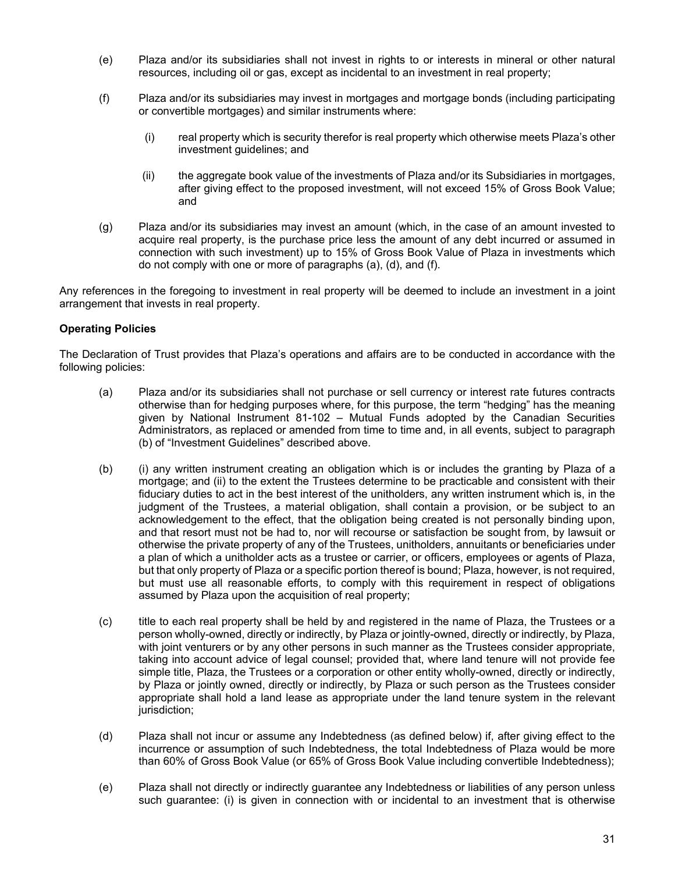- (e) Plaza and/or its subsidiaries shall not invest in rights to or interests in mineral or other natural resources, including oil or gas, except as incidental to an investment in real property;
- (f) Plaza and/or its subsidiaries may invest in mortgages and mortgage bonds (including participating or convertible mortgages) and similar instruments where:
	- (i) real property which is security therefor is real property which otherwise meets Plaza's other investment guidelines; and
	- (ii) the aggregate book value of the investments of Plaza and/or its Subsidiaries in mortgages, after giving effect to the proposed investment, will not exceed 15% of Gross Book Value; and
- (g) Plaza and/or its subsidiaries may invest an amount (which, in the case of an amount invested to acquire real property, is the purchase price less the amount of any debt incurred or assumed in connection with such investment) up to 15% of Gross Book Value of Plaza in investments which do not comply with one or more of paragraphs (a), (d), and (f).

Any references in the foregoing to investment in real property will be deemed to include an investment in a joint arrangement that invests in real property.

# **Operating Policies**

The Declaration of Trust provides that Plaza's operations and affairs are to be conducted in accordance with the following policies:

- (a) Plaza and/or its subsidiaries shall not purchase or sell currency or interest rate futures contracts otherwise than for hedging purposes where, for this purpose, the term "hedging" has the meaning given by National Instrument 81-102 – Mutual Funds adopted by the Canadian Securities Administrators, as replaced or amended from time to time and, in all events, subject to paragraph (b) of "Investment Guidelines" described above.
- (b) (i) any written instrument creating an obligation which is or includes the granting by Plaza of a mortgage; and (ii) to the extent the Trustees determine to be practicable and consistent with their fiduciary duties to act in the best interest of the unitholders, any written instrument which is, in the judgment of the Trustees, a material obligation, shall contain a provision, or be subject to an acknowledgement to the effect, that the obligation being created is not personally binding upon, and that resort must not be had to, nor will recourse or satisfaction be sought from, by lawsuit or otherwise the private property of any of the Trustees, unitholders, annuitants or beneficiaries under a plan of which a unitholder acts as a trustee or carrier, or officers, employees or agents of Plaza, but that only property of Plaza or a specific portion thereof is bound; Plaza, however, is not required, but must use all reasonable efforts, to comply with this requirement in respect of obligations assumed by Plaza upon the acquisition of real property;
- (c) title to each real property shall be held by and registered in the name of Plaza, the Trustees or a person wholly-owned, directly or indirectly, by Plaza or jointly-owned, directly or indirectly, by Plaza, with joint venturers or by any other persons in such manner as the Trustees consider appropriate, taking into account advice of legal counsel; provided that, where land tenure will not provide fee simple title, Plaza, the Trustees or a corporation or other entity wholly-owned, directly or indirectly, by Plaza or jointly owned, directly or indirectly, by Plaza or such person as the Trustees consider appropriate shall hold a land lease as appropriate under the land tenure system in the relevant jurisdiction;
- (d) Plaza shall not incur or assume any Indebtedness (as defined below) if, after giving effect to the incurrence or assumption of such Indebtedness, the total Indebtedness of Plaza would be more than 60% of Gross Book Value (or 65% of Gross Book Value including convertible Indebtedness);
- (e) Plaza shall not directly or indirectly guarantee any Indebtedness or liabilities of any person unless such guarantee: (i) is given in connection with or incidental to an investment that is otherwise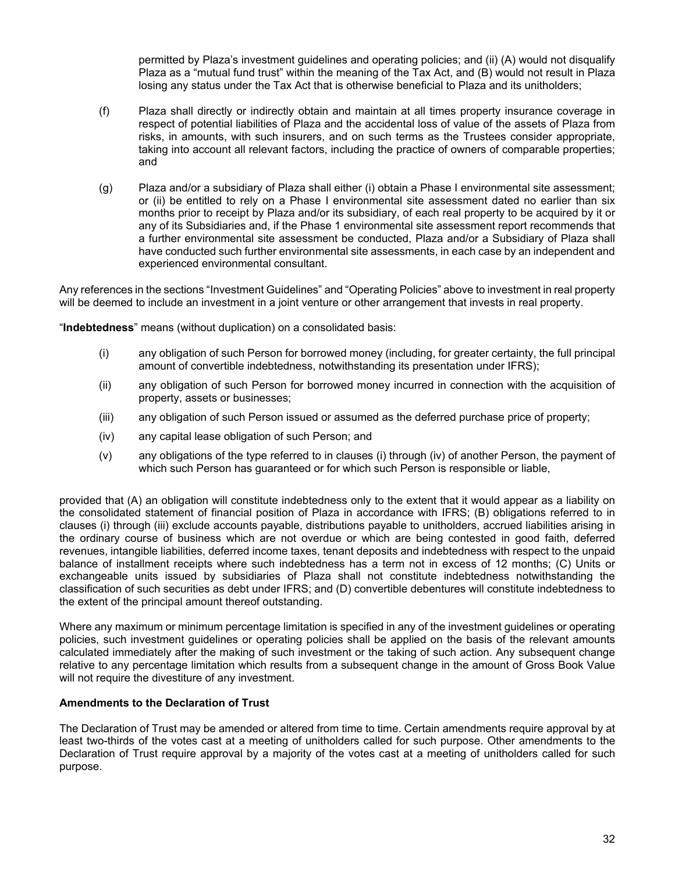permitted by Plaza's investment guidelines and operating policies; and (ii) (A) would not disqualify Plaza as a "mutual fund trust" within the meaning of the Tax Act, and (B) would not result in Plaza losing any status under the Tax Act that is otherwise beneficial to Plaza and its unitholders;

- (f) Plaza shall directly or indirectly obtain and maintain at all times property insurance coverage in respect of potential liabilities of Plaza and the accidental loss of value of the assets of Plaza from risks, in amounts, with such insurers, and on such terms as the Trustees consider appropriate, taking into account all relevant factors, including the practice of owners of comparable properties; and
- (g) Plaza and/or a subsidiary of Plaza shall either (i) obtain a Phase I environmental site assessment; or (ii) be entitled to rely on a Phase I environmental site assessment dated no earlier than six months prior to receipt by Plaza and/or its subsidiary, of each real property to be acquired by it or any of its Subsidiaries and, if the Phase 1 environmental site assessment report recommends that a further environmental site assessment be conducted, Plaza and/or a Subsidiary of Plaza shall have conducted such further environmental site assessments, in each case by an independent and experienced environmental consultant.

Any references in the sections "Investment Guidelines" and "Operating Policies" above to investment in real property will be deemed to include an investment in a joint venture or other arrangement that invests in real property.

"**Indebtedness**" means (without duplication) on a consolidated basis:

- (i) any obligation of such Person for borrowed money (including, for greater certainty, the full principal amount of convertible indebtedness, notwithstanding its presentation under IFRS);
- (ii) any obligation of such Person for borrowed money incurred in connection with the acquisition of property, assets or businesses;
- (iii) any obligation of such Person issued or assumed as the deferred purchase price of property;
- (iv) any capital lease obligation of such Person; and
- (v) any obligations of the type referred to in clauses (i) through (iv) of another Person, the payment of which such Person has guaranteed or for which such Person is responsible or liable,

provided that (A) an obligation will constitute indebtedness only to the extent that it would appear as a liability on the consolidated statement of financial position of Plaza in accordance with IFRS; (B) obligations referred to in clauses (i) through (iii) exclude accounts payable, distributions payable to unitholders, accrued liabilities arising in the ordinary course of business which are not overdue or which are being contested in good faith, deferred revenues, intangible liabilities, deferred income taxes, tenant deposits and indebtedness with respect to the unpaid balance of installment receipts where such indebtedness has a term not in excess of 12 months; (C) Units or exchangeable units issued by subsidiaries of Plaza shall not constitute indebtedness notwithstanding the classification of such securities as debt under IFRS; and (D) convertible debentures will constitute indebtedness to the extent of the principal amount thereof outstanding.

Where any maximum or minimum percentage limitation is specified in any of the investment guidelines or operating policies, such investment guidelines or operating policies shall be applied on the basis of the relevant amounts calculated immediately after the making of such investment or the taking of such action. Any subsequent change relative to any percentage limitation which results from a subsequent change in the amount of Gross Book Value will not require the divestiture of any investment.

# **Amendments to the Declaration of Trust**

The Declaration of Trust may be amended or altered from time to time. Certain amendments require approval by at least two-thirds of the votes cast at a meeting of unitholders called for such purpose. Other amendments to the Declaration of Trust require approval by a majority of the votes cast at a meeting of unitholders called for such purpose.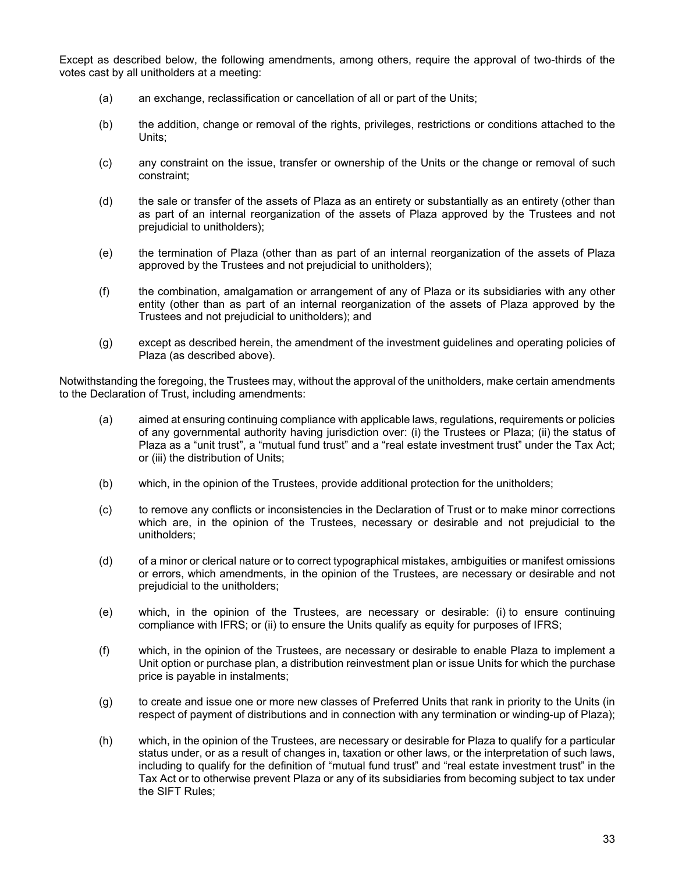Except as described below, the following amendments, among others, require the approval of two-thirds of the votes cast by all unitholders at a meeting:

- (a) an exchange, reclassification or cancellation of all or part of the Units;
- (b) the addition, change or removal of the rights, privileges, restrictions or conditions attached to the Units;
- (c) any constraint on the issue, transfer or ownership of the Units or the change or removal of such constraint;
- (d) the sale or transfer of the assets of Plaza as an entirety or substantially as an entirety (other than as part of an internal reorganization of the assets of Plaza approved by the Trustees and not prejudicial to unitholders);
- (e) the termination of Plaza (other than as part of an internal reorganization of the assets of Plaza approved by the Trustees and not prejudicial to unitholders);
- (f) the combination, amalgamation or arrangement of any of Plaza or its subsidiaries with any other entity (other than as part of an internal reorganization of the assets of Plaza approved by the Trustees and not prejudicial to unitholders); and
- (g) except as described herein, the amendment of the investment guidelines and operating policies of Plaza (as described above).

Notwithstanding the foregoing, the Trustees may, without the approval of the unitholders, make certain amendments to the Declaration of Trust, including amendments:

- (a) aimed at ensuring continuing compliance with applicable laws, regulations, requirements or policies of any governmental authority having jurisdiction over: (i) the Trustees or Plaza; (ii) the status of Plaza as a "unit trust", a "mutual fund trust" and a "real estate investment trust" under the Tax Act; or (iii) the distribution of Units;
- (b) which, in the opinion of the Trustees, provide additional protection for the unitholders;
- (c) to remove any conflicts or inconsistencies in the Declaration of Trust or to make minor corrections which are, in the opinion of the Trustees, necessary or desirable and not prejudicial to the unitholders;
- (d) of a minor or clerical nature or to correct typographical mistakes, ambiguities or manifest omissions or errors, which amendments, in the opinion of the Trustees, are necessary or desirable and not prejudicial to the unitholders;
- (e) which, in the opinion of the Trustees, are necessary or desirable: (i) to ensure continuing compliance with IFRS; or (ii) to ensure the Units qualify as equity for purposes of IFRS;
- (f) which, in the opinion of the Trustees, are necessary or desirable to enable Plaza to implement a Unit option or purchase plan, a distribution reinvestment plan or issue Units for which the purchase price is payable in instalments;
- (g) to create and issue one or more new classes of Preferred Units that rank in priority to the Units (in respect of payment of distributions and in connection with any termination or winding-up of Plaza);
- (h) which, in the opinion of the Trustees, are necessary or desirable for Plaza to qualify for a particular status under, or as a result of changes in, taxation or other laws, or the interpretation of such laws, including to qualify for the definition of "mutual fund trust" and "real estate investment trust" in the Tax Act or to otherwise prevent Plaza or any of its subsidiaries from becoming subject to tax under the SIFT Rules;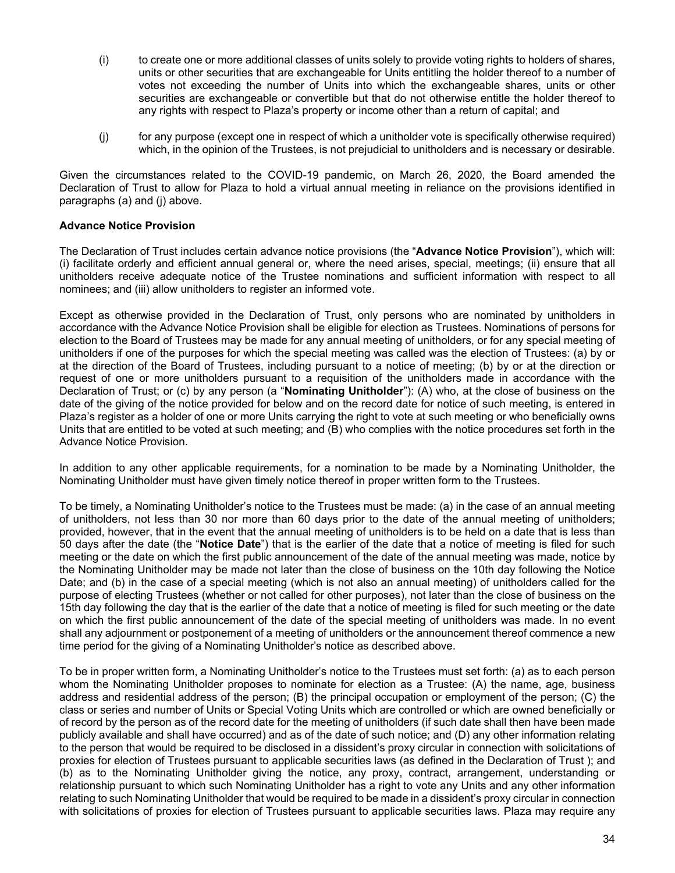- (i) to create one or more additional classes of units solely to provide voting rights to holders of shares, units or other securities that are exchangeable for Units entitling the holder thereof to a number of votes not exceeding the number of Units into which the exchangeable shares, units or other securities are exchangeable or convertible but that do not otherwise entitle the holder thereof to any rights with respect to Plaza's property or income other than a return of capital; and
- (j) for any purpose (except one in respect of which a unitholder vote is specifically otherwise required) which, in the opinion of the Trustees, is not prejudicial to unitholders and is necessary or desirable.

Given the circumstances related to the COVID-19 pandemic, on March 26, 2020, the Board amended the Declaration of Trust to allow for Plaza to hold a virtual annual meeting in reliance on the provisions identified in paragraphs (a) and (j) above.

# **Advance Notice Provision**

The Declaration of Trust includes certain advance notice provisions (the "**Advance Notice Provision**"), which will: (i) facilitate orderly and efficient annual general or, where the need arises, special, meetings; (ii) ensure that all unitholders receive adequate notice of the Trustee nominations and sufficient information with respect to all nominees; and (iii) allow unitholders to register an informed vote.

Except as otherwise provided in the Declaration of Trust, only persons who are nominated by unitholders in accordance with the Advance Notice Provision shall be eligible for election as Trustees. Nominations of persons for election to the Board of Trustees may be made for any annual meeting of unitholders, or for any special meeting of unitholders if one of the purposes for which the special meeting was called was the election of Trustees: (a) by or at the direction of the Board of Trustees, including pursuant to a notice of meeting; (b) by or at the direction or request of one or more unitholders pursuant to a requisition of the unitholders made in accordance with the Declaration of Trust; or (c) by any person (a "**Nominating Unitholder**"): (A) who, at the close of business on the date of the giving of the notice provided for below and on the record date for notice of such meeting, is entered in Plaza's register as a holder of one or more Units carrying the right to vote at such meeting or who beneficially owns Units that are entitled to be voted at such meeting; and (B) who complies with the notice procedures set forth in the Advance Notice Provision.

In addition to any other applicable requirements, for a nomination to be made by a Nominating Unitholder, the Nominating Unitholder must have given timely notice thereof in proper written form to the Trustees.

To be timely, a Nominating Unitholder's notice to the Trustees must be made: (a) in the case of an annual meeting of unitholders, not less than 30 nor more than 60 days prior to the date of the annual meeting of unitholders; provided, however, that in the event that the annual meeting of unitholders is to be held on a date that is less than 50 days after the date (the "**Notice Date**") that is the earlier of the date that a notice of meeting is filed for such meeting or the date on which the first public announcement of the date of the annual meeting was made, notice by the Nominating Unitholder may be made not later than the close of business on the 10th day following the Notice Date; and (b) in the case of a special meeting (which is not also an annual meeting) of unitholders called for the purpose of electing Trustees (whether or not called for other purposes), not later than the close of business on the 15th day following the day that is the earlier of the date that a notice of meeting is filed for such meeting or the date on which the first public announcement of the date of the special meeting of unitholders was made. In no event shall any adjournment or postponement of a meeting of unitholders or the announcement thereof commence a new time period for the giving of a Nominating Unitholder's notice as described above.

To be in proper written form, a Nominating Unitholder's notice to the Trustees must set forth: (a) as to each person whom the Nominating Unitholder proposes to nominate for election as a Trustee: (A) the name, age, business address and residential address of the person; (B) the principal occupation or employment of the person; (C) the class or series and number of Units or Special Voting Units which are controlled or which are owned beneficially or of record by the person as of the record date for the meeting of unitholders (if such date shall then have been made publicly available and shall have occurred) and as of the date of such notice; and (D) any other information relating to the person that would be required to be disclosed in a dissident's proxy circular in connection with solicitations of proxies for election of Trustees pursuant to applicable securities laws (as defined in the Declaration of Trust ); and (b) as to the Nominating Unitholder giving the notice, any proxy, contract, arrangement, understanding or relationship pursuant to which such Nominating Unitholder has a right to vote any Units and any other information relating to such Nominating Unitholder that would be required to be made in a dissident's proxy circular in connection with solicitations of proxies for election of Trustees pursuant to applicable securities laws. Plaza may require any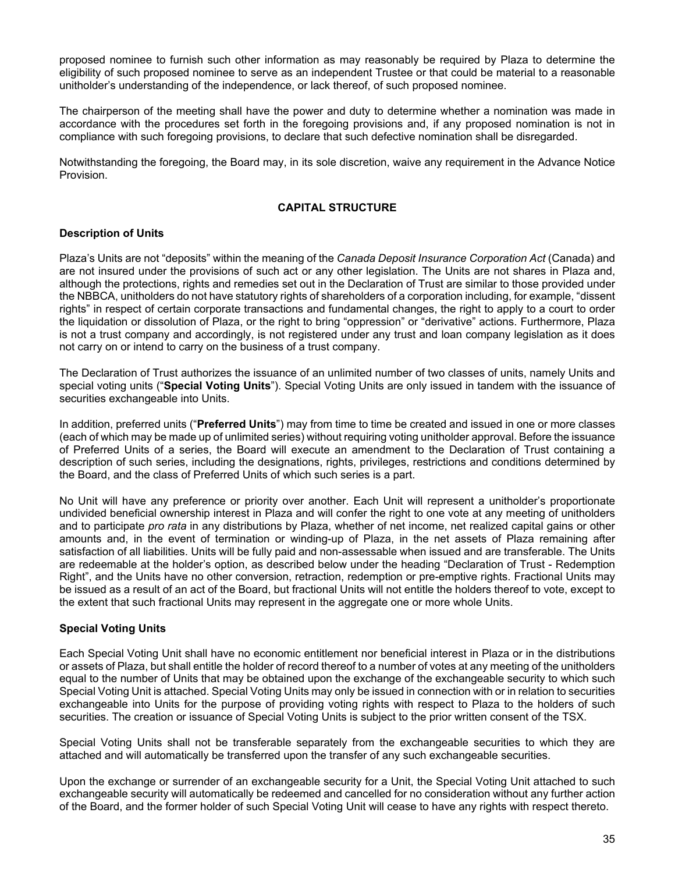proposed nominee to furnish such other information as may reasonably be required by Plaza to determine the eligibility of such proposed nominee to serve as an independent Trustee or that could be material to a reasonable unitholder's understanding of the independence, or lack thereof, of such proposed nominee.

The chairperson of the meeting shall have the power and duty to determine whether a nomination was made in accordance with the procedures set forth in the foregoing provisions and, if any proposed nomination is not in compliance with such foregoing provisions, to declare that such defective nomination shall be disregarded.

Notwithstanding the foregoing, the Board may, in its sole discretion, waive any requirement in the Advance Notice Provision.

### **CAPITAL STRUCTURE**

# **Description of Units**

Plaza's Units are not "deposits" within the meaning of the *Canada Deposit Insurance Corporation Act* (Canada) and are not insured under the provisions of such act or any other legislation. The Units are not shares in Plaza and, although the protections, rights and remedies set out in the Declaration of Trust are similar to those provided under the NBBCA, unitholders do not have statutory rights of shareholders of a corporation including, for example, "dissent rights" in respect of certain corporate transactions and fundamental changes, the right to apply to a court to order the liquidation or dissolution of Plaza, or the right to bring "oppression" or "derivative" actions. Furthermore, Plaza is not a trust company and accordingly, is not registered under any trust and loan company legislation as it does not carry on or intend to carry on the business of a trust company.

The Declaration of Trust authorizes the issuance of an unlimited number of two classes of units, namely Units and special voting units ("**Special Voting Units**"). Special Voting Units are only issued in tandem with the issuance of securities exchangeable into Units.

In addition, preferred units ("**Preferred Units**") may from time to time be created and issued in one or more classes (each of which may be made up of unlimited series) without requiring voting unitholder approval. Before the issuance of Preferred Units of a series, the Board will execute an amendment to the Declaration of Trust containing a description of such series, including the designations, rights, privileges, restrictions and conditions determined by the Board, and the class of Preferred Units of which such series is a part.

No Unit will have any preference or priority over another. Each Unit will represent a unitholder's proportionate undivided beneficial ownership interest in Plaza and will confer the right to one vote at any meeting of unitholders and to participate *pro rata* in any distributions by Plaza, whether of net income, net realized capital gains or other amounts and, in the event of termination or winding-up of Plaza, in the net assets of Plaza remaining after satisfaction of all liabilities. Units will be fully paid and non-assessable when issued and are transferable. The Units are redeemable at the holder's option, as described below under the heading "Declaration of Trust - Redemption Right", and the Units have no other conversion, retraction, redemption or pre-emptive rights. Fractional Units may be issued as a result of an act of the Board, but fractional Units will not entitle the holders thereof to vote, except to the extent that such fractional Units may represent in the aggregate one or more whole Units.

### **Special Voting Units**

Each Special Voting Unit shall have no economic entitlement nor beneficial interest in Plaza or in the distributions or assets of Plaza, but shall entitle the holder of record thereof to a number of votes at any meeting of the unitholders equal to the number of Units that may be obtained upon the exchange of the exchangeable security to which such Special Voting Unit is attached. Special Voting Units may only be issued in connection with or in relation to securities exchangeable into Units for the purpose of providing voting rights with respect to Plaza to the holders of such securities. The creation or issuance of Special Voting Units is subject to the prior written consent of the TSX.

Special Voting Units shall not be transferable separately from the exchangeable securities to which they are attached and will automatically be transferred upon the transfer of any such exchangeable securities.

Upon the exchange or surrender of an exchangeable security for a Unit, the Special Voting Unit attached to such exchangeable security will automatically be redeemed and cancelled for no consideration without any further action of the Board, and the former holder of such Special Voting Unit will cease to have any rights with respect thereto.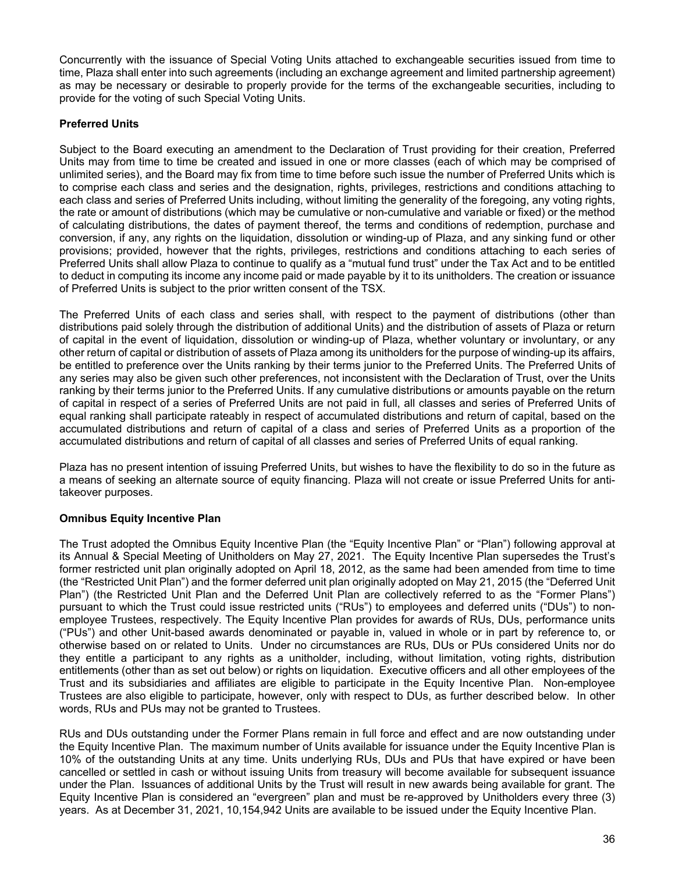Concurrently with the issuance of Special Voting Units attached to exchangeable securities issued from time to time, Plaza shall enter into such agreements (including an exchange agreement and limited partnership agreement) as may be necessary or desirable to properly provide for the terms of the exchangeable securities, including to provide for the voting of such Special Voting Units.

# **Preferred Units**

Subject to the Board executing an amendment to the Declaration of Trust providing for their creation, Preferred Units may from time to time be created and issued in one or more classes (each of which may be comprised of unlimited series), and the Board may fix from time to time before such issue the number of Preferred Units which is to comprise each class and series and the designation, rights, privileges, restrictions and conditions attaching to each class and series of Preferred Units including, without limiting the generality of the foregoing, any voting rights, the rate or amount of distributions (which may be cumulative or non-cumulative and variable or fixed) or the method of calculating distributions, the dates of payment thereof, the terms and conditions of redemption, purchase and conversion, if any, any rights on the liquidation, dissolution or winding-up of Plaza, and any sinking fund or other provisions; provided, however that the rights, privileges, restrictions and conditions attaching to each series of Preferred Units shall allow Plaza to continue to qualify as a "mutual fund trust" under the Tax Act and to be entitled to deduct in computing its income any income paid or made payable by it to its unitholders. The creation or issuance of Preferred Units is subject to the prior written consent of the TSX.

The Preferred Units of each class and series shall, with respect to the payment of distributions (other than distributions paid solely through the distribution of additional Units) and the distribution of assets of Plaza or return of capital in the event of liquidation, dissolution or winding-up of Plaza, whether voluntary or involuntary, or any other return of capital or distribution of assets of Plaza among its unitholders for the purpose of winding-up its affairs, be entitled to preference over the Units ranking by their terms junior to the Preferred Units. The Preferred Units of any series may also be given such other preferences, not inconsistent with the Declaration of Trust, over the Units ranking by their terms junior to the Preferred Units. If any cumulative distributions or amounts payable on the return of capital in respect of a series of Preferred Units are not paid in full, all classes and series of Preferred Units of equal ranking shall participate rateably in respect of accumulated distributions and return of capital, based on the accumulated distributions and return of capital of a class and series of Preferred Units as a proportion of the accumulated distributions and return of capital of all classes and series of Preferred Units of equal ranking.

Plaza has no present intention of issuing Preferred Units, but wishes to have the flexibility to do so in the future as a means of seeking an alternate source of equity financing. Plaza will not create or issue Preferred Units for antitakeover purposes.

# **Omnibus Equity Incentive Plan**

The Trust adopted the Omnibus Equity Incentive Plan (the "Equity Incentive Plan" or "Plan") following approval at its Annual & Special Meeting of Unitholders on May 27, 2021. The Equity Incentive Plan supersedes the Trust's former restricted unit plan originally adopted on April 18, 2012, as the same had been amended from time to time (the "Restricted Unit Plan") and the former deferred unit plan originally adopted on May 21, 2015 (the "Deferred Unit Plan") (the Restricted Unit Plan and the Deferred Unit Plan are collectively referred to as the "Former Plans") pursuant to which the Trust could issue restricted units ("RUs") to employees and deferred units ("DUs") to nonemployee Trustees, respectively. The Equity Incentive Plan provides for awards of RUs, DUs, performance units ("PUs") and other Unit-based awards denominated or payable in, valued in whole or in part by reference to, or otherwise based on or related to Units. Under no circumstances are RUs, DUs or PUs considered Units nor do they entitle a participant to any rights as a unitholder, including, without limitation, voting rights, distribution entitlements (other than as set out below) or rights on liquidation. Executive officers and all other employees of the Trust and its subsidiaries and affiliates are eligible to participate in the Equity Incentive Plan. Non-employee Trustees are also eligible to participate, however, only with respect to DUs, as further described below. In other words, RUs and PUs may not be granted to Trustees.

RUs and DUs outstanding under the Former Plans remain in full force and effect and are now outstanding under the Equity Incentive Plan. The maximum number of Units available for issuance under the Equity Incentive Plan is 10% of the outstanding Units at any time. Units underlying RUs, DUs and PUs that have expired or have been cancelled or settled in cash or without issuing Units from treasury will become available for subsequent issuance under the Plan. Issuances of additional Units by the Trust will result in new awards being available for grant. The Equity Incentive Plan is considered an "evergreen" plan and must be re-approved by Unitholders every three (3) years. As at December 31, 2021, 10,154,942 Units are available to be issued under the Equity Incentive Plan.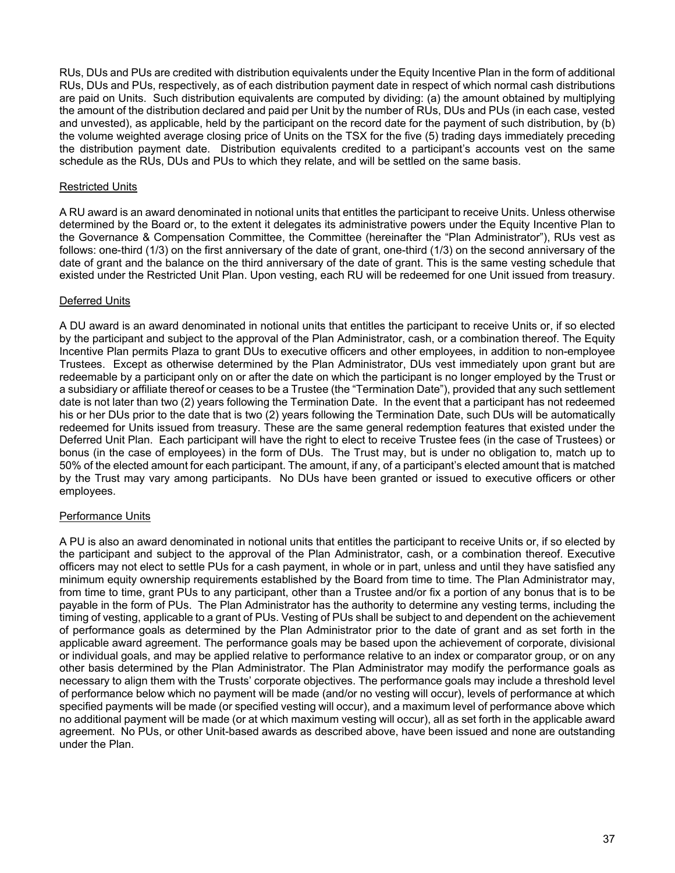RUs, DUs and PUs are credited with distribution equivalents under the Equity Incentive Plan in the form of additional RUs, DUs and PUs, respectively, as of each distribution payment date in respect of which normal cash distributions are paid on Units. Such distribution equivalents are computed by dividing: (a) the amount obtained by multiplying the amount of the distribution declared and paid per Unit by the number of RUs, DUs and PUs (in each case, vested and unvested), as applicable, held by the participant on the record date for the payment of such distribution, by (b) the volume weighted average closing price of Units on the TSX for the five (5) trading days immediately preceding the distribution payment date. Distribution equivalents credited to a participant's accounts vest on the same schedule as the RUs, DUs and PUs to which they relate, and will be settled on the same basis.

### Restricted Units

A RU award is an award denominated in notional units that entitles the participant to receive Units. Unless otherwise determined by the Board or, to the extent it delegates its administrative powers under the Equity Incentive Plan to the Governance & Compensation Committee, the Committee (hereinafter the "Plan Administrator"), RUs vest as follows: one-third (1/3) on the first anniversary of the date of grant, one-third (1/3) on the second anniversary of the date of grant and the balance on the third anniversary of the date of grant. This is the same vesting schedule that existed under the Restricted Unit Plan. Upon vesting, each RU will be redeemed for one Unit issued from treasury.

# Deferred Units

A DU award is an award denominated in notional units that entitles the participant to receive Units or, if so elected by the participant and subject to the approval of the Plan Administrator, cash, or a combination thereof. The Equity Incentive Plan permits Plaza to grant DUs to executive officers and other employees, in addition to non-employee Trustees. Except as otherwise determined by the Plan Administrator, DUs vest immediately upon grant but are redeemable by a participant only on or after the date on which the participant is no longer employed by the Trust or a subsidiary or affiliate thereof or ceases to be a Trustee (the "Termination Date"), provided that any such settlement date is not later than two (2) years following the Termination Date. In the event that a participant has not redeemed his or her DUs prior to the date that is two (2) years following the Termination Date, such DUs will be automatically redeemed for Units issued from treasury. These are the same general redemption features that existed under the Deferred Unit Plan. Each participant will have the right to elect to receive Trustee fees (in the case of Trustees) or bonus (in the case of employees) in the form of DUs. The Trust may, but is under no obligation to, match up to 50% of the elected amount for each participant. The amount, if any, of a participant's elected amount that is matched by the Trust may vary among participants. No DUs have been granted or issued to executive officers or other employees.

### Performance Units

A PU is also an award denominated in notional units that entitles the participant to receive Units or, if so elected by the participant and subject to the approval of the Plan Administrator, cash, or a combination thereof. Executive officers may not elect to settle PUs for a cash payment, in whole or in part, unless and until they have satisfied any minimum equity ownership requirements established by the Board from time to time. The Plan Administrator may, from time to time, grant PUs to any participant, other than a Trustee and/or fix a portion of any bonus that is to be payable in the form of PUs. The Plan Administrator has the authority to determine any vesting terms, including the timing of vesting, applicable to a grant of PUs. Vesting of PUs shall be subject to and dependent on the achievement of performance goals as determined by the Plan Administrator prior to the date of grant and as set forth in the applicable award agreement. The performance goals may be based upon the achievement of corporate, divisional or individual goals, and may be applied relative to performance relative to an index or comparator group, or on any other basis determined by the Plan Administrator. The Plan Administrator may modify the performance goals as necessary to align them with the Trusts' corporate objectives. The performance goals may include a threshold level of performance below which no payment will be made (and/or no vesting will occur), levels of performance at which specified payments will be made (or specified vesting will occur), and a maximum level of performance above which no additional payment will be made (or at which maximum vesting will occur), all as set forth in the applicable award agreement. No PUs, or other Unit-based awards as described above, have been issued and none are outstanding under the Plan.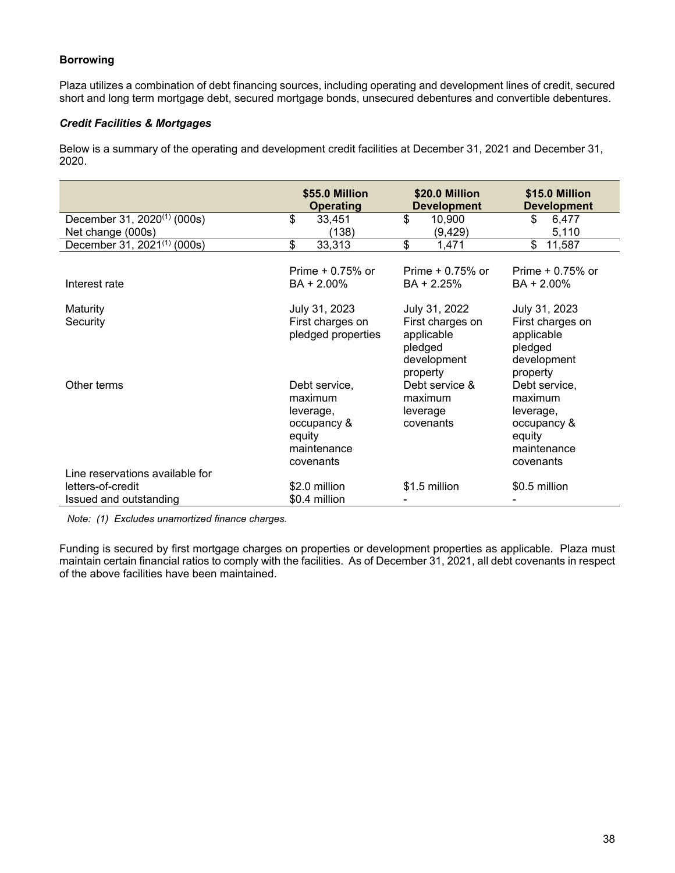# **Borrowing**

Plaza utilizes a combination of debt financing sources, including operating and development lines of credit, secured short and long term mortgage debt, secured mortgage bonds, unsecured debentures and convertible debentures.

# *Credit Facilities & Mortgages*

Below is a summary of the operating and development credit facilities at December 31, 2021 and December 31, 2020.

|                                             | \$55.0 Million<br><b>Operating</b>                                                         | \$20.0 Million<br><b>Development</b>                                 | \$15.0 Million<br><b>Development</b>                                                       |
|---------------------------------------------|--------------------------------------------------------------------------------------------|----------------------------------------------------------------------|--------------------------------------------------------------------------------------------|
| December 31, $2020^{(1)}$ (000s)            | \$<br>33,451                                                                               | \$<br>10,900                                                         | 6,477<br>\$                                                                                |
| Net change (000s)                           | (138)                                                                                      | (9, 429)                                                             | 5,110                                                                                      |
| December 31, $2021^{(1)}$ (000s)            | \$<br>33,313                                                                               | \$<br>1,471                                                          | \$<br>11,587                                                                               |
| Interest rate                               | Prime $+0.75%$ or<br>BA + 2.00%                                                            | Prime $+0.75%$ or<br>BA + 2.25%                                      | Prime $+0.75%$ or<br>BA + 2.00%                                                            |
| Maturity                                    | July 31, 2023                                                                              | July 31, 2022                                                        | July 31, 2023                                                                              |
| Security                                    | First charges on<br>pledged properties                                                     | First charges on<br>applicable<br>pledged<br>development<br>property | First charges on<br>applicable<br>pledged<br>development<br>property                       |
| Other terms                                 | Debt service,<br>maximum<br>leverage,<br>occupancy &<br>equity<br>maintenance<br>covenants | Debt service &<br>maximum<br>leverage<br>covenants                   | Debt service,<br>maximum<br>leverage,<br>occupancy &<br>equity<br>maintenance<br>covenants |
| Line reservations available for             |                                                                                            |                                                                      |                                                                                            |
| letters-of-credit<br>Issued and outstanding | \$2.0 million<br>\$0.4 million                                                             | \$1.5 million                                                        | \$0.5 million                                                                              |

*Note: (1) Excludes unamortized finance charges.* 

Funding is secured by first mortgage charges on properties or development properties as applicable. Plaza must maintain certain financial ratios to comply with the facilities. As of December 31, 2021, all debt covenants in respect of the above facilities have been maintained.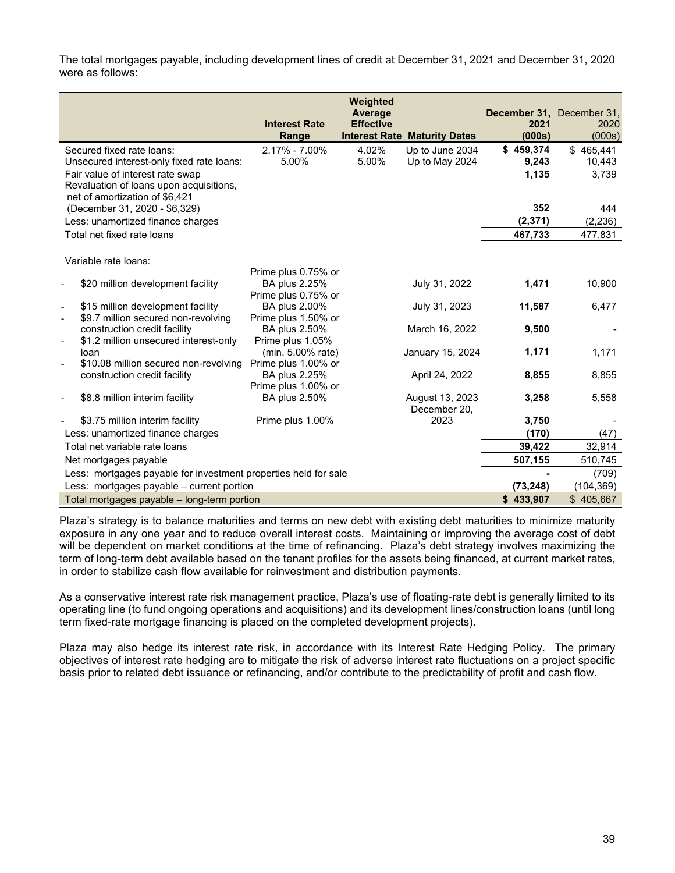The total mortgages payable, including development lines of credit at December 31, 2021 and December 31, 2020 were as follows:

|                                                                   |                                      | Weighted<br><b>Average</b> |                                     | December 31, December 31, |           |
|-------------------------------------------------------------------|--------------------------------------|----------------------------|-------------------------------------|---------------------------|-----------|
|                                                                   | <b>Interest Rate</b>                 | <b>Effective</b>           |                                     | 2021                      | 2020      |
|                                                                   | Range                                |                            | <b>Interest Rate Maturity Dates</b> | (000s)                    | (000s)    |
| Secured fixed rate loans:                                         | 2.17% - 7.00%                        | 4.02%                      | Up to June 2034                     | \$459,374                 | \$465,441 |
| Unsecured interest-only fixed rate loans:                         | 5.00%                                | 5.00%                      | Up to May 2024                      | 9,243                     | 10,443    |
| Fair value of interest rate swap                                  |                                      |                            |                                     | 1,135                     | 3,739     |
| Revaluation of loans upon acquisitions,                           |                                      |                            |                                     |                           |           |
| net of amortization of \$6,421                                    |                                      |                            |                                     |                           |           |
| (December 31, 2020 - \$6,329)                                     |                                      |                            |                                     | 352                       | 444       |
| Less: unamortized finance charges                                 |                                      |                            |                                     | (2, 371)                  | (2, 236)  |
| Total net fixed rate loans                                        |                                      |                            |                                     | 467,733                   | 477,831   |
|                                                                   |                                      |                            |                                     |                           |           |
| Variable rate loans:                                              |                                      |                            |                                     |                           |           |
|                                                                   | Prime plus 0.75% or                  |                            |                                     |                           |           |
| \$20 million development facility                                 | <b>BA plus 2.25%</b>                 |                            | July 31, 2022                       | 1,471                     | 10,900    |
|                                                                   | Prime plus 0.75% or                  |                            |                                     |                           |           |
| \$15 million development facility<br>$\overline{\phantom{a}}$     | BA plus 2.00%                        |                            | July 31, 2023                       | 11,587                    | 6,477     |
| \$9.7 million secured non-revolving                               | Prime plus 1.50% or                  |                            |                                     |                           |           |
| construction credit facility                                      | BA plus 2.50%                        |                            | March 16, 2022                      | 9,500                     |           |
| \$1.2 million unsecured interest-only<br>$\overline{\phantom{a}}$ | Prime plus 1.05%                     |                            |                                     |                           |           |
| loan                                                              | (min. 5.00% rate)                    |                            | January 15, 2024                    | 1,171                     | 1,171     |
| \$10.08 million secured non-revolving<br>$\overline{\phantom{a}}$ | Prime plus 1.00% or                  |                            |                                     |                           |           |
| construction credit facility                                      | BA plus 2.25%                        |                            | April 24, 2022                      | 8,855                     | 8,855     |
| \$8.8 million interim facility                                    | Prime plus 1.00% or<br>BA plus 2.50% |                            | August 13, 2023                     | 3,258                     | 5,558     |
|                                                                   |                                      |                            | December 20,                        |                           |           |
| \$3.75 million interim facility                                   | Prime plus 1.00%                     |                            | 2023                                | 3,750                     |           |
| Less: unamortized finance charges                                 |                                      |                            |                                     | (170)                     | (47)      |
| Total net variable rate loans                                     |                                      |                            |                                     | 39,422                    | 32,914    |
|                                                                   |                                      |                            |                                     | 507,155                   | 510,745   |
| Net mortgages payable                                             |                                      |                            |                                     |                           |           |
| Less: mortgages payable for investment properties held for sale   |                                      |                            |                                     |                           | (709)     |
| Less: mortgages payable - current portion                         |                                      |                            |                                     | (73, 248)                 | (104,369) |
| Total mortgages payable - long-term portion                       |                                      |                            |                                     | \$433,907                 | \$405,667 |

Plaza's strategy is to balance maturities and terms on new debt with existing debt maturities to minimize maturity exposure in any one year and to reduce overall interest costs. Maintaining or improving the average cost of debt will be dependent on market conditions at the time of refinancing. Plaza's debt strategy involves maximizing the term of long-term debt available based on the tenant profiles for the assets being financed, at current market rates, in order to stabilize cash flow available for reinvestment and distribution payments.

As a conservative interest rate risk management practice, Plaza's use of floating-rate debt is generally limited to its operating line (to fund ongoing operations and acquisitions) and its development lines/construction loans (until long term fixed-rate mortgage financing is placed on the completed development projects).

Plaza may also hedge its interest rate risk, in accordance with its Interest Rate Hedging Policy. The primary objectives of interest rate hedging are to mitigate the risk of adverse interest rate fluctuations on a project specific basis prior to related debt issuance or refinancing, and/or contribute to the predictability of profit and cash flow.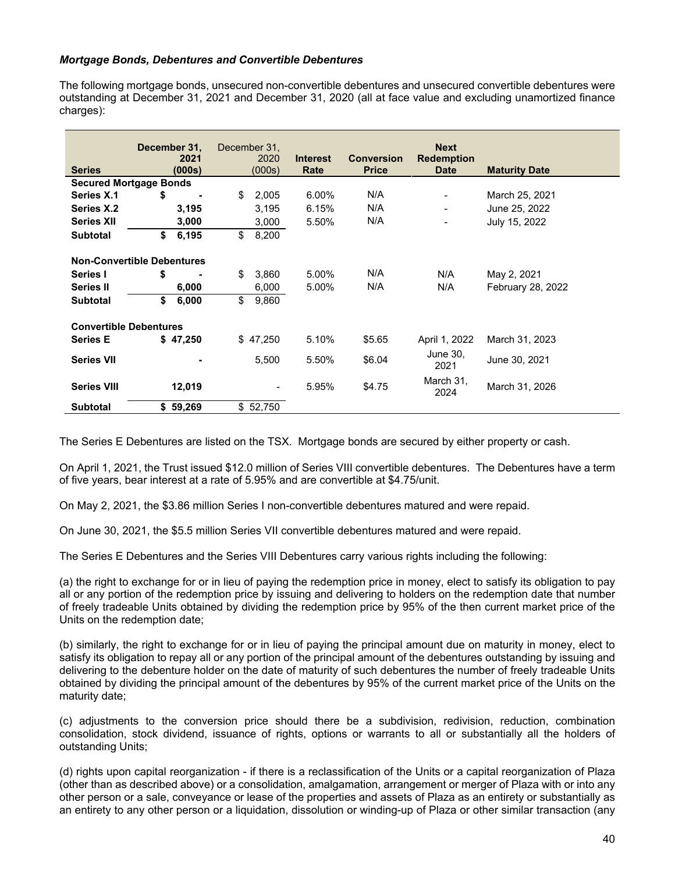### *Mortgage Bonds, Debentures and Convertible Debentures*

The following mortgage bonds, unsecured non-convertible debentures and unsecured convertible debentures were outstanding at December 31, 2021 and December 31, 2020 (all at face value and excluding unamortized finance charges):

| <b>Series</b>                 | December 31,<br>2021<br>(000s)    | December 31.<br>2020<br>(000s) | <b>Interest</b><br>Rate | <b>Conversion</b><br><b>Price</b> | <b>Next</b><br><b>Redemption</b><br><b>Date</b> | <b>Maturity Date</b> |
|-------------------------------|-----------------------------------|--------------------------------|-------------------------|-----------------------------------|-------------------------------------------------|----------------------|
|                               | <b>Secured Mortgage Bonds</b>     |                                |                         |                                   |                                                 |                      |
| Series X.1                    | \$                                | \$<br>2,005                    | $6.00\%$                | N/A                               | $\blacksquare$                                  | March 25, 2021       |
| Series X.2                    | 3,195                             | 3,195                          | 6.15%                   | N/A                               | $\blacksquare$                                  | June 25, 2022        |
| <b>Series XII</b>             | 3,000                             | 3,000                          | 5.50%                   | N/A                               |                                                 | July 15, 2022        |
| <b>Subtotal</b>               | \$<br>6,195                       | \$<br>8,200                    |                         |                                   |                                                 |                      |
|                               | <b>Non-Convertible Debentures</b> |                                |                         |                                   |                                                 |                      |
| Series I                      | \$                                | \$<br>3,860                    | 5.00%                   | N/A                               | N/A                                             | May 2, 2021          |
| <b>Series II</b>              | 6,000                             | 6,000                          | 5.00%                   | N/A                               | N/A                                             | February 28, 2022    |
| <b>Subtotal</b>               | \$<br>6,000                       | \$<br>9,860                    |                         |                                   |                                                 |                      |
| <b>Convertible Debentures</b> |                                   |                                |                         |                                   |                                                 |                      |
| <b>Series E</b>               | \$47,250                          | \$47,250                       | 5.10%                   | \$5.65                            | April 1, 2022                                   | March 31, 2023       |
| <b>Series VII</b>             |                                   | 5,500                          | 5.50%                   | \$6.04                            | <b>June 30,</b><br>2021                         | June 30, 2021        |
| <b>Series VIII</b>            | 12,019                            | $\blacksquare$                 | 5.95%                   | \$4.75                            | March 31,<br>2024                               | March 31, 2026       |
| <b>Subtotal</b>               | \$59,269                          | \$52,750                       |                         |                                   |                                                 |                      |

The Series E Debentures are listed on the TSX. Mortgage bonds are secured by either property or cash.

On April 1, 2021, the Trust issued \$12.0 million of Series VIII convertible debentures. The Debentures have a term of five years, bear interest at a rate of 5.95% and are convertible at \$4.75/unit.

On May 2, 2021, the \$3.86 million Series I non-convertible debentures matured and were repaid.

On June 30, 2021, the \$5.5 million Series VII convertible debentures matured and were repaid.

The Series E Debentures and the Series VIII Debentures carry various rights including the following:

(a) the right to exchange for or in lieu of paying the redemption price in money, elect to satisfy its obligation to pay all or any portion of the redemption price by issuing and delivering to holders on the redemption date that number of freely tradeable Units obtained by dividing the redemption price by 95% of the then current market price of the Units on the redemption date;

(b) similarly, the right to exchange for or in lieu of paying the principal amount due on maturity in money, elect to satisfy its obligation to repay all or any portion of the principal amount of the debentures outstanding by issuing and delivering to the debenture holder on the date of maturity of such debentures the number of freely tradeable Units obtained by dividing the principal amount of the debentures by 95% of the current market price of the Units on the maturity date;

(c) adjustments to the conversion price should there be a subdivision, redivision, reduction, combination consolidation, stock dividend, issuance of rights, options or warrants to all or substantially all the holders of outstanding Units;

(d) rights upon capital reorganization - if there is a reclassification of the Units or a capital reorganization of Plaza (other than as described above) or a consolidation, amalgamation, arrangement or merger of Plaza with or into any other person or a sale, conveyance or lease of the properties and assets of Plaza as an entirety or substantially as an entirety to any other person or a liquidation, dissolution or winding-up of Plaza or other similar transaction (any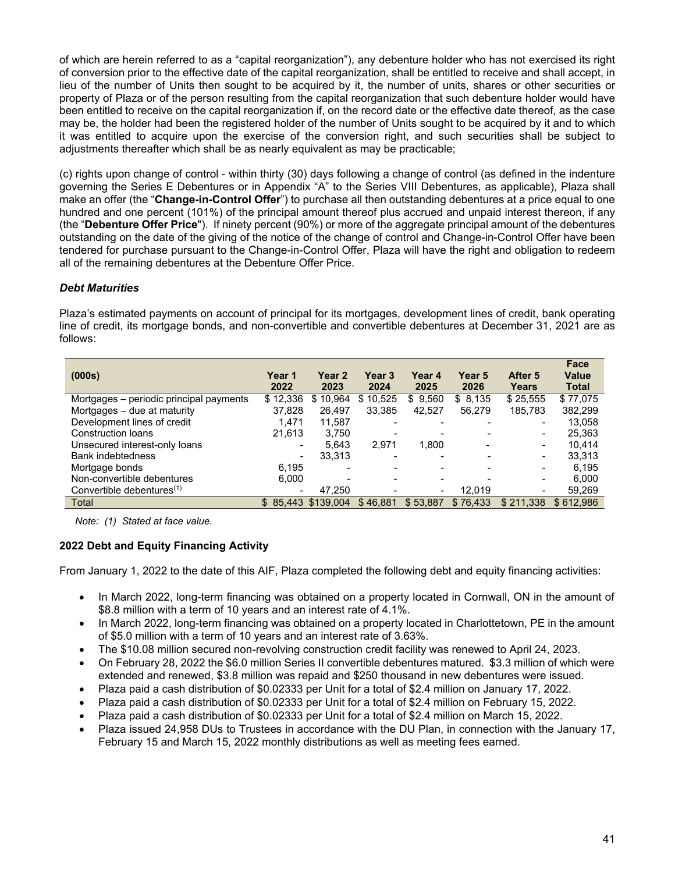of which are herein referred to as a "capital reorganization"), any debenture holder who has not exercised its right of conversion prior to the effective date of the capital reorganization, shall be entitled to receive and shall accept, in lieu of the number of Units then sought to be acquired by it, the number of units, shares or other securities or property of Plaza or of the person resulting from the capital reorganization that such debenture holder would have been entitled to receive on the capital reorganization if, on the record date or the effective date thereof, as the case may be, the holder had been the registered holder of the number of Units sought to be acquired by it and to which it was entitled to acquire upon the exercise of the conversion right, and such securities shall be subject to adjustments thereafter which shall be as nearly equivalent as may be practicable;

(c) rights upon change of control - within thirty (30) days following a change of control (as defined in the indenture governing the Series E Debentures or in Appendix "A" to the Series VIII Debentures, as applicable), Plaza shall make an offer (the "**Change-in-Control Offer**") to purchase all then outstanding debentures at a price equal to one hundred and one percent (101%) of the principal amount thereof plus accrued and unpaid interest thereon, if any (the "**Debenture Offer Price**"). If ninety percent (90%) or more of the aggregate principal amount of the debentures outstanding on the date of the giving of the notice of the change of control and Change-in-Control Offer have been tendered for purchase pursuant to the Change-in-Control Offer, Plaza will have the right and obligation to redeem all of the remaining debentures at the Debenture Offer Price.

# *Debt Maturities*

Plaza's estimated payments on account of principal for its mortgages, development lines of credit, bank operating line of credit, its mortgage bonds, and non-convertible and convertible debentures at December 31, 2021 are as follows:

| (000s)                                  | Year 1<br>2022           | <b>Year 2</b><br>2023    | Year 3<br>2024 | Year 4<br>2025           | Year 5<br>2026 | After 5<br>Years                                                                                                                                  | Face<br><b>Value</b><br><b>Total</b> |
|-----------------------------------------|--------------------------|--------------------------|----------------|--------------------------|----------------|---------------------------------------------------------------------------------------------------------------------------------------------------|--------------------------------------|
| Mortgages - periodic principal payments | \$12,336                 | 10.964<br>S              | \$10,525       | \$9,560                  | \$8,135        | \$25,555                                                                                                                                          | \$77,075                             |
| Mortgages – due at maturity             | 37.828                   | 26.497                   | 33.385         | 42.527                   | 56.279         | 185.783                                                                                                                                           | 382,299                              |
| Development lines of credit             | 1,471                    | 11,587                   |                | -                        |                | $\blacksquare$                                                                                                                                    | 13,058                               |
| Construction loans                      | 21.613                   | 3.750                    |                |                          |                | $\blacksquare$                                                                                                                                    | 25,363                               |
| Unsecured interest-only loans           | $\qquad \qquad$          | 5.643                    | 2,971          | 1,800                    |                | $\qquad \qquad$                                                                                                                                   | 10.414                               |
| <b>Bank indebtedness</b>                | $\overline{\phantom{0}}$ | 33,313                   |                | -                        |                | $\hskip1.6pt\hskip1.6pt\hskip1.6pt\hskip1.6pt\hskip1.6pt\hskip1.6pt\hskip1.6pt\hskip1.6pt\hskip1.6pt\hskip1.6pt\hskip1.6pt\hskip1.6pt\hskip1.6pt$ | 33,313                               |
| Mortgage bonds                          | 6.195                    | $\overline{\phantom{0}}$ |                | -                        |                | $\blacksquare$                                                                                                                                    | 6.195                                |
| Non-convertible debentures              | 6.000                    | $\overline{\phantom{a}}$ |                | $\overline{\phantom{0}}$ |                |                                                                                                                                                   | 6,000                                |
| Convertible debentures <sup>(1)</sup>   |                          | 47,250                   |                | $\qquad \qquad$          | 12.019         |                                                                                                                                                   | 59,269                               |
| Total                                   |                          | \$85.443 \$139.004       | \$46.881       | \$53.887                 | \$76.433       | \$211.338                                                                                                                                         | \$612.986                            |

*Note: (1) Stated at face value.* 

# **2022 Debt and Equity Financing Activity**

From January 1, 2022 to the date of this AIF, Plaza completed the following debt and equity financing activities:

- In March 2022, long-term financing was obtained on a property located in Cornwall, ON in the amount of \$8.8 million with a term of 10 years and an interest rate of 4.1%.
- In March 2022, long-term financing was obtained on a property located in Charlottetown, PE in the amount of \$5.0 million with a term of 10 years and an interest rate of 3.63%.
- The \$10.08 million secured non-revolving construction credit facility was renewed to April 24, 2023.
- On February 28, 2022 the \$6.0 million Series II convertible debentures matured. \$3.3 million of which were extended and renewed, \$3.8 million was repaid and \$250 thousand in new debentures were issued.
- Plaza paid a cash distribution of \$0.02333 per Unit for a total of \$2.4 million on January 17, 2022.
- Plaza paid a cash distribution of \$0.02333 per Unit for a total of \$2.4 million on February 15, 2022.
- Plaza paid a cash distribution of \$0.02333 per Unit for a total of \$2.4 million on March 15, 2022.
- Plaza issued 24,958 DUs to Trustees in accordance with the DU Plan, in connection with the January 17, February 15 and March 15, 2022 monthly distributions as well as meeting fees earned.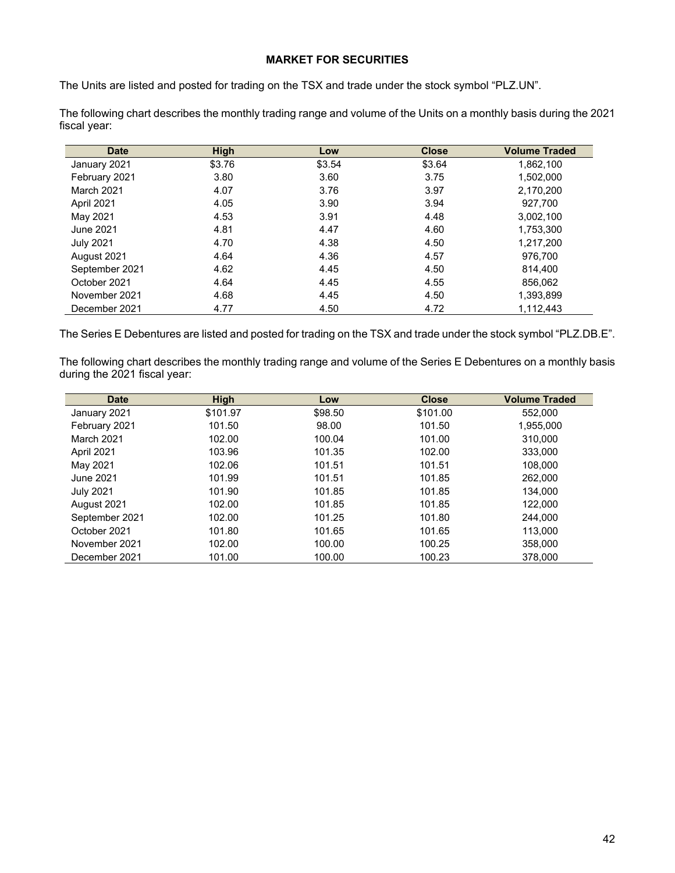# **MARKET FOR SECURITIES**

The Units are listed and posted for trading on the TSX and trade under the stock symbol "PLZ.UN".

The following chart describes the monthly trading range and volume of the Units on a monthly basis during the 2021 fiscal year:

| <b>Date</b>      | <b>High</b> | Low    | <b>Close</b> | <b>Volume Traded</b> |
|------------------|-------------|--------|--------------|----------------------|
| January 2021     | \$3.76      | \$3.54 | \$3.64       | 1,862,100            |
| February 2021    | 3.80        | 3.60   | 3.75         | 1.502.000            |
| March 2021       | 4.07        | 3.76   | 3.97         | 2,170,200            |
| April 2021       | 4.05        | 3.90   | 3.94         | 927.700              |
| May 2021         | 4.53        | 3.91   | 4.48         | 3,002,100            |
| June 2021        | 4.81        | 4.47   | 4.60         | 1,753,300            |
| <b>July 2021</b> | 4.70        | 4.38   | 4.50         | 1,217,200            |
| August 2021      | 4.64        | 4.36   | 4.57         | 976.700              |
| September 2021   | 4.62        | 4.45   | 4.50         | 814.400              |
| October 2021     | 4.64        | 4.45   | 4.55         | 856,062              |
| November 2021    | 4.68        | 4.45   | 4.50         | 1,393,899            |
| December 2021    | 4.77        | 4.50   | 4.72         | 1,112,443            |

The Series E Debentures are listed and posted for trading on the TSX and trade under the stock symbol "PLZ.DB.E".

The following chart describes the monthly trading range and volume of the Series E Debentures on a monthly basis during the 2021 fiscal year:

| <b>Date</b>       | <b>High</b> | Low     | <b>Close</b> | <b>Volume Traded</b> |
|-------------------|-------------|---------|--------------|----------------------|
| January 2021      | \$101.97    | \$98.50 | \$101.00     | 552,000              |
| February 2021     | 101.50      | 98.00   | 101.50       | 1,955,000            |
| <b>March 2021</b> | 102.00      | 100.04  | 101.00       | 310.000              |
| April 2021        | 103.96      | 101.35  | 102.00       | 333,000              |
| May 2021          | 102.06      | 101.51  | 101.51       | 108.000              |
| June 2021         | 101.99      | 101.51  | 101.85       | 262,000              |
| <b>July 2021</b>  | 101.90      | 101.85  | 101.85       | 134.000              |
| August 2021       | 102.00      | 101.85  | 101.85       | 122,000              |
| September 2021    | 102.00      | 101.25  | 101.80       | 244,000              |
| October 2021      | 101.80      | 101.65  | 101.65       | 113.000              |
| November 2021     | 102.00      | 100.00  | 100.25       | 358,000              |
| December 2021     | 101.00      | 100.00  | 100.23       | 378,000              |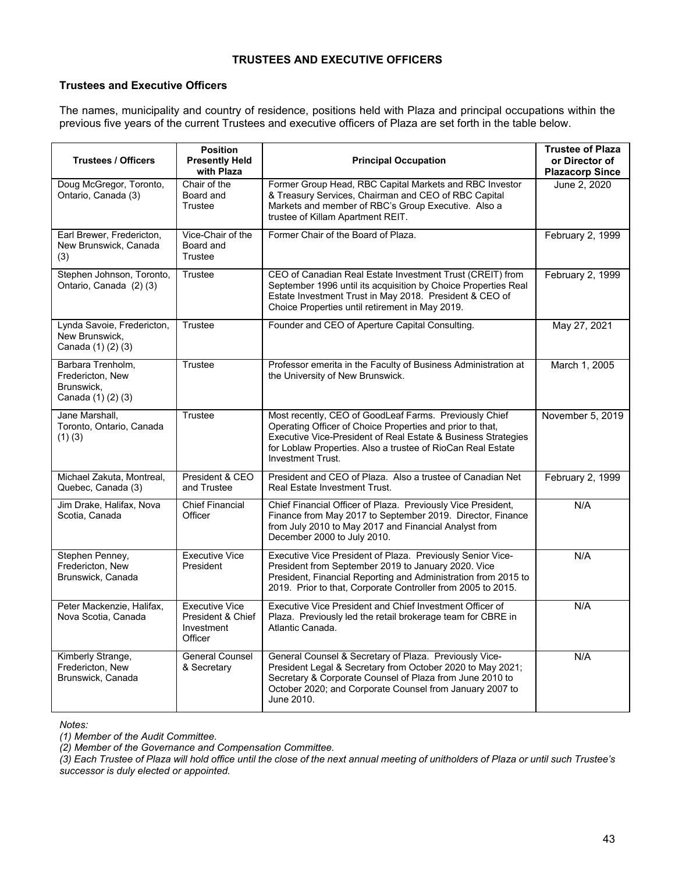# **TRUSTEES AND EXECUTIVE OFFICERS**

# **Trustees and Executive Officers**

The names, municipality and country of residence, positions held with Plaza and principal occupations within the previous five years of the current Trustees and executive officers of Plaza are set forth in the table below.

| <b>Trustees / Officers</b>                                                | <b>Position</b><br><b>Presently Held</b><br>with Plaza              | <b>Principal Occupation</b>                                                                                                                                                                                                                                                     | <b>Trustee of Plaza</b><br>or Director of<br><b>Plazacorp Since</b> |
|---------------------------------------------------------------------------|---------------------------------------------------------------------|---------------------------------------------------------------------------------------------------------------------------------------------------------------------------------------------------------------------------------------------------------------------------------|---------------------------------------------------------------------|
| Doug McGregor, Toronto,<br>Ontario, Canada (3)                            | Chair of the<br>Board and<br>Trustee                                | Former Group Head, RBC Capital Markets and RBC Investor<br>& Treasury Services, Chairman and CEO of RBC Capital<br>Markets and member of RBC's Group Executive. Also a<br>trustee of Killam Apartment REIT.                                                                     | June 2, 2020                                                        |
| Earl Brewer, Fredericton,<br>New Brunswick, Canada<br>(3)                 | Vice-Chair of the<br>Board and<br>Trustee                           | Former Chair of the Board of Plaza.                                                                                                                                                                                                                                             | February 2, 1999                                                    |
| Stephen Johnson, Toronto,<br>Ontario, Canada (2) (3)                      | Trustee                                                             | CEO of Canadian Real Estate Investment Trust (CREIT) from<br>September 1996 until its acquisition by Choice Properties Real<br>Estate Investment Trust in May 2018. President & CEO of<br>Choice Properties until retirement in May 2019.                                       | February 2, 1999                                                    |
| Lynda Savoie, Fredericton,<br>New Brunswick,<br>Canada (1) (2) (3)        | Trustee                                                             | Founder and CEO of Aperture Capital Consulting.                                                                                                                                                                                                                                 | May 27, 2021                                                        |
| Barbara Trenholm,<br>Fredericton, New<br>Brunswick,<br>Canada (1) (2) (3) | Trustee                                                             | Professor emerita in the Faculty of Business Administration at<br>the University of New Brunswick.                                                                                                                                                                              | March 1, 2005                                                       |
| Jane Marshall,<br>Toronto, Ontario, Canada<br>(1)(3)                      | Trustee                                                             | Most recently, CEO of GoodLeaf Farms. Previously Chief<br>Operating Officer of Choice Properties and prior to that,<br>Executive Vice-President of Real Estate & Business Strategies<br>for Loblaw Properties. Also a trustee of RioCan Real Estate<br><b>Investment Trust.</b> | November 5, 2019                                                    |
| Michael Zakuta, Montreal,<br>Quebec, Canada (3)                           | President & CEO<br>and Trustee                                      | President and CEO of Plaza. Also a trustee of Canadian Net<br><b>Real Estate Investment Trust.</b>                                                                                                                                                                              | February 2, 1999                                                    |
| Jim Drake, Halifax, Nova<br>Scotia, Canada                                | <b>Chief Financial</b><br>Officer                                   | Chief Financial Officer of Plaza. Previously Vice President,<br>Finance from May 2017 to September 2019. Director, Finance<br>from July 2010 to May 2017 and Financial Analyst from<br>December 2000 to July 2010.                                                              | N/A                                                                 |
| Stephen Penney,<br>Fredericton, New<br>Brunswick, Canada                  | <b>Executive Vice</b><br>President                                  | Executive Vice President of Plaza. Previously Senior Vice-<br>President from September 2019 to January 2020. Vice<br>President, Financial Reporting and Administration from 2015 to<br>2019. Prior to that, Corporate Controller from 2005 to 2015.                             | N/A                                                                 |
| Peter Mackenzie, Halifax,<br>Nova Scotia, Canada                          | <b>Executive Vice</b><br>President & Chief<br>Investment<br>Officer | Executive Vice President and Chief Investment Officer of<br>Plaza. Previously led the retail brokerage team for CBRE in<br>Atlantic Canada.                                                                                                                                     | N/A                                                                 |
| Kimberly Strange,<br>Fredericton, New<br>Brunswick, Canada                | <b>General Counsel</b><br>& Secretary                               | General Counsel & Secretary of Plaza. Previously Vice-<br>President Legal & Secretary from October 2020 to May 2021;<br>Secretary & Corporate Counsel of Plaza from June 2010 to<br>October 2020; and Corporate Counsel from January 2007 to<br>June 2010.                      | N/A                                                                 |

*Notes:* 

*(1) Member of the Audit Committee.* 

*(2) Member of the Governance and Compensation Committee.* 

*(3) Each Trustee of Plaza will hold office until the close of the next annual meeting of unitholders of Plaza or until such Trustee's successor is duly elected or appointed.*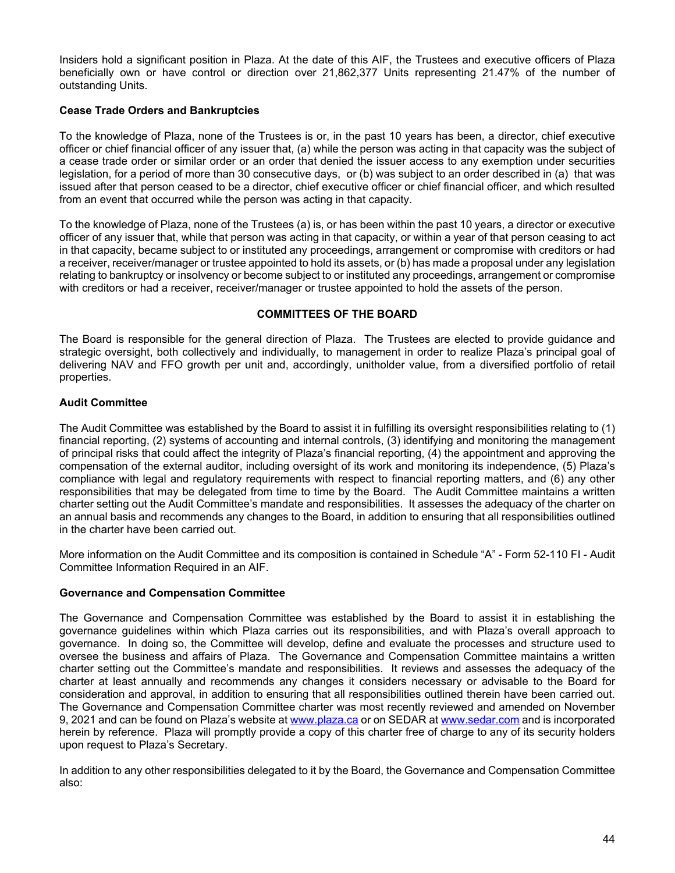Insiders hold a significant position in Plaza. At the date of this AIF, the Trustees and executive officers of Plaza beneficially own or have control or direction over 21,862,377 Units representing 21.47% of the number of outstanding Units.

# **Cease Trade Orders and Bankruptcies**

To the knowledge of Plaza, none of the Trustees is or, in the past 10 years has been, a director, chief executive officer or chief financial officer of any issuer that, (a) while the person was acting in that capacity was the subject of a cease trade order or similar order or an order that denied the issuer access to any exemption under securities legislation, for a period of more than 30 consecutive days, or (b) was subject to an order described in (a) that was issued after that person ceased to be a director, chief executive officer or chief financial officer, and which resulted from an event that occurred while the person was acting in that capacity.

To the knowledge of Plaza, none of the Trustees (a) is, or has been within the past 10 years, a director or executive officer of any issuer that, while that person was acting in that capacity, or within a year of that person ceasing to act in that capacity, became subject to or instituted any proceedings, arrangement or compromise with creditors or had a receiver, receiver/manager or trustee appointed to hold its assets, or (b) has made a proposal under any legislation relating to bankruptcy or insolvency or become subject to or instituted any proceedings, arrangement or compromise with creditors or had a receiver, receiver/manager or trustee appointed to hold the assets of the person.

### **COMMITTEES OF THE BOARD**

The Board is responsible for the general direction of Plaza. The Trustees are elected to provide guidance and strategic oversight, both collectively and individually, to management in order to realize Plaza's principal goal of delivering NAV and FFO growth per unit and, accordingly, unitholder value, from a diversified portfolio of retail properties.

### **Audit Committee**

The Audit Committee was established by the Board to assist it in fulfilling its oversight responsibilities relating to (1) financial reporting, (2) systems of accounting and internal controls, (3) identifying and monitoring the management of principal risks that could affect the integrity of Plaza's financial reporting, (4) the appointment and approving the compensation of the external auditor, including oversight of its work and monitoring its independence, (5) Plaza's compliance with legal and regulatory requirements with respect to financial reporting matters, and (6) any other responsibilities that may be delegated from time to time by the Board. The Audit Committee maintains a written charter setting out the Audit Committee's mandate and responsibilities. It assesses the adequacy of the charter on an annual basis and recommends any changes to the Board, in addition to ensuring that all responsibilities outlined in the charter have been carried out.

More information on the Audit Committee and its composition is contained in Schedule "A" - Form 52-110 FI - Audit Committee Information Required in an AIF.

### **Governance and Compensation Committee**

The Governance and Compensation Committee was established by the Board to assist it in establishing the governance guidelines within which Plaza carries out its responsibilities, and with Plaza's overall approach to governance. In doing so, the Committee will develop, define and evaluate the processes and structure used to oversee the business and affairs of Plaza. The Governance and Compensation Committee maintains a written charter setting out the Committee's mandate and responsibilities. It reviews and assesses the adequacy of the charter at least annually and recommends any changes it considers necessary or advisable to the Board for consideration and approval, in addition to ensuring that all responsibilities outlined therein have been carried out. The Governance and Compensation Committee charter was most recently reviewed and amended on November 9, 2021 and can be found on Plaza's website at www.plaza.ca or on SEDAR at www.sedar.com and is incorporated herein by reference. Plaza will promptly provide a copy of this charter free of charge to any of its security holders upon request to Plaza's Secretary.

In addition to any other responsibilities delegated to it by the Board, the Governance and Compensation Committee also: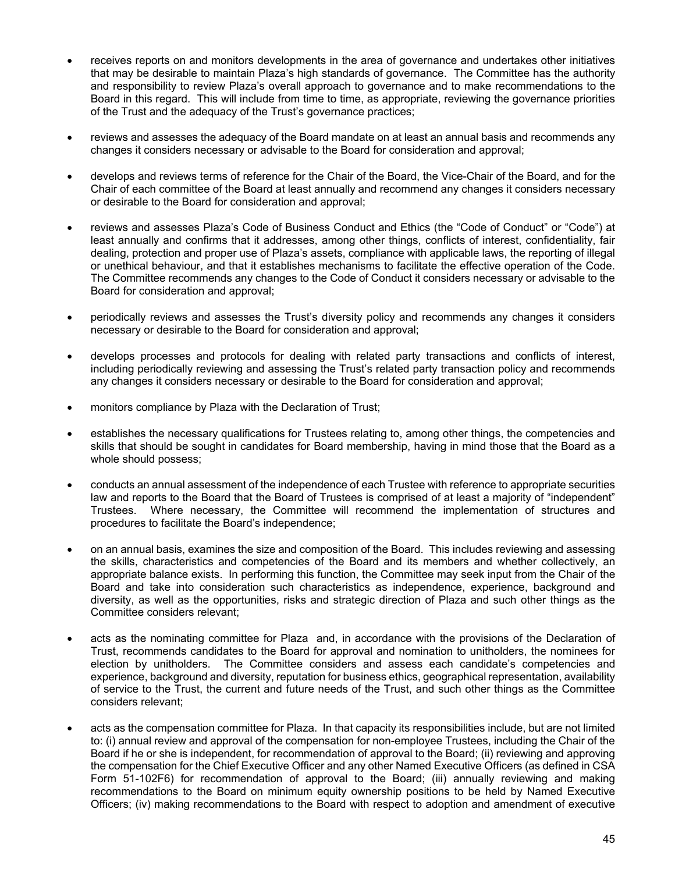- receives reports on and monitors developments in the area of governance and undertakes other initiatives that may be desirable to maintain Plaza's high standards of governance. The Committee has the authority and responsibility to review Plaza's overall approach to governance and to make recommendations to the Board in this regard. This will include from time to time, as appropriate, reviewing the governance priorities of the Trust and the adequacy of the Trust's governance practices;
- reviews and assesses the adequacy of the Board mandate on at least an annual basis and recommends any changes it considers necessary or advisable to the Board for consideration and approval;
- develops and reviews terms of reference for the Chair of the Board, the Vice-Chair of the Board, and for the Chair of each committee of the Board at least annually and recommend any changes it considers necessary or desirable to the Board for consideration and approval;
- reviews and assesses Plaza's Code of Business Conduct and Ethics (the "Code of Conduct" or "Code") at least annually and confirms that it addresses, among other things, conflicts of interest, confidentiality, fair dealing, protection and proper use of Plaza's assets, compliance with applicable laws, the reporting of illegal or unethical behaviour, and that it establishes mechanisms to facilitate the effective operation of the Code. The Committee recommends any changes to the Code of Conduct it considers necessary or advisable to the Board for consideration and approval;
- periodically reviews and assesses the Trust's diversity policy and recommends any changes it considers necessary or desirable to the Board for consideration and approval;
- develops processes and protocols for dealing with related party transactions and conflicts of interest, including periodically reviewing and assessing the Trust's related party transaction policy and recommends any changes it considers necessary or desirable to the Board for consideration and approval;
- monitors compliance by Plaza with the Declaration of Trust;
- establishes the necessary qualifications for Trustees relating to, among other things, the competencies and skills that should be sought in candidates for Board membership, having in mind those that the Board as a whole should possess;
- conducts an annual assessment of the independence of each Trustee with reference to appropriate securities law and reports to the Board that the Board of Trustees is comprised of at least a majority of "independent" Trustees. Where necessary, the Committee will recommend the implementation of structures and procedures to facilitate the Board's independence;
- on an annual basis, examines the size and composition of the Board. This includes reviewing and assessing the skills, characteristics and competencies of the Board and its members and whether collectively, an appropriate balance exists. In performing this function, the Committee may seek input from the Chair of the Board and take into consideration such characteristics as independence, experience, background and diversity, as well as the opportunities, risks and strategic direction of Plaza and such other things as the Committee considers relevant;
- acts as the nominating committee for Plaza and, in accordance with the provisions of the Declaration of Trust, recommends candidates to the Board for approval and nomination to unitholders, the nominees for election by unitholders. The Committee considers and assess each candidate's competencies and experience, background and diversity, reputation for business ethics, geographical representation, availability of service to the Trust, the current and future needs of the Trust, and such other things as the Committee considers relevant;
- acts as the compensation committee for Plaza. In that capacity its responsibilities include, but are not limited to: (i) annual review and approval of the compensation for non-employee Trustees, including the Chair of the Board if he or she is independent, for recommendation of approval to the Board; (ii) reviewing and approving the compensation for the Chief Executive Officer and any other Named Executive Officers (as defined in CSA Form 51-102F6) for recommendation of approval to the Board; (iii) annually reviewing and making recommendations to the Board on minimum equity ownership positions to be held by Named Executive Officers; (iv) making recommendations to the Board with respect to adoption and amendment of executive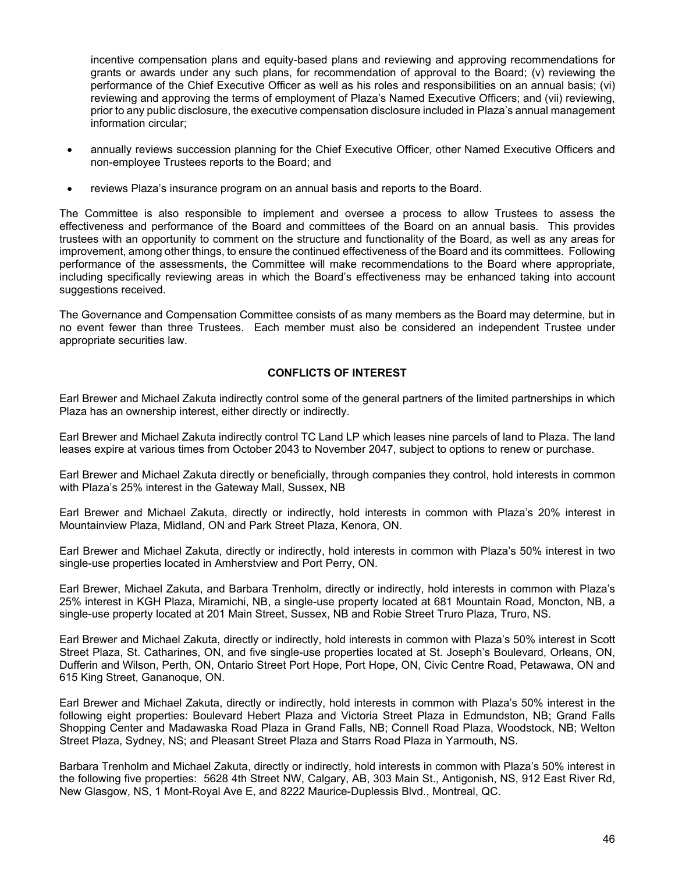incentive compensation plans and equity-based plans and reviewing and approving recommendations for grants or awards under any such plans, for recommendation of approval to the Board; (v) reviewing the performance of the Chief Executive Officer as well as his roles and responsibilities on an annual basis; (vi) reviewing and approving the terms of employment of Plaza's Named Executive Officers; and (vii) reviewing, prior to any public disclosure, the executive compensation disclosure included in Plaza's annual management information circular;

- annually reviews succession planning for the Chief Executive Officer, other Named Executive Officers and non-employee Trustees reports to the Board; and
- reviews Plaza's insurance program on an annual basis and reports to the Board.

The Committee is also responsible to implement and oversee a process to allow Trustees to assess the effectiveness and performance of the Board and committees of the Board on an annual basis. This provides trustees with an opportunity to comment on the structure and functionality of the Board, as well as any areas for improvement, among other things, to ensure the continued effectiveness of the Board and its committees. Following performance of the assessments, the Committee will make recommendations to the Board where appropriate, including specifically reviewing areas in which the Board's effectiveness may be enhanced taking into account suggestions received.

The Governance and Compensation Committee consists of as many members as the Board may determine, but in no event fewer than three Trustees. Each member must also be considered an independent Trustee under appropriate securities law.

# **CONFLICTS OF INTEREST**

Earl Brewer and Michael Zakuta indirectly control some of the general partners of the limited partnerships in which Plaza has an ownership interest, either directly or indirectly.

Earl Brewer and Michael Zakuta indirectly control TC Land LP which leases nine parcels of land to Plaza. The land leases expire at various times from October 2043 to November 2047, subject to options to renew or purchase.

Earl Brewer and Michael Zakuta directly or beneficially, through companies they control, hold interests in common with Plaza's 25% interest in the Gateway Mall, Sussex, NB

Earl Brewer and Michael Zakuta, directly or indirectly, hold interests in common with Plaza's 20% interest in Mountainview Plaza, Midland, ON and Park Street Plaza, Kenora, ON.

Earl Brewer and Michael Zakuta, directly or indirectly, hold interests in common with Plaza's 50% interest in two single-use properties located in Amherstview and Port Perry, ON.

Earl Brewer, Michael Zakuta, and Barbara Trenholm, directly or indirectly, hold interests in common with Plaza's 25% interest in KGH Plaza, Miramichi, NB, a single-use property located at 681 Mountain Road, Moncton, NB, a single-use property located at 201 Main Street, Sussex, NB and Robie Street Truro Plaza, Truro, NS.

Earl Brewer and Michael Zakuta, directly or indirectly, hold interests in common with Plaza's 50% interest in Scott Street Plaza, St. Catharines, ON, and five single-use properties located at St. Joseph's Boulevard, Orleans, ON, Dufferin and Wilson, Perth, ON, Ontario Street Port Hope, Port Hope, ON, Civic Centre Road, Petawawa, ON and 615 King Street, Gananoque, ON.

Earl Brewer and Michael Zakuta, directly or indirectly, hold interests in common with Plaza's 50% interest in the following eight properties: Boulevard Hebert Plaza and Victoria Street Plaza in Edmundston, NB; Grand Falls Shopping Center and Madawaska Road Plaza in Grand Falls, NB; Connell Road Plaza, Woodstock, NB; Welton Street Plaza, Sydney, NS; and Pleasant Street Plaza and Starrs Road Plaza in Yarmouth, NS.

Barbara Trenholm and Michael Zakuta, directly or indirectly, hold interests in common with Plaza's 50% interest in the following five properties: 5628 4th Street NW, Calgary, AB, 303 Main St., Antigonish, NS, 912 East River Rd, New Glasgow, NS, 1 Mont-Royal Ave E, and 8222 Maurice-Duplessis Blvd., Montreal, QC.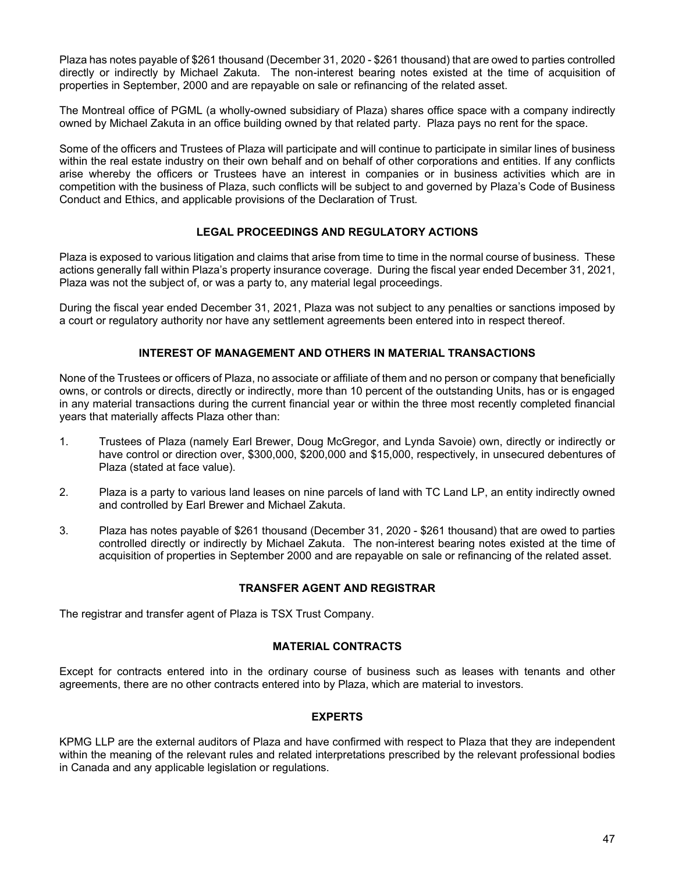Plaza has notes payable of \$261 thousand (December 31, 2020 - \$261 thousand) that are owed to parties controlled directly or indirectly by Michael Zakuta. The non-interest bearing notes existed at the time of acquisition of properties in September, 2000 and are repayable on sale or refinancing of the related asset.

The Montreal office of PGML (a wholly-owned subsidiary of Plaza) shares office space with a company indirectly owned by Michael Zakuta in an office building owned by that related party. Plaza pays no rent for the space.

Some of the officers and Trustees of Plaza will participate and will continue to participate in similar lines of business within the real estate industry on their own behalf and on behalf of other corporations and entities. If any conflicts arise whereby the officers or Trustees have an interest in companies or in business activities which are in competition with the business of Plaza, such conflicts will be subject to and governed by Plaza's Code of Business Conduct and Ethics, and applicable provisions of the Declaration of Trust*.*

### **LEGAL PROCEEDINGS AND REGULATORY ACTIONS**

Plaza is exposed to various litigation and claims that arise from time to time in the normal course of business. These actions generally fall within Plaza's property insurance coverage. During the fiscal year ended December 31, 2021, Plaza was not the subject of, or was a party to, any material legal proceedings.

During the fiscal year ended December 31, 2021, Plaza was not subject to any penalties or sanctions imposed by a court or regulatory authority nor have any settlement agreements been entered into in respect thereof.

### **INTEREST OF MANAGEMENT AND OTHERS IN MATERIAL TRANSACTIONS**

None of the Trustees or officers of Plaza, no associate or affiliate of them and no person or company that beneficially owns, or controls or directs, directly or indirectly, more than 10 percent of the outstanding Units, has or is engaged in any material transactions during the current financial year or within the three most recently completed financial years that materially affects Plaza other than:

- 1. Trustees of Plaza (namely Earl Brewer, Doug McGregor, and Lynda Savoie) own, directly or indirectly or have control or direction over, \$300,000, \$200,000 and \$15,000, respectively, in unsecured debentures of Plaza (stated at face value).
- 2. Plaza is a party to various land leases on nine parcels of land with TC Land LP, an entity indirectly owned and controlled by Earl Brewer and Michael Zakuta.
- 3. Plaza has notes payable of \$261 thousand (December 31, 2020 \$261 thousand) that are owed to parties controlled directly or indirectly by Michael Zakuta. The non-interest bearing notes existed at the time of acquisition of properties in September 2000 and are repayable on sale or refinancing of the related asset.

### **TRANSFER AGENT AND REGISTRAR**

The registrar and transfer agent of Plaza is TSX Trust Company.

### **MATERIAL CONTRACTS**

Except for contracts entered into in the ordinary course of business such as leases with tenants and other agreements, there are no other contracts entered into by Plaza, which are material to investors.

### **EXPERTS**

KPMG LLP are the external auditors of Plaza and have confirmed with respect to Plaza that they are independent within the meaning of the relevant rules and related interpretations prescribed by the relevant professional bodies in Canada and any applicable legislation or regulations.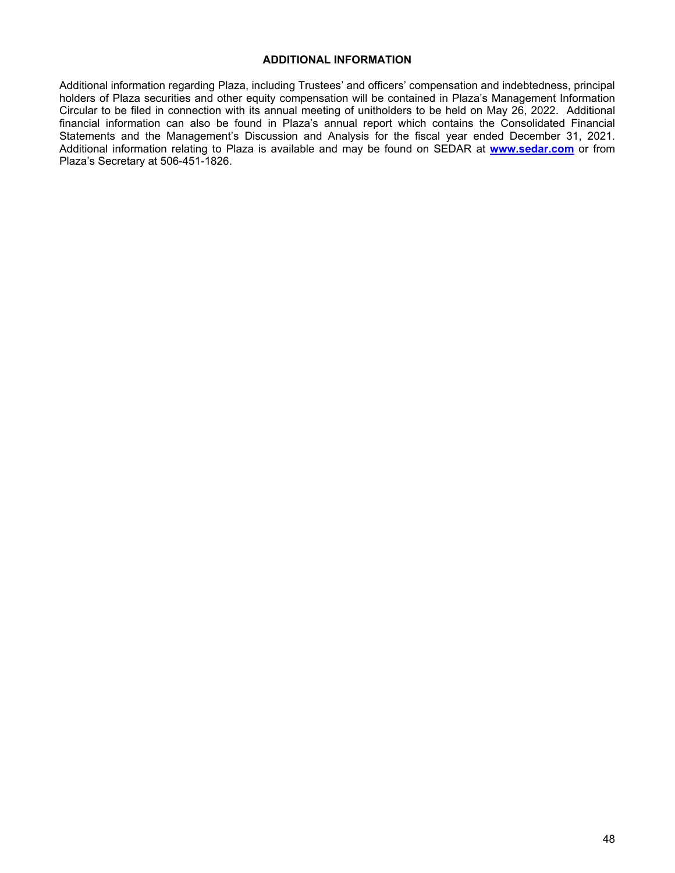### **ADDITIONAL INFORMATION**

Additional information regarding Plaza, including Trustees' and officers' compensation and indebtedness, principal holders of Plaza securities and other equity compensation will be contained in Plaza's Management Information Circular to be filed in connection with its annual meeting of unitholders to be held on May 26, 2022. Additional financial information can also be found in Plaza's annual report which contains the Consolidated Financial Statements and the Management's Discussion and Analysis for the fiscal year ended December 31, 2021. Additional information relating to Plaza is available and may be found on SEDAR at **www.sedar.com** or from Plaza's Secretary at 506-451-1826.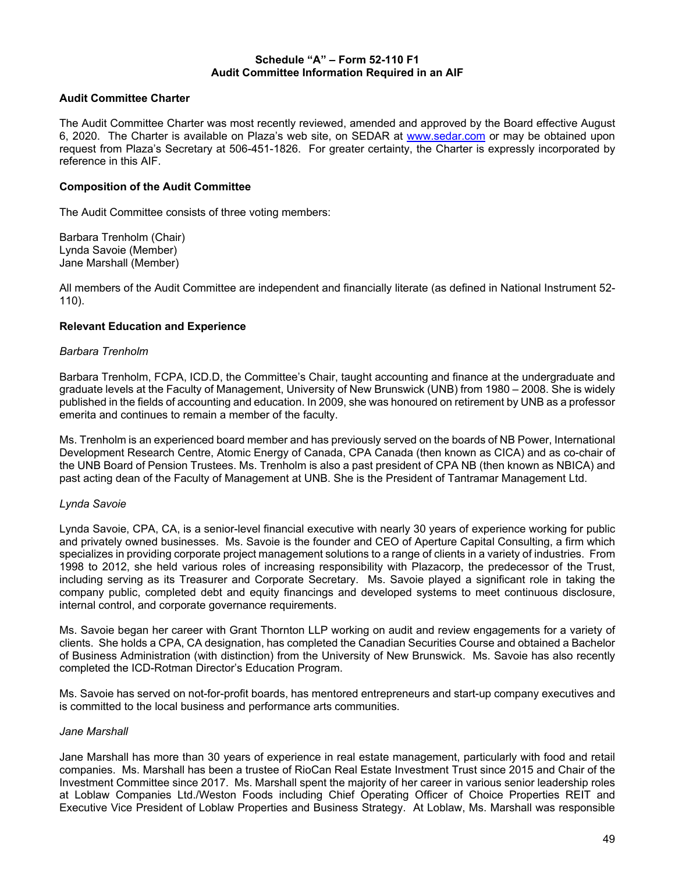### **Schedule "A" – Form 52-110 F1 Audit Committee Information Required in an AIF**

# **Audit Committee Charter**

The Audit Committee Charter was most recently reviewed, amended and approved by the Board effective August 6, 2020. The Charter is available on Plaza's web site, on SEDAR at www.sedar.com or may be obtained upon request from Plaza's Secretary at 506-451-1826. For greater certainty, the Charter is expressly incorporated by reference in this AIF.

### **Composition of the Audit Committee**

The Audit Committee consists of three voting members:

Barbara Trenholm (Chair) Lynda Savoie (Member) Jane Marshall (Member)

All members of the Audit Committee are independent and financially literate (as defined in National Instrument 52- 110).

### **Relevant Education and Experience**

### *Barbara Trenholm*

Barbara Trenholm, FCPA, ICD.D, the Committee's Chair, taught accounting and finance at the undergraduate and graduate levels at the Faculty of Management, University of New Brunswick (UNB) from 1980 – 2008. She is widely published in the fields of accounting and education. In 2009, she was honoured on retirement by UNB as a professor emerita and continues to remain a member of the faculty.

Ms. Trenholm is an experienced board member and has previously served on the boards of NB Power, International Development Research Centre, Atomic Energy of Canada, CPA Canada (then known as CICA) and as co-chair of the UNB Board of Pension Trustees. Ms. Trenholm is also a past president of CPA NB (then known as NBICA) and past acting dean of the Faculty of Management at UNB. She is the President of Tantramar Management Ltd.

# *Lynda Savoie*

Lynda Savoie, CPA, CA, is a senior-level financial executive with nearly 30 years of experience working for public and privately owned businesses. Ms. Savoie is the founder and CEO of Aperture Capital Consulting, a firm which specializes in providing corporate project management solutions to a range of clients in a variety of industries. From 1998 to 2012, she held various roles of increasing responsibility with Plazacorp, the predecessor of the Trust, including serving as its Treasurer and Corporate Secretary. Ms. Savoie played a significant role in taking the company public, completed debt and equity financings and developed systems to meet continuous disclosure, internal control, and corporate governance requirements.

Ms. Savoie began her career with Grant Thornton LLP working on audit and review engagements for a variety of clients. She holds a CPA, CA designation, has completed the Canadian Securities Course and obtained a Bachelor of Business Administration (with distinction) from the University of New Brunswick. Ms. Savoie has also recently completed the ICD-Rotman Director's Education Program.

Ms. Savoie has served on not-for-profit boards, has mentored entrepreneurs and start-up company executives and is committed to the local business and performance arts communities.

### *Jane Marshall*

Jane Marshall has more than 30 years of experience in real estate management, particularly with food and retail companies. Ms. Marshall has been a trustee of RioCan Real Estate Investment Trust since 2015 and Chair of the Investment Committee since 2017. Ms. Marshall spent the majority of her career in various senior leadership roles at Loblaw Companies Ltd./Weston Foods including Chief Operating Officer of Choice Properties REIT and Executive Vice President of Loblaw Properties and Business Strategy. At Loblaw, Ms. Marshall was responsible